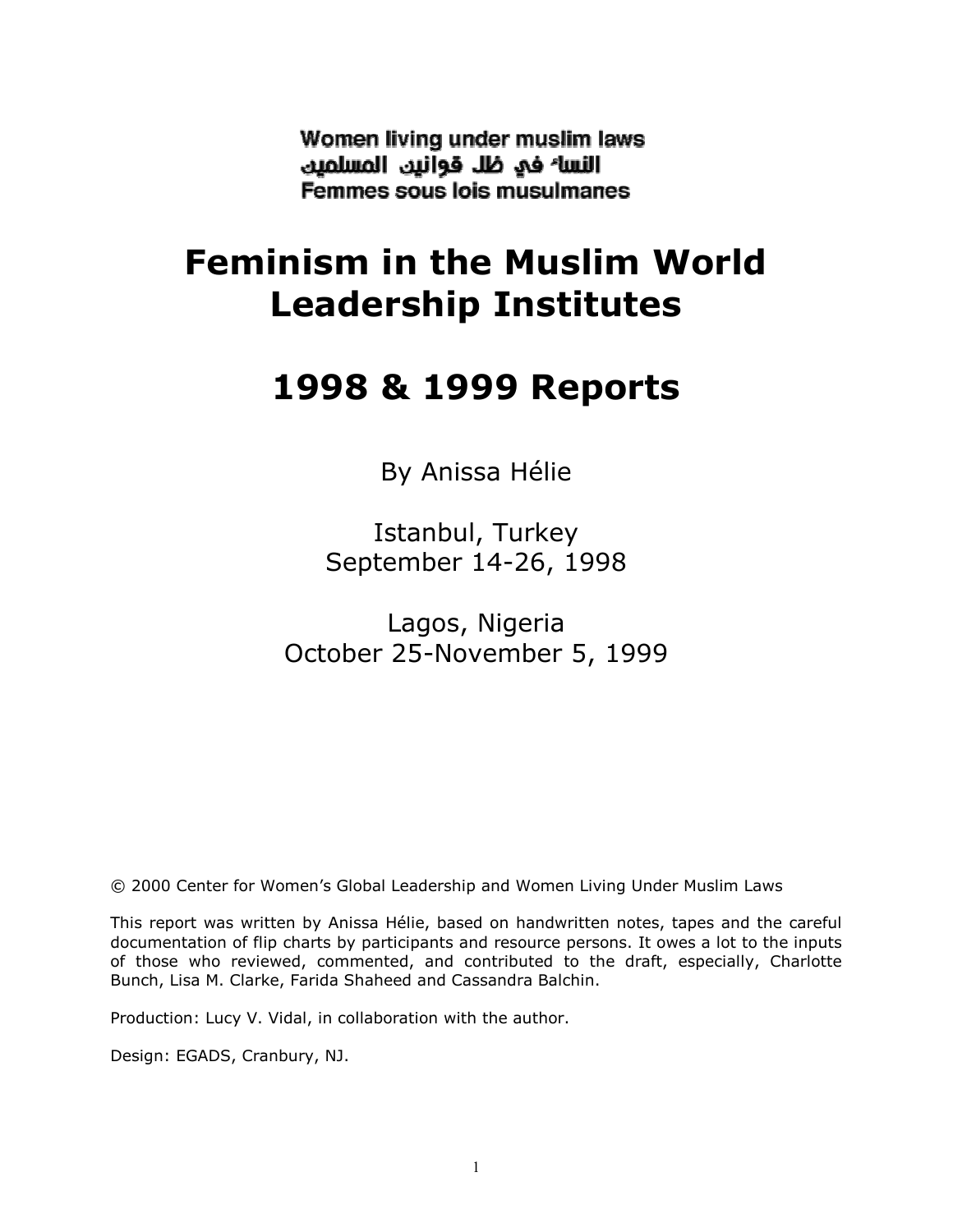Women living under muslim laws النسا<sup>ء</sup> في ظل قوانين المسلمين Femmes sous lois musulmanes

# Feminism in the Muslim World Leadership Institutes

## 1998 & 1999 Reports

By Anissa Hélie

Istanbul, Turkey September 14-26, 1998

Lagos, Nigeria October 25-November 5, 1999

© 2000 Center for Women's Global Leadership and Women Living Under Muslim Laws

This report was written by Anissa Hélie, based on handwritten notes, tapes and the careful documentation of flip charts by participants and resource persons. It owes a lot to the inputs of those who reviewed, commented, and contributed to the draft, especially, Charlotte Bunch, Lisa M. Clarke, Farida Shaheed and Cassandra Balchin.

Production: Lucy V. Vidal, in collaboration with the author.

Design: EGADS, Cranbury, NJ.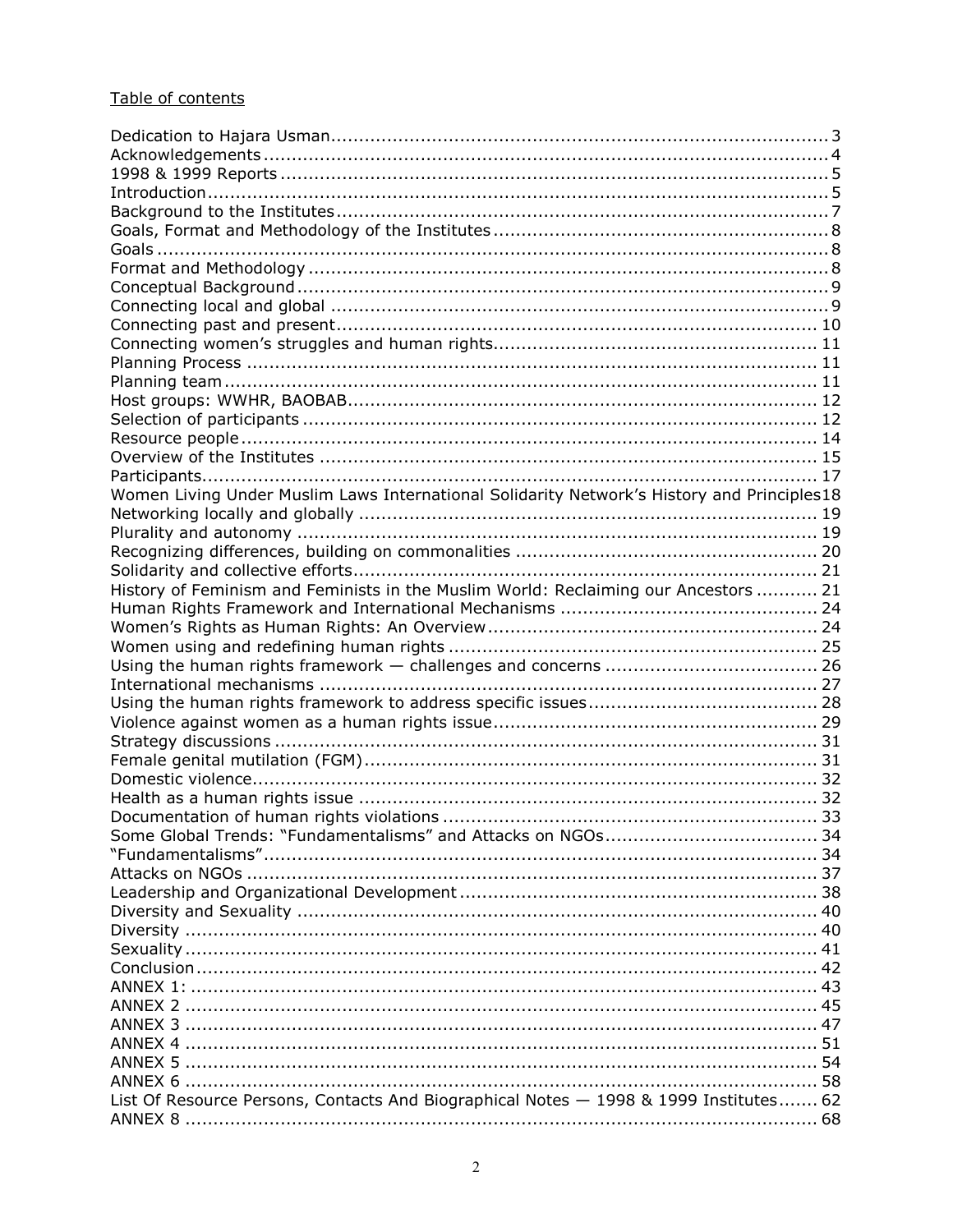## Table of contents

| Women Living Under Muslim Laws International Solidarity Network's History and Principles18 |  |
|--------------------------------------------------------------------------------------------|--|
|                                                                                            |  |
|                                                                                            |  |
|                                                                                            |  |
|                                                                                            |  |
| History of Feminism and Feminists in the Muslim World: Reclaiming our Ancestors  21        |  |
|                                                                                            |  |
|                                                                                            |  |
|                                                                                            |  |
|                                                                                            |  |
|                                                                                            |  |
|                                                                                            |  |
|                                                                                            |  |
|                                                                                            |  |
|                                                                                            |  |
|                                                                                            |  |
|                                                                                            |  |
|                                                                                            |  |
|                                                                                            |  |
|                                                                                            |  |
|                                                                                            |  |
|                                                                                            |  |
|                                                                                            |  |
|                                                                                            |  |
|                                                                                            |  |
|                                                                                            |  |
|                                                                                            |  |
|                                                                                            |  |
|                                                                                            |  |
|                                                                                            |  |
|                                                                                            |  |
|                                                                                            |  |
| List Of Resource Persons, Contacts And Biographical Notes - 1998 & 1999 Institutes 62      |  |
|                                                                                            |  |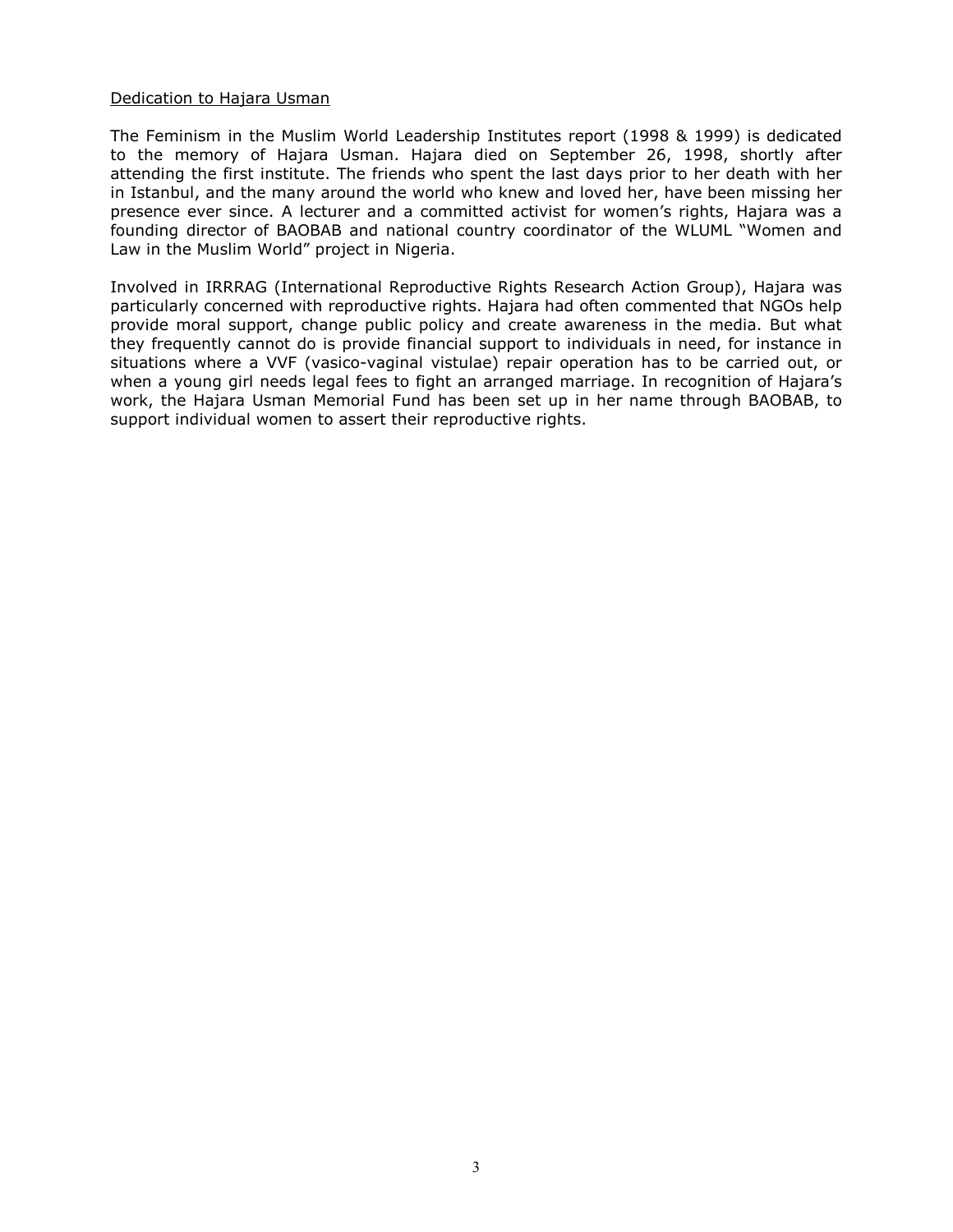## Dedication to Hajara Usman

The Feminism in the Muslim World Leadership Institutes report (1998 & 1999) is dedicated to the memory of Hajara Usman. Hajara died on September 26, 1998, shortly after attending the first institute. The friends who spent the last days prior to her death with her in Istanbul, and the many around the world who knew and loved her, have been missing her presence ever since. A lecturer and a committed activist for women's rights, Hajara was a founding director of BAOBAB and national country coordinator of the WLUML "Women and Law in the Muslim World" project in Nigeria.

Involved in IRRRAG (International Reproductive Rights Research Action Group), Hajara was particularly concerned with reproductive rights. Hajara had often commented that NGOs help provide moral support, change public policy and create awareness in the media. But what they frequently cannot do is provide financial support to individuals in need, for instance in situations where a VVF (vasico-vaginal vistulae) repair operation has to be carried out, or when a young girl needs legal fees to fight an arranged marriage. In recognition of Hajara's work, the Hajara Usman Memorial Fund has been set up in her name through BAOBAB, to support individual women to assert their reproductive rights.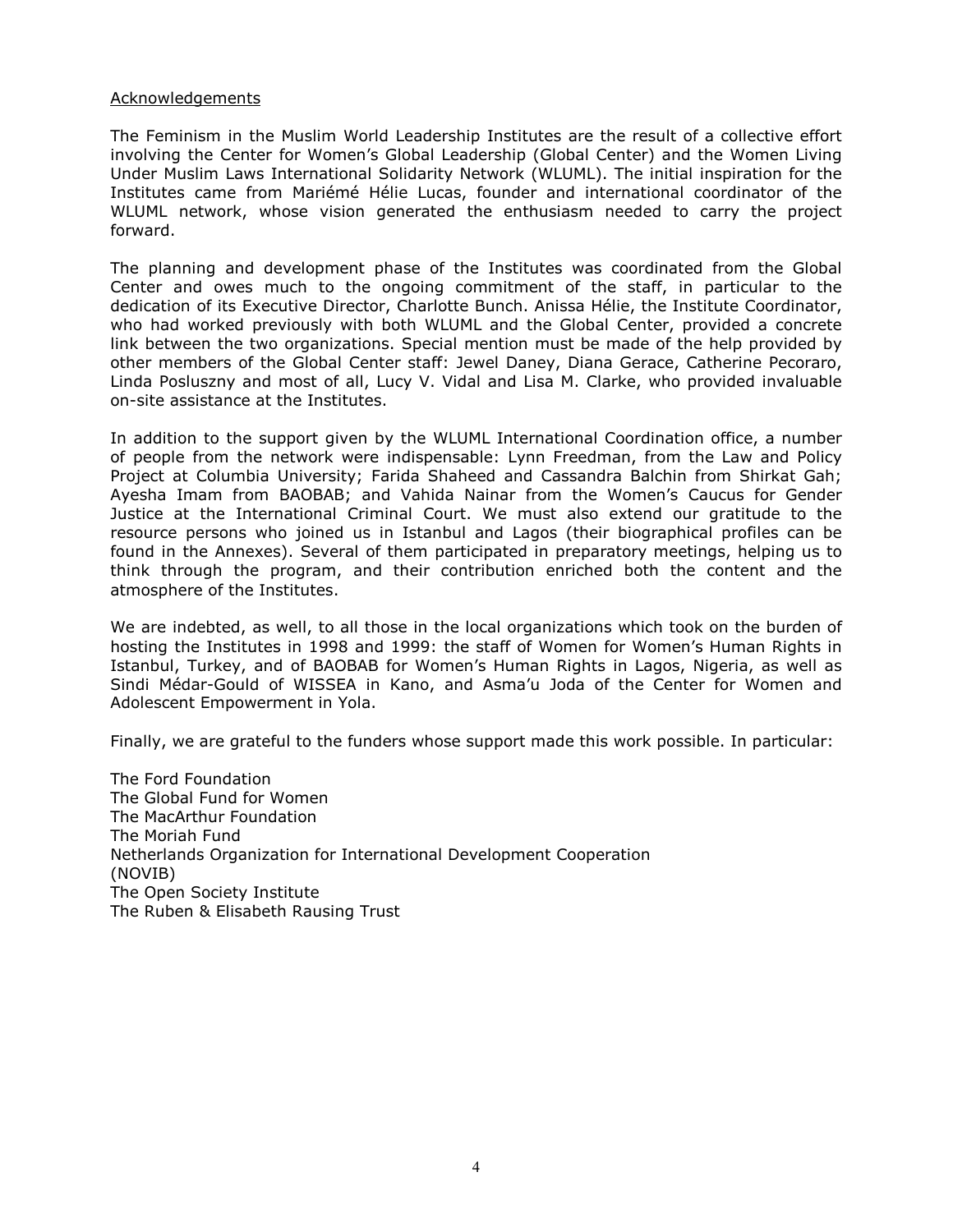#### Acknowledgements

The Feminism in the Muslim World Leadership Institutes are the result of a collective effort involving the Center for Women's Global Leadership (Global Center) and the Women Living Under Muslim Laws International Solidarity Network (WLUML). The initial inspiration for the Institutes came from Mariémé Hélie Lucas, founder and international coordinator of the WLUML network, whose vision generated the enthusiasm needed to carry the project forward.

The planning and development phase of the Institutes was coordinated from the Global Center and owes much to the ongoing commitment of the staff, in particular to the dedication of its Executive Director, Charlotte Bunch. Anissa Hélie, the Institute Coordinator, who had worked previously with both WLUML and the Global Center, provided a concrete link between the two organizations. Special mention must be made of the help provided by other members of the Global Center staff: Jewel Daney, Diana Gerace, Catherine Pecoraro, Linda Posluszny and most of all, Lucy V. Vidal and Lisa M. Clarke, who provided invaluable on-site assistance at the Institutes.

In addition to the support given by the WLUML International Coordination office, a number of people from the network were indispensable: Lynn Freedman, from the Law and Policy Project at Columbia University; Farida Shaheed and Cassandra Balchin from Shirkat Gah; Ayesha Imam from BAOBAB; and Vahida Nainar from the Women's Caucus for Gender Justice at the International Criminal Court. We must also extend our gratitude to the resource persons who joined us in Istanbul and Lagos (their biographical profiles can be found in the Annexes). Several of them participated in preparatory meetings, helping us to think through the program, and their contribution enriched both the content and the atmosphere of the Institutes.

We are indebted, as well, to all those in the local organizations which took on the burden of hosting the Institutes in 1998 and 1999: the staff of Women for Women's Human Rights in Istanbul, Turkey, and of BAOBAB for Women's Human Rights in Lagos, Nigeria, as well as Sindi Médar-Gould of WISSEA in Kano, and Asma'u Joda of the Center for Women and Adolescent Empowerment in Yola.

Finally, we are grateful to the funders whose support made this work possible. In particular:

The Ford Foundation The Global Fund for Women The MacArthur Foundation The Moriah Fund Netherlands Organization for International Development Cooperation (NOVIB) The Open Society Institute The Ruben & Elisabeth Rausing Trust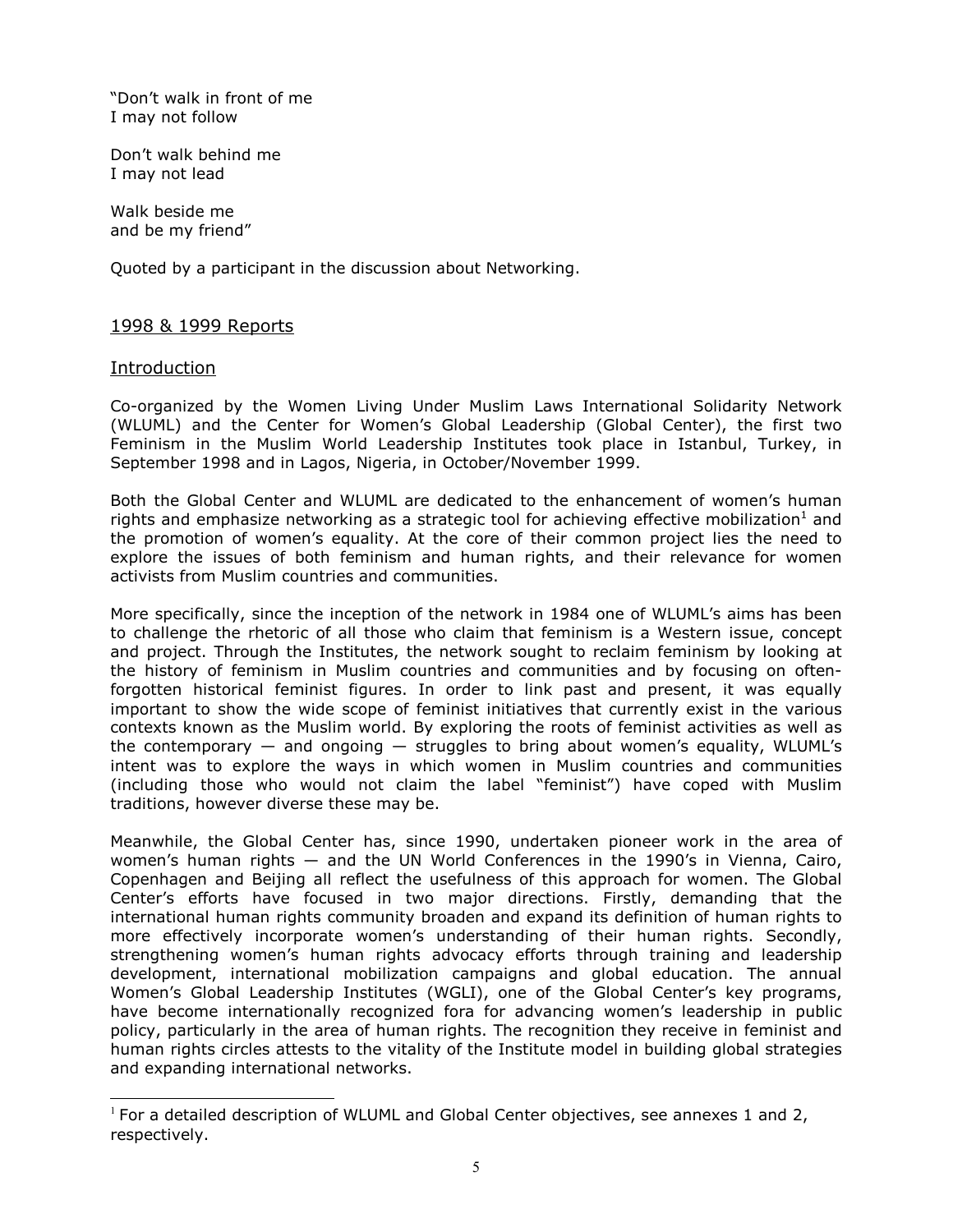"Don't walk in front of me I may not follow

Don't walk behind me I may not lead

Walk beside me and be my friend"

Quoted by a participant in the discussion about Networking.

## 1998 & 1999 Reports

## Introduction

֦

Co-organized by the Women Living Under Muslim Laws International Solidarity Network (WLUML) and the Center for Women's Global Leadership (Global Center), the first two Feminism in the Muslim World Leadership Institutes took place in Istanbul, Turkey, in September 1998 and in Lagos, Nigeria, in October/November 1999.

Both the Global Center and WLUML are dedicated to the enhancement of women's human rights and emphasize networking as a strategic tool for achieving effective mobilization<sup>1</sup> and the promotion of women's equality. At the core of their common project lies the need to explore the issues of both feminism and human rights, and their relevance for women activists from Muslim countries and communities.

More specifically, since the inception of the network in 1984 one of WLUML's aims has been to challenge the rhetoric of all those who claim that feminism is a Western issue, concept and project. Through the Institutes, the network sought to reclaim feminism by looking at the history of feminism in Muslim countries and communities and by focusing on oftenforgotten historical feminist figures. In order to link past and present, it was equally important to show the wide scope of feminist initiatives that currently exist in the various contexts known as the Muslim world. By exploring the roots of feminist activities as well as the contemporary  $-$  and ongoing  $-$  struggles to bring about women's equality, WLUML's intent was to explore the ways in which women in Muslim countries and communities (including those who would not claim the label "feminist") have coped with Muslim traditions, however diverse these may be.

Meanwhile, the Global Center has, since 1990, undertaken pioneer work in the area of women's human rights — and the UN World Conferences in the 1990's in Vienna, Cairo, Copenhagen and Beijing all reflect the usefulness of this approach for women. The Global Center's efforts have focused in two major directions. Firstly, demanding that the international human rights community broaden and expand its definition of human rights to more effectively incorporate women's understanding of their human rights. Secondly, strengthening women's human rights advocacy efforts through training and leadership development, international mobilization campaigns and global education. The annual Women's Global Leadership Institutes (WGLI), one of the Global Center's key programs, have become internationally recognized fora for advancing women's leadership in public policy, particularly in the area of human rights. The recognition they receive in feminist and human rights circles attests to the vitality of the Institute model in building global strategies and expanding international networks.

 $1$  For a detailed description of WLUML and Global Center objectives, see annexes 1 and 2, respectively.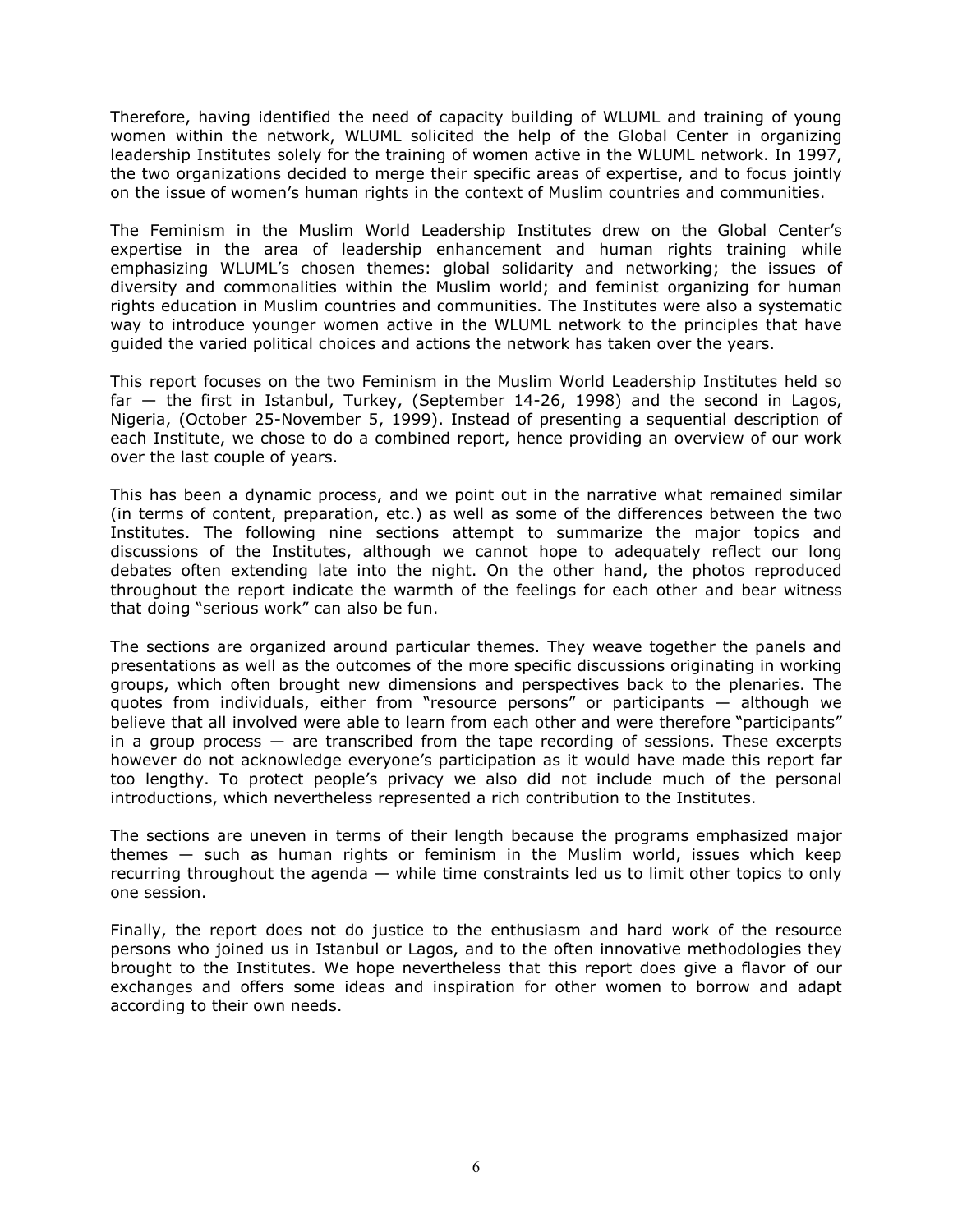Therefore, having identified the need of capacity building of WLUML and training of young women within the network, WLUML solicited the help of the Global Center in organizing leadership Institutes solely for the training of women active in the WLUML network. In 1997, the two organizations decided to merge their specific areas of expertise, and to focus jointly on the issue of women's human rights in the context of Muslim countries and communities.

The Feminism in the Muslim World Leadership Institutes drew on the Global Center's expertise in the area of leadership enhancement and human rights training while emphasizing WLUML's chosen themes: global solidarity and networking; the issues of diversity and commonalities within the Muslim world; and feminist organizing for human rights education in Muslim countries and communities. The Institutes were also a systematic way to introduce younger women active in the WLUML network to the principles that have guided the varied political choices and actions the network has taken over the years.

This report focuses on the two Feminism in the Muslim World Leadership Institutes held so far — the first in Istanbul, Turkey, (September 14-26, 1998) and the second in Lagos, Nigeria, (October 25-November 5, 1999). Instead of presenting a sequential description of each Institute, we chose to do a combined report, hence providing an overview of our work over the last couple of years.

This has been a dynamic process, and we point out in the narrative what remained similar (in terms of content, preparation, etc.) as well as some of the differences between the two Institutes. The following nine sections attempt to summarize the major topics and discussions of the Institutes, although we cannot hope to adequately reflect our long debates often extending late into the night. On the other hand, the photos reproduced throughout the report indicate the warmth of the feelings for each other and bear witness that doing "serious work" can also be fun.

The sections are organized around particular themes. They weave together the panels and presentations as well as the outcomes of the more specific discussions originating in working groups, which often brought new dimensions and perspectives back to the plenaries. The quotes from individuals, either from "resource persons" or participants — although we believe that all involved were able to learn from each other and were therefore "participants" in a group process  $-$  are transcribed from the tape recording of sessions. These excerpts however do not acknowledge everyone's participation as it would have made this report far too lengthy. To protect people's privacy we also did not include much of the personal introductions, which nevertheless represented a rich contribution to the Institutes.

The sections are uneven in terms of their length because the programs emphasized major themes — such as human rights or feminism in the Muslim world, issues which keep recurring throughout the agenda — while time constraints led us to limit other topics to only one session.

Finally, the report does not do justice to the enthusiasm and hard work of the resource persons who joined us in Istanbul or Lagos, and to the often innovative methodologies they brought to the Institutes. We hope nevertheless that this report does give a flavor of our exchanges and offers some ideas and inspiration for other women to borrow and adapt according to their own needs.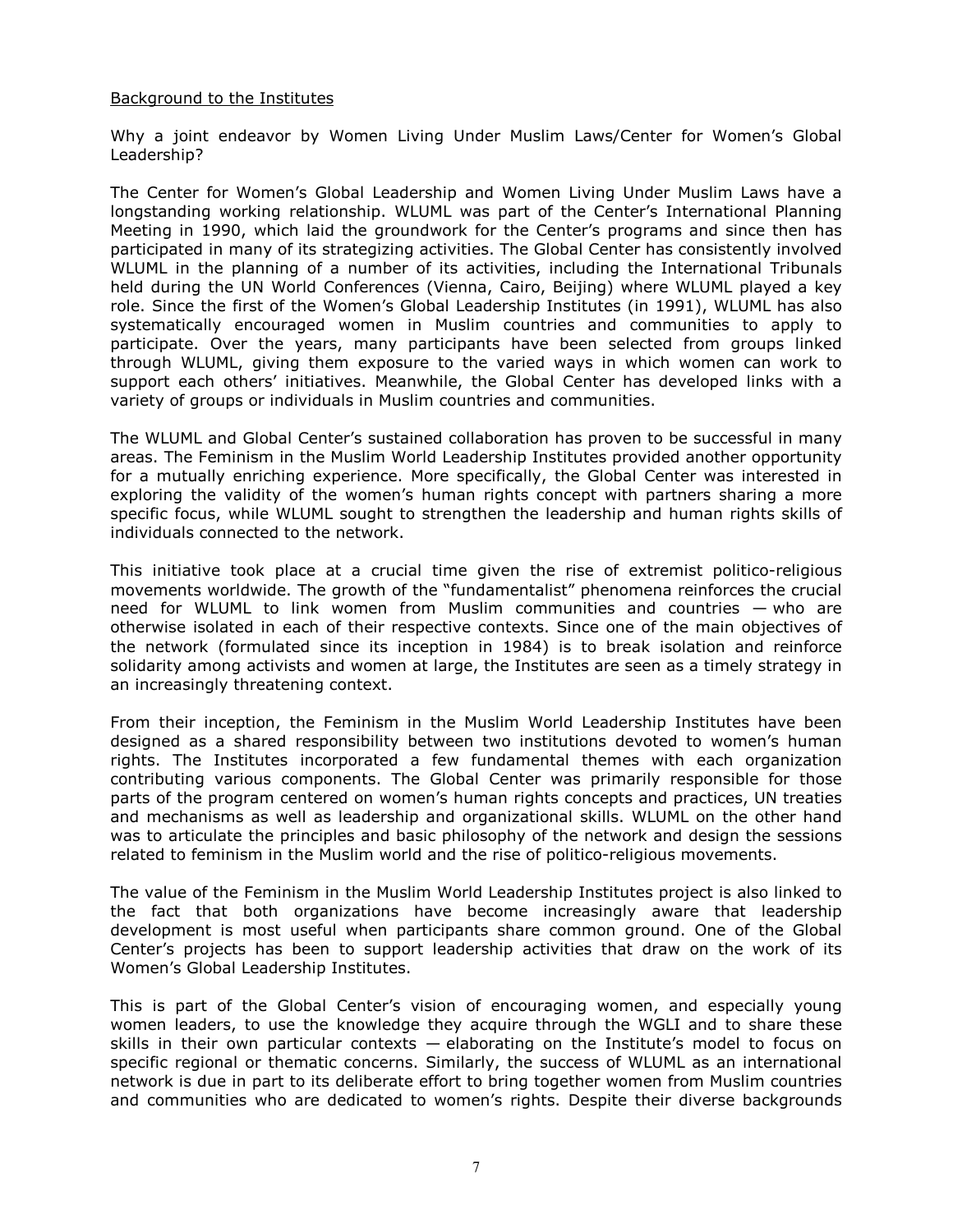## Background to the Institutes

Why a joint endeavor by Women Living Under Muslim Laws/Center for Women's Global Leadership?

The Center for Women's Global Leadership and Women Living Under Muslim Laws have a longstanding working relationship. WLUML was part of the Center's International Planning Meeting in 1990, which laid the groundwork for the Center's programs and since then has participated in many of its strategizing activities. The Global Center has consistently involved WLUML in the planning of a number of its activities, including the International Tribunals held during the UN World Conferences (Vienna, Cairo, Beijing) where WLUML played a key role. Since the first of the Women's Global Leadership Institutes (in 1991), WLUML has also systematically encouraged women in Muslim countries and communities to apply to participate. Over the years, many participants have been selected from groups linked through WLUML, giving them exposure to the varied ways in which women can work to support each others' initiatives. Meanwhile, the Global Center has developed links with a variety of groups or individuals in Muslim countries and communities.

The WLUML and Global Center's sustained collaboration has proven to be successful in many areas. The Feminism in the Muslim World Leadership Institutes provided another opportunity for a mutually enriching experience. More specifically, the Global Center was interested in exploring the validity of the women's human rights concept with partners sharing a more specific focus, while WLUML sought to strengthen the leadership and human rights skills of individuals connected to the network.

This initiative took place at a crucial time given the rise of extremist politico-religious movements worldwide. The growth of the "fundamentalist" phenomena reinforces the crucial need for WLUML to link women from Muslim communities and countries — who are otherwise isolated in each of their respective contexts. Since one of the main objectives of the network (formulated since its inception in 1984) is to break isolation and reinforce solidarity among activists and women at large, the Institutes are seen as a timely strategy in an increasingly threatening context.

From their inception, the Feminism in the Muslim World Leadership Institutes have been designed as a shared responsibility between two institutions devoted to women's human rights. The Institutes incorporated a few fundamental themes with each organization contributing various components. The Global Center was primarily responsible for those parts of the program centered on women's human rights concepts and practices, UN treaties and mechanisms as well as leadership and organizational skills. WLUML on the other hand was to articulate the principles and basic philosophy of the network and design the sessions related to feminism in the Muslim world and the rise of politico-religious movements.

The value of the Feminism in the Muslim World Leadership Institutes project is also linked to the fact that both organizations have become increasingly aware that leadership development is most useful when participants share common ground. One of the Global Center's projects has been to support leadership activities that draw on the work of its Women's Global Leadership Institutes.

This is part of the Global Center's vision of encouraging women, and especially young women leaders, to use the knowledge they acquire through the WGLI and to share these skills in their own particular contexts — elaborating on the Institute's model to focus on specific regional or thematic concerns. Similarly, the success of WLUML as an international network is due in part to its deliberate effort to bring together women from Muslim countries and communities who are dedicated to women's rights. Despite their diverse backgrounds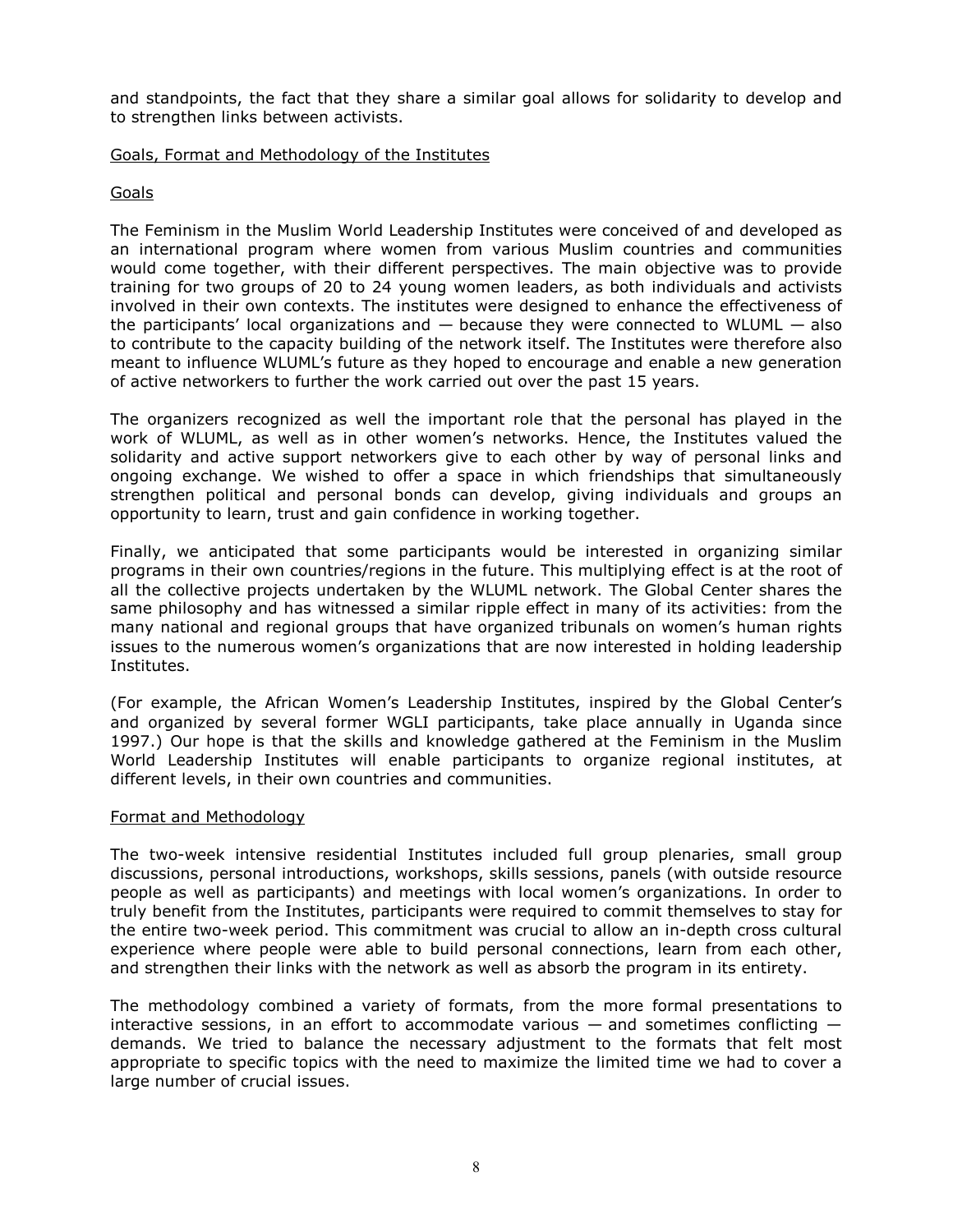and standpoints, the fact that they share a similar goal allows for solidarity to develop and to strengthen links between activists.

#### Goals, Format and Methodology of the Institutes

## Goals

The Feminism in the Muslim World Leadership Institutes were conceived of and developed as an international program where women from various Muslim countries and communities would come together, with their different perspectives. The main objective was to provide training for two groups of 20 to 24 young women leaders, as both individuals and activists involved in their own contexts. The institutes were designed to enhance the effectiveness of the participants' local organizations and — because they were connected to WLUML — also to contribute to the capacity building of the network itself. The Institutes were therefore also meant to influence WLUML's future as they hoped to encourage and enable a new generation of active networkers to further the work carried out over the past 15 years.

The organizers recognized as well the important role that the personal has played in the work of WLUML, as well as in other women's networks. Hence, the Institutes valued the solidarity and active support networkers give to each other by way of personal links and ongoing exchange. We wished to offer a space in which friendships that simultaneously strengthen political and personal bonds can develop, giving individuals and groups an opportunity to learn, trust and gain confidence in working together.

Finally, we anticipated that some participants would be interested in organizing similar programs in their own countries/regions in the future. This multiplying effect is at the root of all the collective projects undertaken by the WLUML network. The Global Center shares the same philosophy and has witnessed a similar ripple effect in many of its activities: from the many national and regional groups that have organized tribunals on women's human rights issues to the numerous women's organizations that are now interested in holding leadership Institutes.

(For example, the African Women's Leadership Institutes, inspired by the Global Center's and organized by several former WGLI participants, take place annually in Uganda since 1997.) Our hope is that the skills and knowledge gathered at the Feminism in the Muslim World Leadership Institutes will enable participants to organize regional institutes, at different levels, in their own countries and communities.

## Format and Methodology

The two-week intensive residential Institutes included full group plenaries, small group discussions, personal introductions, workshops, skills sessions, panels (with outside resource people as well as participants) and meetings with local women's organizations. In order to truly benefit from the Institutes, participants were required to commit themselves to stay for the entire two-week period. This commitment was crucial to allow an in-depth cross cultural experience where people were able to build personal connections, learn from each other, and strengthen their links with the network as well as absorb the program in its entirety.

The methodology combined a variety of formats, from the more formal presentations to interactive sessions, in an effort to accommodate various  $-$  and sometimes conflicting  $$ demands. We tried to balance the necessary adjustment to the formats that felt most appropriate to specific topics with the need to maximize the limited time we had to cover a large number of crucial issues.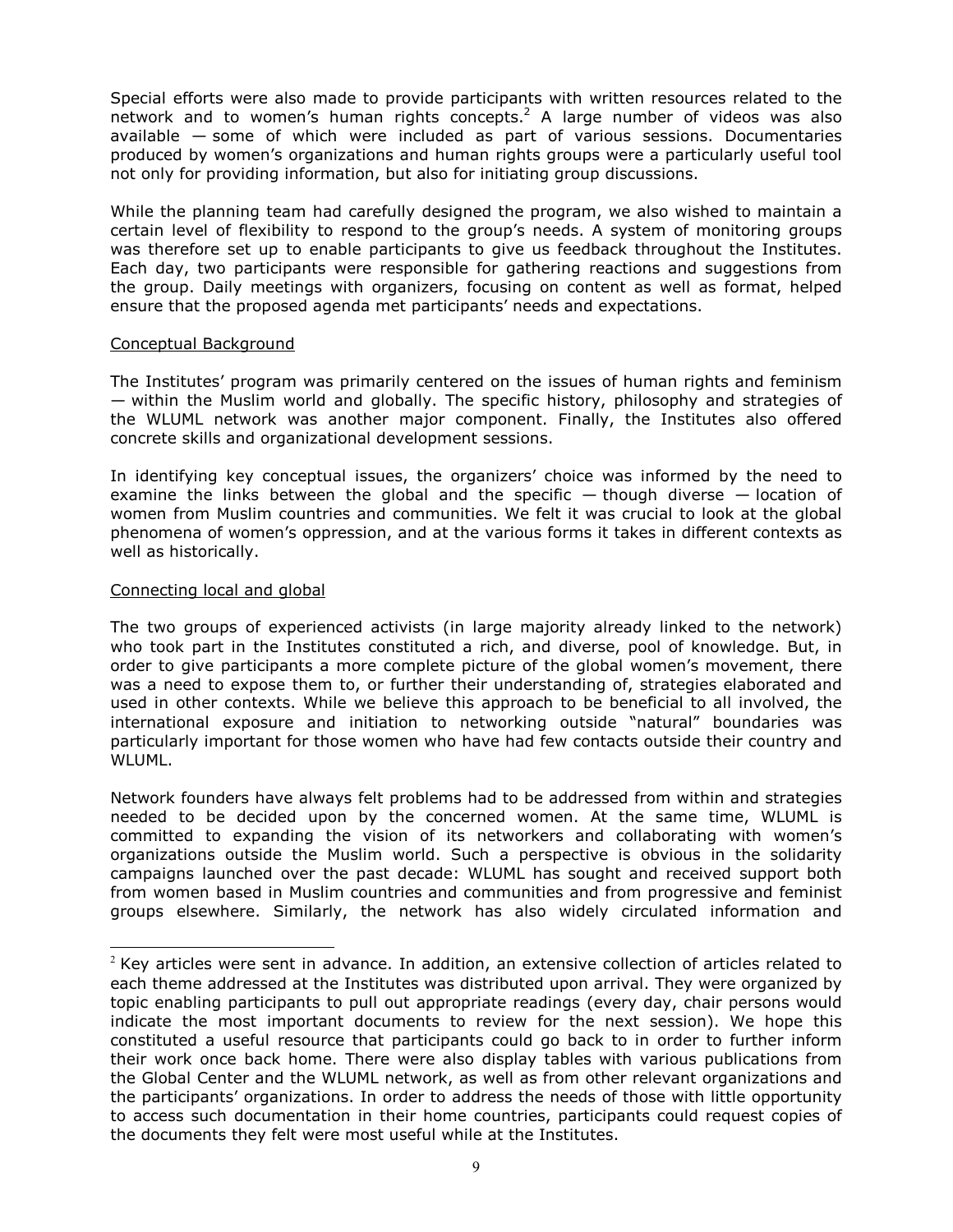Special efforts were also made to provide participants with written resources related to the network and to women's human rights concepts.<sup>2</sup> A large number of videos was also available — some of which were included as part of various sessions. Documentaries produced by women's organizations and human rights groups were a particularly useful tool not only for providing information, but also for initiating group discussions.

While the planning team had carefully designed the program, we also wished to maintain a certain level of flexibility to respond to the group's needs. A system of monitoring groups was therefore set up to enable participants to give us feedback throughout the Institutes. Each day, two participants were responsible for gathering reactions and suggestions from the group. Daily meetings with organizers, focusing on content as well as format, helped ensure that the proposed agenda met participants' needs and expectations.

#### Conceptual Background

The Institutes' program was primarily centered on the issues of human rights and feminism — within the Muslim world and globally. The specific history, philosophy and strategies of the WLUML network was another major component. Finally, the Institutes also offered concrete skills and organizational development sessions.

In identifying key conceptual issues, the organizers' choice was informed by the need to examine the links between the global and the specific  $-$  though diverse  $-$  location of women from Muslim countries and communities. We felt it was crucial to look at the global phenomena of women's oppression, and at the various forms it takes in different contexts as well as historically.

#### Connecting local and global

 $\overline{a}$ 

The two groups of experienced activists (in large majority already linked to the network) who took part in the Institutes constituted a rich, and diverse, pool of knowledge. But, in order to give participants a more complete picture of the global women's movement, there was a need to expose them to, or further their understanding of, strategies elaborated and used in other contexts. While we believe this approach to be beneficial to all involved, the international exposure and initiation to networking outside "natural" boundaries was particularly important for those women who have had few contacts outside their country and WLUML.

Network founders have always felt problems had to be addressed from within and strategies needed to be decided upon by the concerned women. At the same time, WLUML is committed to expanding the vision of its networkers and collaborating with women's organizations outside the Muslim world. Such a perspective is obvious in the solidarity campaigns launched over the past decade: WLUML has sought and received support both from women based in Muslim countries and communities and from progressive and feminist groups elsewhere. Similarly, the network has also widely circulated information and

 $2$  Key articles were sent in advance. In addition, an extensive collection of articles related to each theme addressed at the Institutes was distributed upon arrival. They were organized by topic enabling participants to pull out appropriate readings (every day, chair persons would indicate the most important documents to review for the next session). We hope this constituted a useful resource that participants could go back to in order to further inform their work once back home. There were also display tables with various publications from the Global Center and the WLUML network, as well as from other relevant organizations and the participants' organizations. In order to address the needs of those with little opportunity to access such documentation in their home countries, participants could request copies of the documents they felt were most useful while at the Institutes.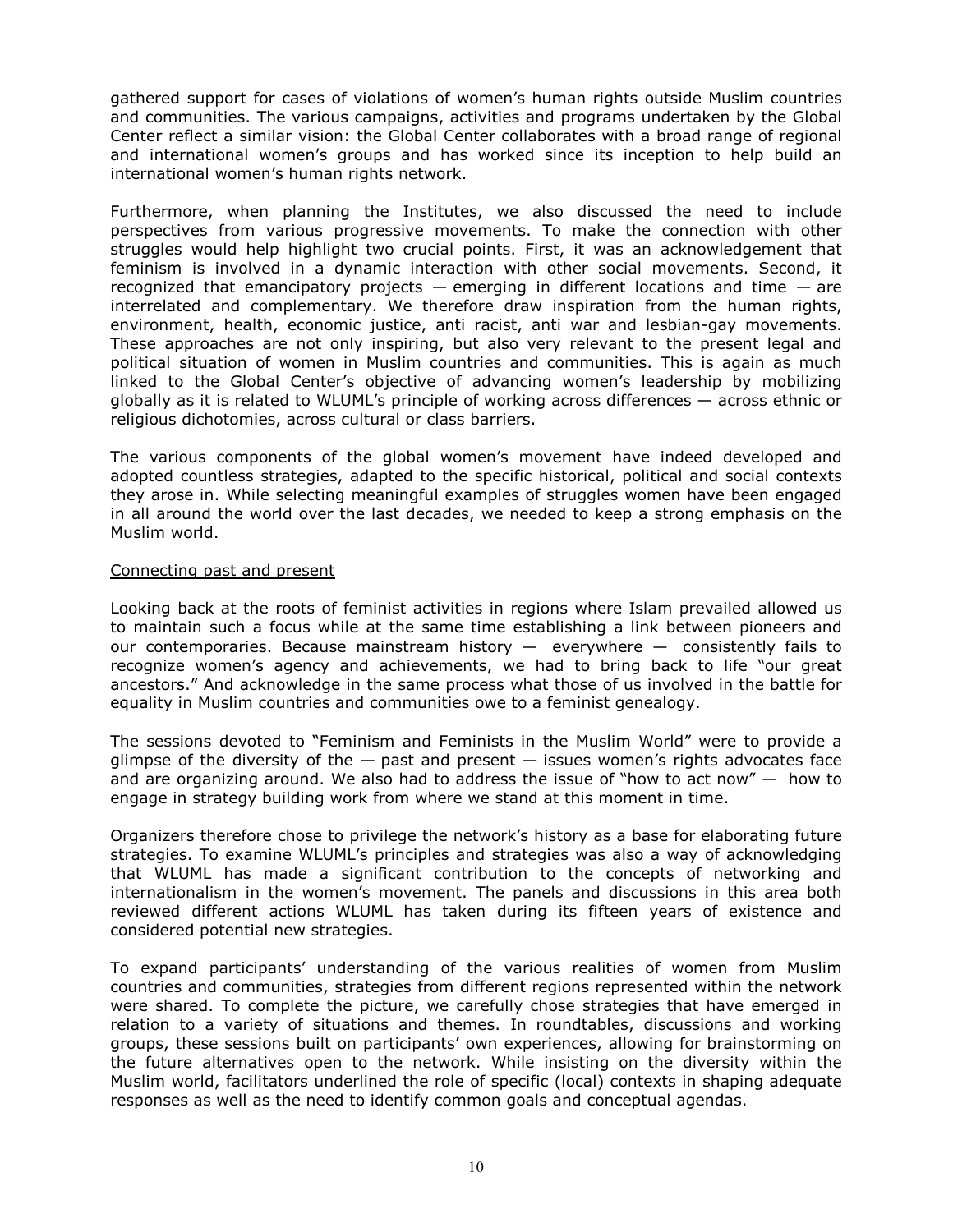gathered support for cases of violations of women's human rights outside Muslim countries and communities. The various campaigns, activities and programs undertaken by the Global Center reflect a similar vision: the Global Center collaborates with a broad range of regional and international women's groups and has worked since its inception to help build an international women's human rights network.

Furthermore, when planning the Institutes, we also discussed the need to include perspectives from various progressive movements. To make the connection with other struggles would help highlight two crucial points. First, it was an acknowledgement that feminism is involved in a dynamic interaction with other social movements. Second, it recognized that emancipatory projects  $-$  emerging in different locations and time  $-$  are interrelated and complementary. We therefore draw inspiration from the human rights, environment, health, economic justice, anti racist, anti war and lesbian-gay movements. These approaches are not only inspiring, but also very relevant to the present legal and political situation of women in Muslim countries and communities. This is again as much linked to the Global Center's objective of advancing women's leadership by mobilizing globally as it is related to WLUML's principle of working across differences — across ethnic or religious dichotomies, across cultural or class barriers.

The various components of the global women's movement have indeed developed and adopted countless strategies, adapted to the specific historical, political and social contexts they arose in. While selecting meaningful examples of struggles women have been engaged in all around the world over the last decades, we needed to keep a strong emphasis on the Muslim world.

#### Connecting past and present

Looking back at the roots of feminist activities in regions where Islam prevailed allowed us to maintain such a focus while at the same time establishing a link between pioneers and our contemporaries. Because mainstream history  $-$  everywhere  $-$  consistently fails to recognize women's agency and achievements, we had to bring back to life "our great ancestors." And acknowledge in the same process what those of us involved in the battle for equality in Muslim countries and communities owe to a feminist genealogy.

The sessions devoted to "Feminism and Feminists in the Muslim World" were to provide a glimpse of the diversity of the  $-$  past and present  $-$  issues women's rights advocates face and are organizing around. We also had to address the issue of "how to act now"  $-$  how to engage in strategy building work from where we stand at this moment in time.

Organizers therefore chose to privilege the network's history as a base for elaborating future strategies. To examine WLUML's principles and strategies was also a way of acknowledging that WLUML has made a significant contribution to the concepts of networking and internationalism in the women's movement. The panels and discussions in this area both reviewed different actions WLUML has taken during its fifteen years of existence and considered potential new strategies.

To expand participants' understanding of the various realities of women from Muslim countries and communities, strategies from different regions represented within the network were shared. To complete the picture, we carefully chose strategies that have emerged in relation to a variety of situations and themes. In roundtables, discussions and working groups, these sessions built on participants' own experiences, allowing for brainstorming on the future alternatives open to the network. While insisting on the diversity within the Muslim world, facilitators underlined the role of specific (local) contexts in shaping adequate responses as well as the need to identify common goals and conceptual agendas.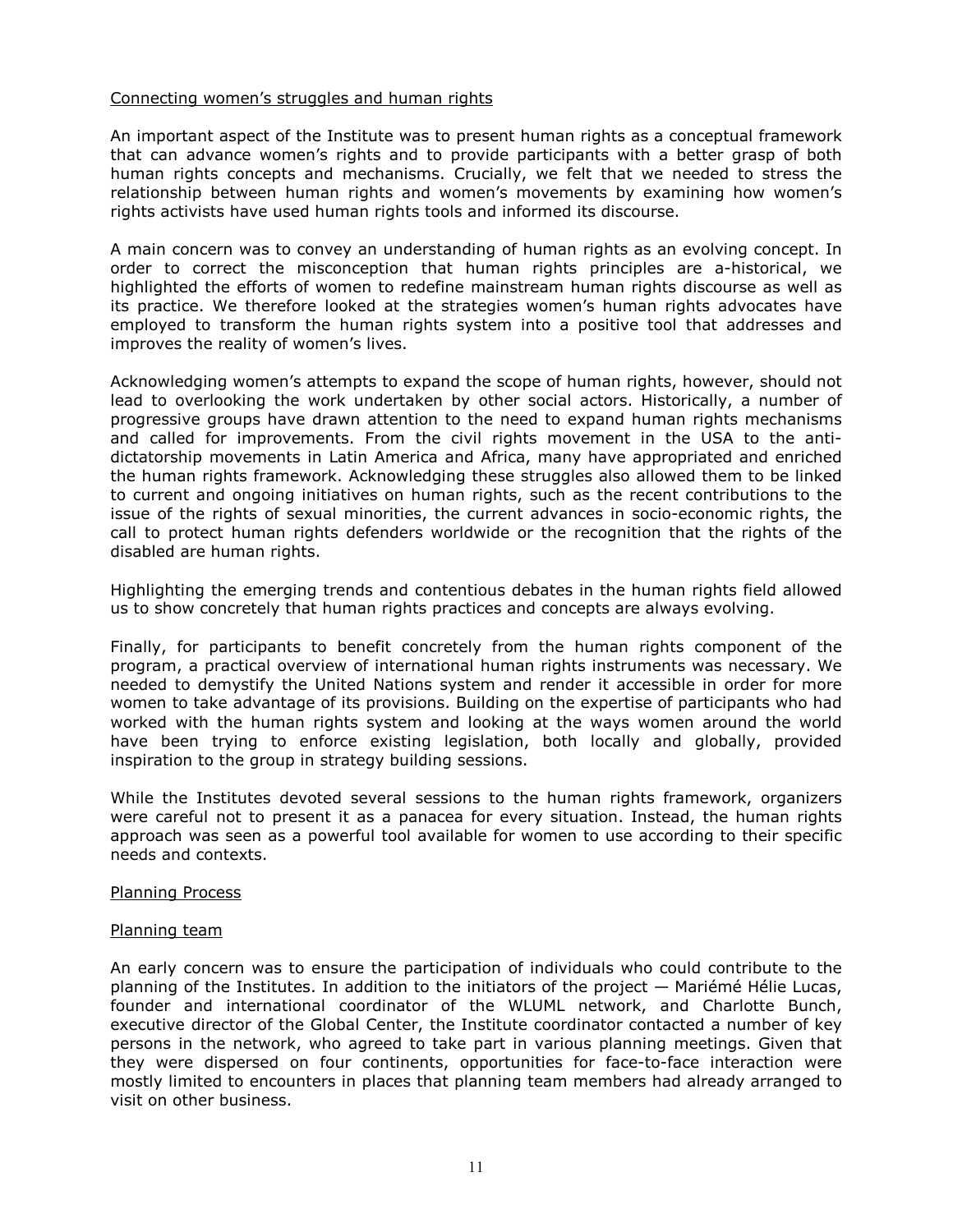## Connecting women's struggles and human rights

An important aspect of the Institute was to present human rights as a conceptual framework that can advance women's rights and to provide participants with a better grasp of both human rights concepts and mechanisms. Crucially, we felt that we needed to stress the relationship between human rights and women's movements by examining how women's rights activists have used human rights tools and informed its discourse.

A main concern was to convey an understanding of human rights as an evolving concept. In order to correct the misconception that human rights principles are a-historical, we highlighted the efforts of women to redefine mainstream human rights discourse as well as its practice. We therefore looked at the strategies women's human rights advocates have employed to transform the human rights system into a positive tool that addresses and improves the reality of women's lives.

Acknowledging women's attempts to expand the scope of human rights, however, should not lead to overlooking the work undertaken by other social actors. Historically, a number of progressive groups have drawn attention to the need to expand human rights mechanisms and called for improvements. From the civil rights movement in the USA to the antidictatorship movements in Latin America and Africa, many have appropriated and enriched the human rights framework. Acknowledging these struggles also allowed them to be linked to current and ongoing initiatives on human rights, such as the recent contributions to the issue of the rights of sexual minorities, the current advances in socio-economic rights, the call to protect human rights defenders worldwide or the recognition that the rights of the disabled are human rights.

Highlighting the emerging trends and contentious debates in the human rights field allowed us to show concretely that human rights practices and concepts are always evolving.

Finally, for participants to benefit concretely from the human rights component of the program, a practical overview of international human rights instruments was necessary. We needed to demystify the United Nations system and render it accessible in order for more women to take advantage of its provisions. Building on the expertise of participants who had worked with the human rights system and looking at the ways women around the world have been trying to enforce existing legislation, both locally and globally, provided inspiration to the group in strategy building sessions.

While the Institutes devoted several sessions to the human rights framework, organizers were careful not to present it as a panacea for every situation. Instead, the human rights approach was seen as a powerful tool available for women to use according to their specific needs and contexts.

## Planning Process

#### Planning team

An early concern was to ensure the participation of individuals who could contribute to the planning of the Institutes. In addition to the initiators of the project — Mariémé Hélie Lucas, founder and international coordinator of the WLUML network, and Charlotte Bunch, executive director of the Global Center, the Institute coordinator contacted a number of key persons in the network, who agreed to take part in various planning meetings. Given that they were dispersed on four continents, opportunities for face-to-face interaction were mostly limited to encounters in places that planning team members had already arranged to visit on other business.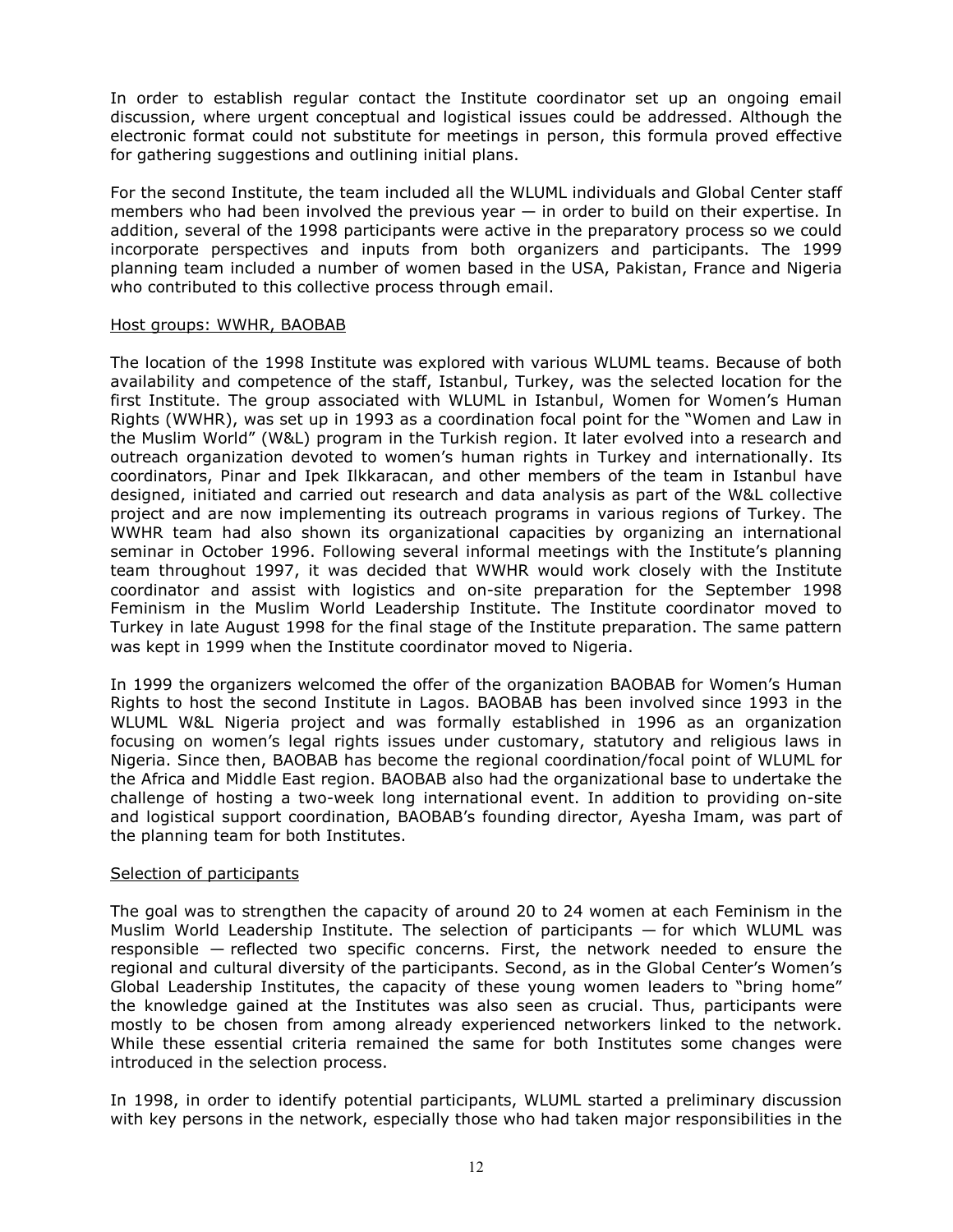In order to establish regular contact the Institute coordinator set up an ongoing email discussion, where urgent conceptual and logistical issues could be addressed. Although the electronic format could not substitute for meetings in person, this formula proved effective for gathering suggestions and outlining initial plans.

For the second Institute, the team included all the WLUML individuals and Global Center staff members who had been involved the previous year — in order to build on their expertise. In addition, several of the 1998 participants were active in the preparatory process so we could incorporate perspectives and inputs from both organizers and participants. The 1999 planning team included a number of women based in the USA, Pakistan, France and Nigeria who contributed to this collective process through email.

#### Host groups: WWHR, BAOBAB

The location of the 1998 Institute was explored with various WLUML teams. Because of both availability and competence of the staff, Istanbul, Turkey, was the selected location for the first Institute. The group associated with WLUML in Istanbul, Women for Women's Human Rights (WWHR), was set up in 1993 as a coordination focal point for the "Women and Law in the Muslim World" (W&L) program in the Turkish region. It later evolved into a research and outreach organization devoted to women's human rights in Turkey and internationally. Its coordinators, Pinar and Ipek Ilkkaracan, and other members of the team in Istanbul have designed, initiated and carried out research and data analysis as part of the W&L collective project and are now implementing its outreach programs in various regions of Turkey. The WWHR team had also shown its organizational capacities by organizing an international seminar in October 1996. Following several informal meetings with the Institute's planning team throughout 1997, it was decided that WWHR would work closely with the Institute coordinator and assist with logistics and on-site preparation for the September 1998 Feminism in the Muslim World Leadership Institute. The Institute coordinator moved to Turkey in late August 1998 for the final stage of the Institute preparation. The same pattern was kept in 1999 when the Institute coordinator moved to Nigeria.

In 1999 the organizers welcomed the offer of the organization BAOBAB for Women's Human Rights to host the second Institute in Lagos. BAOBAB has been involved since 1993 in the WLUML W&L Nigeria project and was formally established in 1996 as an organization focusing on women's legal rights issues under customary, statutory and religious laws in Nigeria. Since then, BAOBAB has become the regional coordination/focal point of WLUML for the Africa and Middle East region. BAOBAB also had the organizational base to undertake the challenge of hosting a two-week long international event. In addition to providing on-site and logistical support coordination, BAOBAB's founding director, Ayesha Imam, was part of the planning team for both Institutes.

## Selection of participants

The goal was to strengthen the capacity of around 20 to 24 women at each Feminism in the Muslim World Leadership Institute. The selection of participants — for which WLUML was responsible — reflected two specific concerns. First, the network needed to ensure the regional and cultural diversity of the participants. Second, as in the Global Center's Women's Global Leadership Institutes, the capacity of these young women leaders to "bring home" the knowledge gained at the Institutes was also seen as crucial. Thus, participants were mostly to be chosen from among already experienced networkers linked to the network. While these essential criteria remained the same for both Institutes some changes were introduced in the selection process.

In 1998, in order to identify potential participants, WLUML started a preliminary discussion with key persons in the network, especially those who had taken major responsibilities in the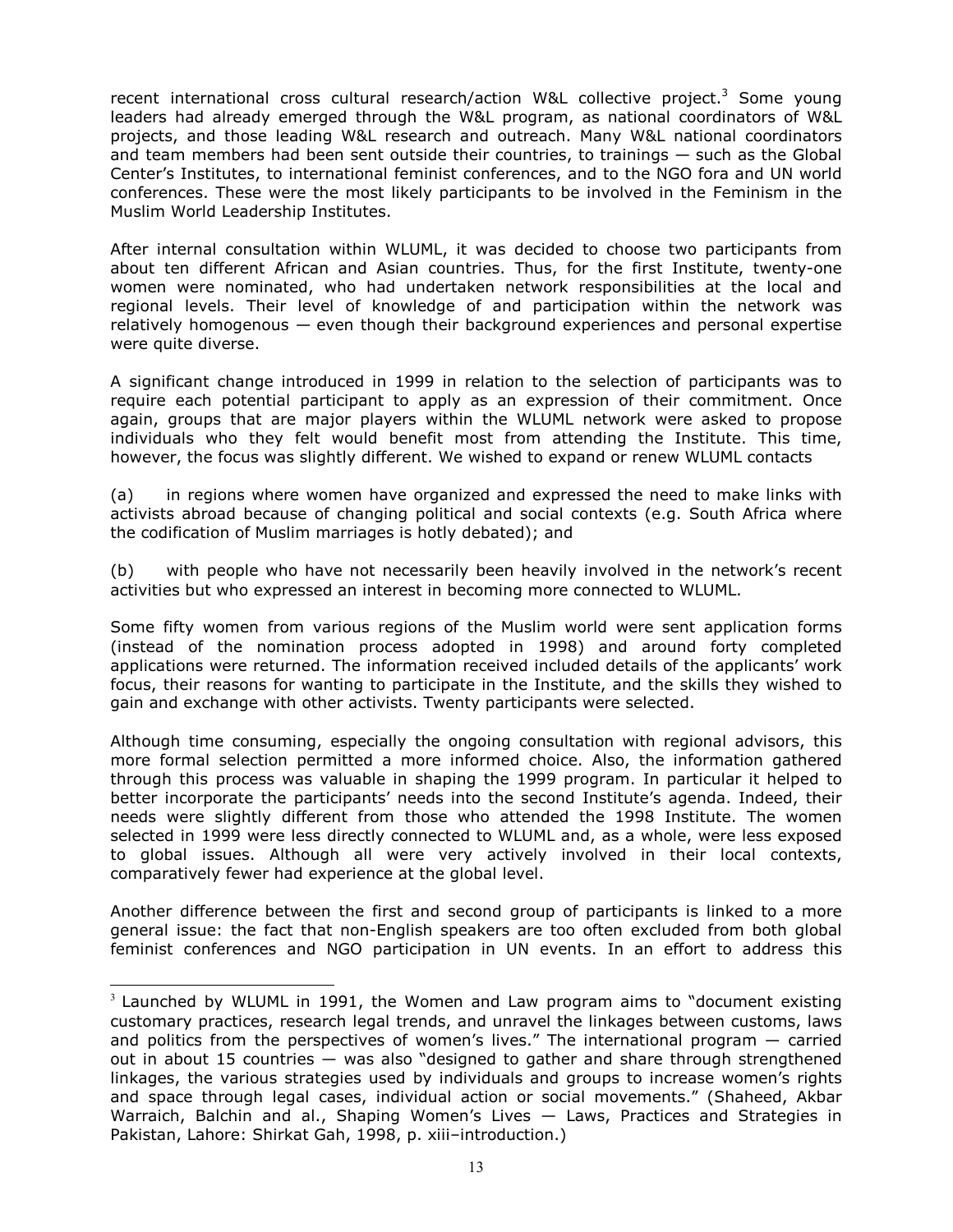recent international cross cultural research/action W&L collective project.<sup>3</sup> Some young leaders had already emerged through the W&L program, as national coordinators of W&L projects, and those leading W&L research and outreach. Many W&L national coordinators and team members had been sent outside their countries, to trainings — such as the Global Center's Institutes, to international feminist conferences, and to the NGO fora and UN world conferences. These were the most likely participants to be involved in the Feminism in the Muslim World Leadership Institutes.

After internal consultation within WLUML, it was decided to choose two participants from about ten different African and Asian countries. Thus, for the first Institute, twenty-one women were nominated, who had undertaken network responsibilities at the local and regional levels. Their level of knowledge of and participation within the network was relatively homogenous — even though their background experiences and personal expertise were quite diverse.

A significant change introduced in 1999 in relation to the selection of participants was to require each potential participant to apply as an expression of their commitment. Once again, groups that are major players within the WLUML network were asked to propose individuals who they felt would benefit most from attending the Institute. This time, however, the focus was slightly different. We wished to expand or renew WLUML contacts

(a) in regions where women have organized and expressed the need to make links with activists abroad because of changing political and social contexts (e.g. South Africa where the codification of Muslim marriages is hotly debated); and

(b) with people who have not necessarily been heavily involved in the network's recent activities but who expressed an interest in becoming more connected to WLUML.

Some fifty women from various regions of the Muslim world were sent application forms (instead of the nomination process adopted in 1998) and around forty completed applications were returned. The information received included details of the applicants' work focus, their reasons for wanting to participate in the Institute, and the skills they wished to gain and exchange with other activists. Twenty participants were selected.

Although time consuming, especially the ongoing consultation with regional advisors, this more formal selection permitted a more informed choice. Also, the information gathered through this process was valuable in shaping the 1999 program. In particular it helped to better incorporate the participants' needs into the second Institute's agenda. Indeed, their needs were slightly different from those who attended the 1998 Institute. The women selected in 1999 were less directly connected to WLUML and, as a whole, were less exposed to global issues. Although all were very actively involved in their local contexts, comparatively fewer had experience at the global level.

Another difference between the first and second group of participants is linked to a more general issue: the fact that non-English speakers are too often excluded from both global feminist conferences and NGO participation in UN events. In an effort to address this

 $\overline{a}$ 

 $3$  Launched by WLUML in 1991, the Women and Law program aims to "document existing customary practices, research legal trends, and unravel the linkages between customs, laws and politics from the perspectives of women's lives." The international program — carried out in about 15 countries — was also "designed to gather and share through strengthened linkages, the various strategies used by individuals and groups to increase women's rights and space through legal cases, individual action or social movements." (Shaheed, Akbar Warraich, Balchin and al., Shaping Women's Lives — Laws, Practices and Strategies in Pakistan, Lahore: Shirkat Gah, 1998, p. xiii–introduction.)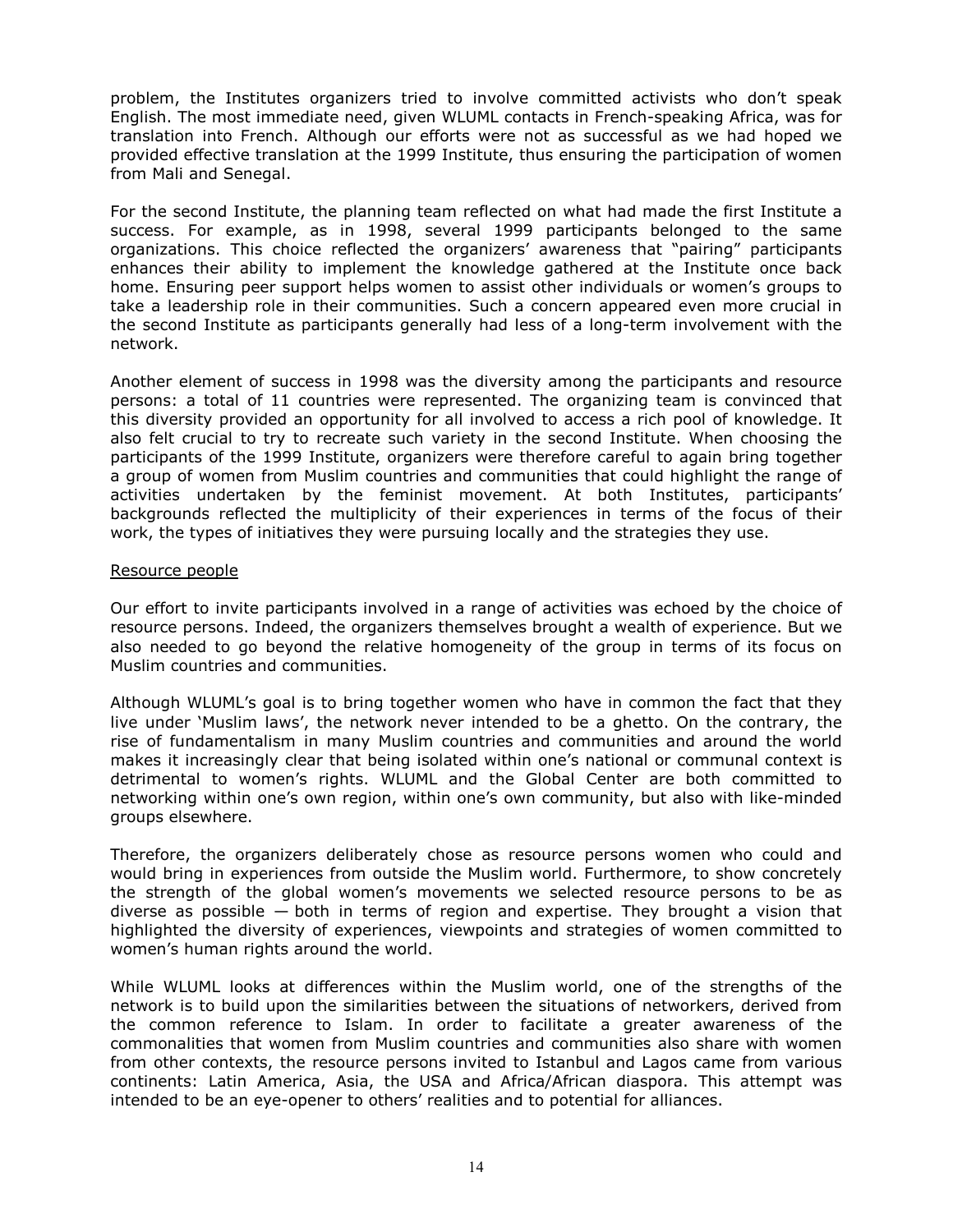problem, the Institutes organizers tried to involve committed activists who don't speak English. The most immediate need, given WLUML contacts in French-speaking Africa, was for translation into French. Although our efforts were not as successful as we had hoped we provided effective translation at the 1999 Institute, thus ensuring the participation of women from Mali and Senegal.

For the second Institute, the planning team reflected on what had made the first Institute a success. For example, as in 1998, several 1999 participants belonged to the same organizations. This choice reflected the organizers' awareness that "pairing" participants enhances their ability to implement the knowledge gathered at the Institute once back home. Ensuring peer support helps women to assist other individuals or women's groups to take a leadership role in their communities. Such a concern appeared even more crucial in the second Institute as participants generally had less of a long-term involvement with the network.

Another element of success in 1998 was the diversity among the participants and resource persons: a total of 11 countries were represented. The organizing team is convinced that this diversity provided an opportunity for all involved to access a rich pool of knowledge. It also felt crucial to try to recreate such variety in the second Institute. When choosing the participants of the 1999 Institute, organizers were therefore careful to again bring together a group of women from Muslim countries and communities that could highlight the range of activities undertaken by the feminist movement. At both Institutes, participants' backgrounds reflected the multiplicity of their experiences in terms of the focus of their work, the types of initiatives they were pursuing locally and the strategies they use.

#### Resource people

Our effort to invite participants involved in a range of activities was echoed by the choice of resource persons. Indeed, the organizers themselves brought a wealth of experience. But we also needed to go beyond the relative homogeneity of the group in terms of its focus on Muslim countries and communities.

Although WLUML's goal is to bring together women who have in common the fact that they live under 'Muslim laws', the network never intended to be a ghetto. On the contrary, the rise of fundamentalism in many Muslim countries and communities and around the world makes it increasingly clear that being isolated within one's national or communal context is detrimental to women's rights. WLUML and the Global Center are both committed to networking within one's own region, within one's own community, but also with like-minded groups elsewhere.

Therefore, the organizers deliberately chose as resource persons women who could and would bring in experiences from outside the Muslim world. Furthermore, to show concretely the strength of the global women's movements we selected resource persons to be as diverse as possible  $-$  both in terms of region and expertise. They brought a vision that highlighted the diversity of experiences, viewpoints and strategies of women committed to women's human rights around the world.

While WLUML looks at differences within the Muslim world, one of the strengths of the network is to build upon the similarities between the situations of networkers, derived from the common reference to Islam. In order to facilitate a greater awareness of the commonalities that women from Muslim countries and communities also share with women from other contexts, the resource persons invited to Istanbul and Lagos came from various continents: Latin America, Asia, the USA and Africa/African diaspora. This attempt was intended to be an eye-opener to others' realities and to potential for alliances.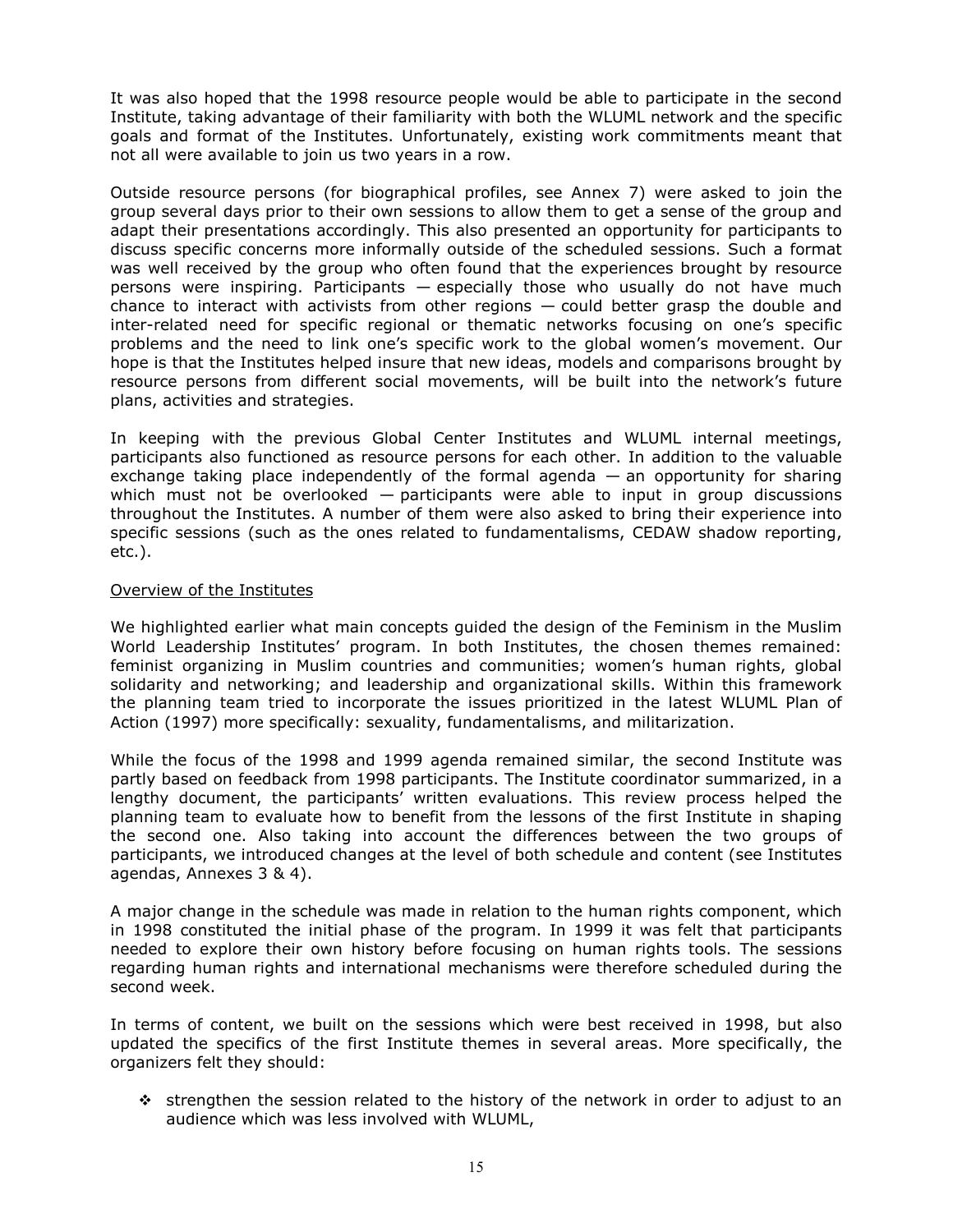It was also hoped that the 1998 resource people would be able to participate in the second Institute, taking advantage of their familiarity with both the WLUML network and the specific goals and format of the Institutes. Unfortunately, existing work commitments meant that not all were available to join us two years in a row.

Outside resource persons (for biographical profiles, see Annex 7) were asked to join the group several days prior to their own sessions to allow them to get a sense of the group and adapt their presentations accordingly. This also presented an opportunity for participants to discuss specific concerns more informally outside of the scheduled sessions. Such a format was well received by the group who often found that the experiences brought by resource persons were inspiring. Participants — especially those who usually do not have much chance to interact with activists from other regions — could better grasp the double and inter-related need for specific regional or thematic networks focusing on one's specific problems and the need to link one's specific work to the global women's movement. Our hope is that the Institutes helped insure that new ideas, models and comparisons brought by resource persons from different social movements, will be built into the network's future plans, activities and strategies.

In keeping with the previous Global Center Institutes and WLUML internal meetings, participants also functioned as resource persons for each other. In addition to the valuable exchange taking place independently of the formal agenda — an opportunity for sharing which must not be overlooked  $-$  participants were able to input in group discussions throughout the Institutes. A number of them were also asked to bring their experience into specific sessions (such as the ones related to fundamentalisms, CEDAW shadow reporting, etc.).

#### Overview of the Institutes

We highlighted earlier what main concepts guided the design of the Feminism in the Muslim World Leadership Institutes' program. In both Institutes, the chosen themes remained: feminist organizing in Muslim countries and communities; women's human rights, global solidarity and networking; and leadership and organizational skills. Within this framework the planning team tried to incorporate the issues prioritized in the latest WLUML Plan of Action (1997) more specifically: sexuality, fundamentalisms, and militarization.

While the focus of the 1998 and 1999 agenda remained similar, the second Institute was partly based on feedback from 1998 participants. The Institute coordinator summarized, in a lengthy document, the participants' written evaluations. This review process helped the planning team to evaluate how to benefit from the lessons of the first Institute in shaping the second one. Also taking into account the differences between the two groups of participants, we introduced changes at the level of both schedule and content (see Institutes agendas, Annexes 3 & 4).

A major change in the schedule was made in relation to the human rights component, which in 1998 constituted the initial phase of the program. In 1999 it was felt that participants needed to explore their own history before focusing on human rights tools. The sessions regarding human rights and international mechanisms were therefore scheduled during the second week.

In terms of content, we built on the sessions which were best received in 1998, but also updated the specifics of the first Institute themes in several areas. More specifically, the organizers felt they should:

 $\div$  strengthen the session related to the history of the network in order to adjust to an audience which was less involved with WLUML,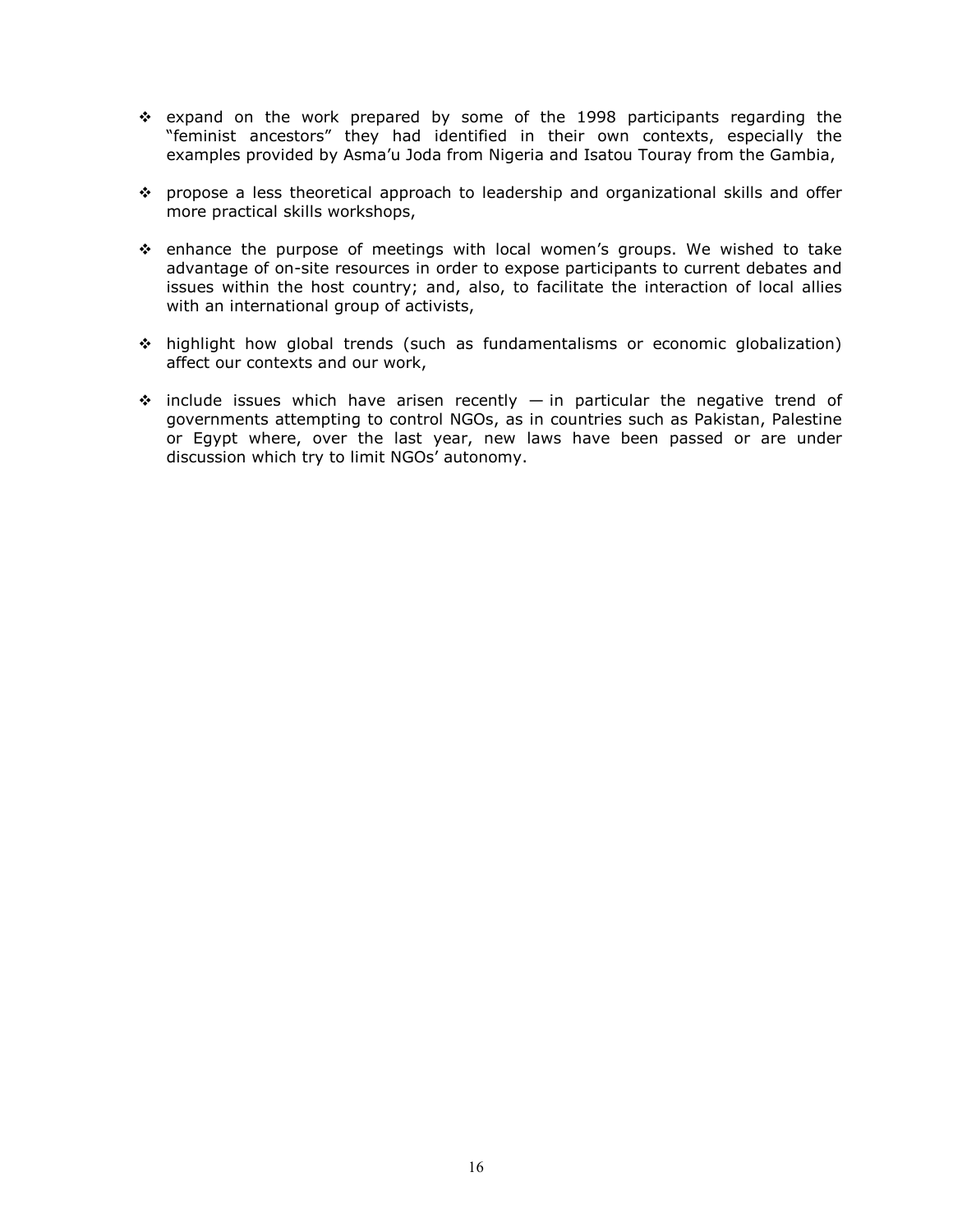- $\div$  expand on the work prepared by some of the 1998 participants regarding the "feminist ancestors" they had identified in their own contexts, especially the examples provided by Asma'u Joda from Nigeria and Isatou Touray from the Gambia,
- propose a less theoretical approach to leadership and organizational skills and offer more practical skills workshops,
- $\div$  enhance the purpose of meetings with local women's groups. We wished to take advantage of on-site resources in order to expose participants to current debates and issues within the host country; and, also, to facilitate the interaction of local allies with an international group of activists,
- highlight how global trends (such as fundamentalisms or economic globalization) affect our contexts and our work,
- $\div$  include issues which have arisen recently in particular the negative trend of governments attempting to control NGOs, as in countries such as Pakistan, Palestine or Egypt where, over the last year, new laws have been passed or are under discussion which try to limit NGOs' autonomy.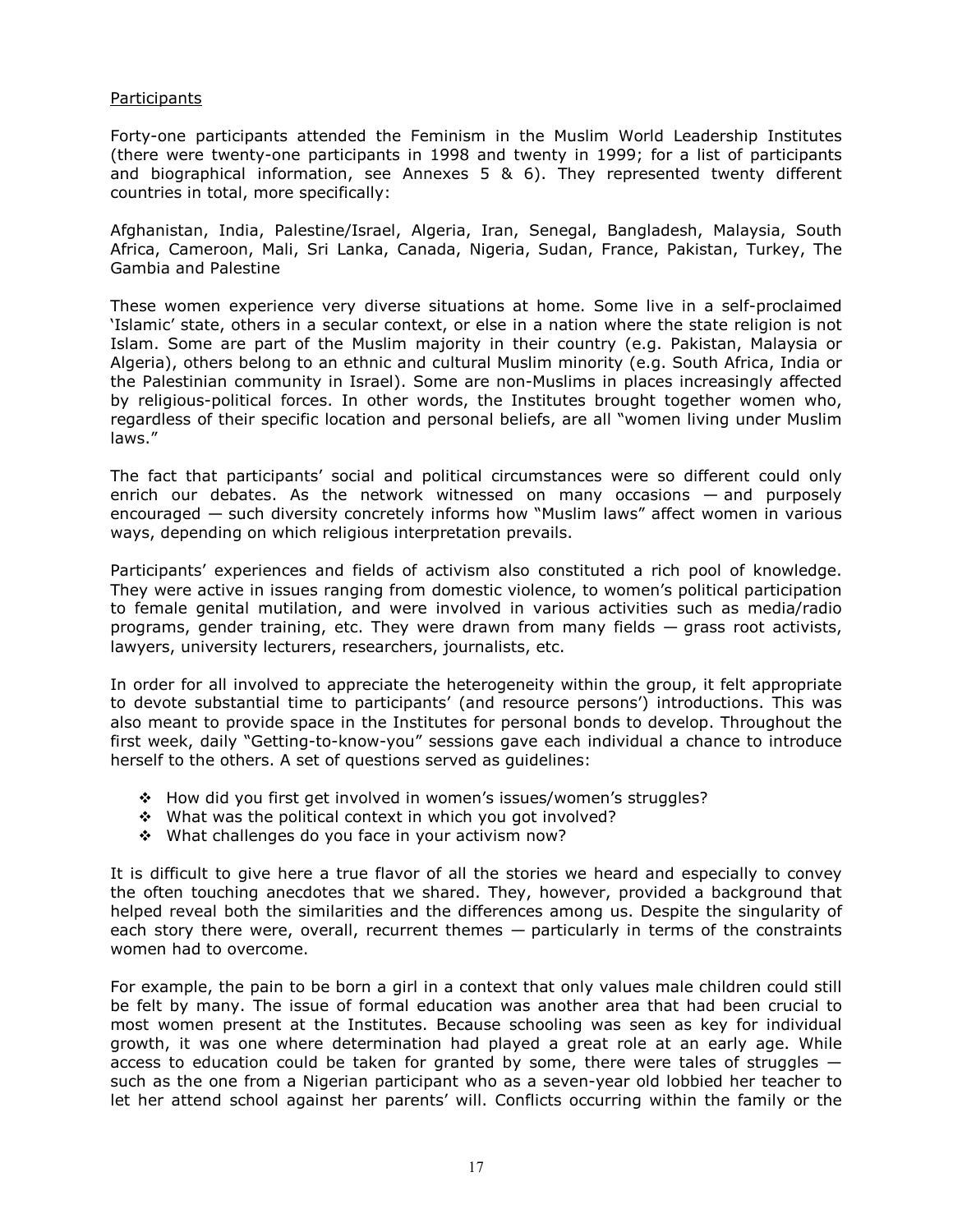## **Participants**

Forty-one participants attended the Feminism in the Muslim World Leadership Institutes (there were twenty-one participants in 1998 and twenty in 1999; for a list of participants and biographical information, see Annexes  $5 \& 6$ ). They represented twenty different countries in total, more specifically:

Afghanistan, India, Palestine/Israel, Algeria, Iran, Senegal, Bangladesh, Malaysia, South Africa, Cameroon, Mali, Sri Lanka, Canada, Nigeria, Sudan, France, Pakistan, Turkey, The Gambia and Palestine

These women experience very diverse situations at home. Some live in a self-proclaimed 'Islamic' state, others in a secular context, or else in a nation where the state religion is not Islam. Some are part of the Muslim majority in their country (e.g. Pakistan, Malaysia or Algeria), others belong to an ethnic and cultural Muslim minority (e.g. South Africa, India or the Palestinian community in Israel). Some are non-Muslims in places increasingly affected by religious-political forces. In other words, the Institutes brought together women who, regardless of their specific location and personal beliefs, are all "women living under Muslim laws."

The fact that participants' social and political circumstances were so different could only enrich our debates. As the network witnessed on many occasions — and purposely encouraged — such diversity concretely informs how "Muslim laws" affect women in various ways, depending on which religious interpretation prevails.

Participants' experiences and fields of activism also constituted a rich pool of knowledge. They were active in issues ranging from domestic violence, to women's political participation to female genital mutilation, and were involved in various activities such as media/radio programs, gender training, etc. They were drawn from many fields — grass root activists, lawyers, university lecturers, researchers, journalists, etc.

In order for all involved to appreciate the heterogeneity within the group, it felt appropriate to devote substantial time to participants' (and resource persons') introductions. This was also meant to provide space in the Institutes for personal bonds to develop. Throughout the first week, daily "Getting-to-know-you" sessions gave each individual a chance to introduce herself to the others. A set of questions served as guidelines:

- How did you first get involved in women's issues/women's struggles?
- \* What was the political context in which you got involved?
- \* What challenges do you face in your activism now?

It is difficult to give here a true flavor of all the stories we heard and especially to convey the often touching anecdotes that we shared. They, however, provided a background that helped reveal both the similarities and the differences among us. Despite the singularity of each story there were, overall, recurrent themes — particularly in terms of the constraints women had to overcome.

For example, the pain to be born a girl in a context that only values male children could still be felt by many. The issue of formal education was another area that had been crucial to most women present at the Institutes. Because schooling was seen as key for individual growth, it was one where determination had played a great role at an early age. While access to education could be taken for granted by some, there were tales of struggles  $$ such as the one from a Nigerian participant who as a seven-year old lobbied her teacher to let her attend school against her parents' will. Conflicts occurring within the family or the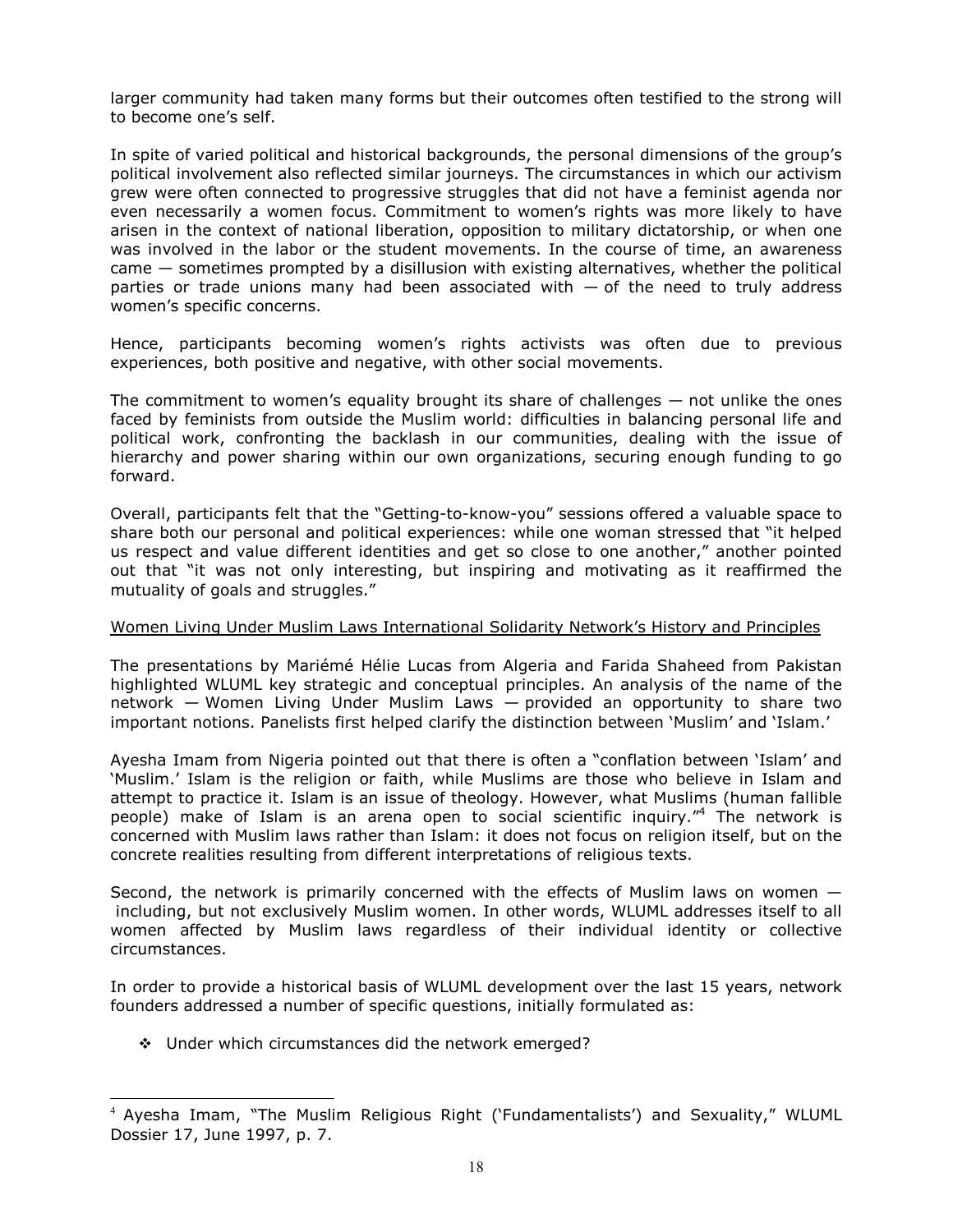larger community had taken many forms but their outcomes often testified to the strong will to become one's self.

In spite of varied political and historical backgrounds, the personal dimensions of the group's political involvement also reflected similar journeys. The circumstances in which our activism grew were often connected to progressive struggles that did not have a feminist agenda nor even necessarily a women focus. Commitment to women's rights was more likely to have arisen in the context of national liberation, opposition to military dictatorship, or when one was involved in the labor or the student movements. In the course of time, an awareness came — sometimes prompted by a disillusion with existing alternatives, whether the political parties or trade unions many had been associated with  $-$  of the need to truly address women's specific concerns.

Hence, participants becoming women's rights activists was often due to previous experiences, both positive and negative, with other social movements.

The commitment to women's equality brought its share of challenges  $-$  not unlike the ones faced by feminists from outside the Muslim world: difficulties in balancing personal life and political work, confronting the backlash in our communities, dealing with the issue of hierarchy and power sharing within our own organizations, securing enough funding to go forward.

Overall, participants felt that the "Getting-to-know-you" sessions offered a valuable space to share both our personal and political experiences: while one woman stressed that "it helped us respect and value different identities and get so close to one another," another pointed out that "it was not only interesting, but inspiring and motivating as it reaffirmed the mutuality of goals and struggles."

#### Women Living Under Muslim Laws International Solidarity Network's History and Principles

The presentations by Mariémé Hélie Lucas from Algeria and Farida Shaheed from Pakistan highlighted WLUML key strategic and conceptual principles. An analysis of the name of the network — Women Living Under Muslim Laws — provided an opportunity to share two important notions. Panelists first helped clarify the distinction between 'Muslim' and 'Islam.'

Ayesha Imam from Nigeria pointed out that there is often a "conflation between 'Islam' and 'Muslim.' Islam is the religion or faith, while Muslims are those who believe in Islam and attempt to practice it. Islam is an issue of theology. However, what Muslims (human fallible people) make of Islam is an arena open to social scientific inquiry."<sup>4</sup> The network is concerned with Muslim laws rather than Islam: it does not focus on religion itself, but on the concrete realities resulting from different interpretations of religious texts.

Second, the network is primarily concerned with the effects of Muslim laws on women including, but not exclusively Muslim women. In other words, WLUML addresses itself to all women affected by Muslim laws regardless of their individual identity or collective circumstances.

In order to provide a historical basis of WLUML development over the last 15 years, network founders addressed a number of specific questions, initially formulated as:

\* Under which circumstances did the network emerged?

֦

<sup>4</sup> Ayesha Imam, "The Muslim Religious Right ('Fundamentalists') and Sexuality," WLUML Dossier 17, June 1997, p. 7.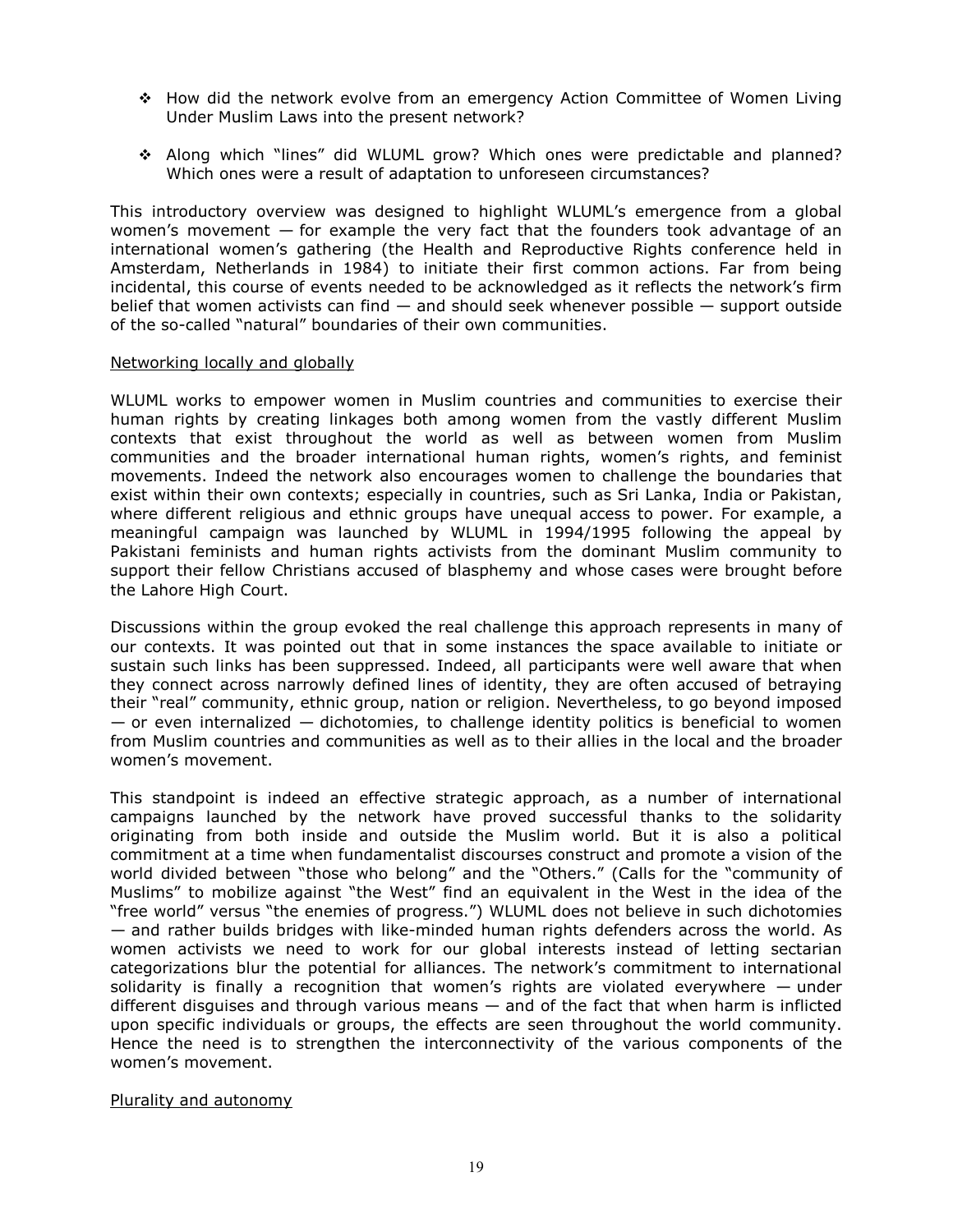- How did the network evolve from an emergency Action Committee of Women Living Under Muslim Laws into the present network?
- Along which "lines" did WLUML grow? Which ones were predictable and planned? Which ones were a result of adaptation to unforeseen circumstances?

This introductory overview was designed to highlight WLUML's emergence from a global women's movement  $-$  for example the very fact that the founders took advantage of an international women's gathering (the Health and Reproductive Rights conference held in Amsterdam, Netherlands in 1984) to initiate their first common actions. Far from being incidental, this course of events needed to be acknowledged as it reflects the network's firm belief that women activists can find — and should seek whenever possible — support outside of the so-called "natural" boundaries of their own communities.

#### Networking locally and globally

WLUML works to empower women in Muslim countries and communities to exercise their human rights by creating linkages both among women from the vastly different Muslim contexts that exist throughout the world as well as between women from Muslim communities and the broader international human rights, women's rights, and feminist movements. Indeed the network also encourages women to challenge the boundaries that exist within their own contexts; especially in countries, such as Sri Lanka, India or Pakistan, where different religious and ethnic groups have unequal access to power. For example, a meaningful campaign was launched by WLUML in 1994/1995 following the appeal by Pakistani feminists and human rights activists from the dominant Muslim community to support their fellow Christians accused of blasphemy and whose cases were brought before the Lahore High Court.

Discussions within the group evoked the real challenge this approach represents in many of our contexts. It was pointed out that in some instances the space available to initiate or sustain such links has been suppressed. Indeed, all participants were well aware that when they connect across narrowly defined lines of identity, they are often accused of betraying their "real" community, ethnic group, nation or religion. Nevertheless, to go beyond imposed  $-$  or even internalized  $-$  dichotomies, to challenge identity politics is beneficial to women from Muslim countries and communities as well as to their allies in the local and the broader women's movement.

This standpoint is indeed an effective strategic approach, as a number of international campaigns launched by the network have proved successful thanks to the solidarity originating from both inside and outside the Muslim world. But it is also a political commitment at a time when fundamentalist discourses construct and promote a vision of the world divided between "those who belong" and the "Others." (Calls for the "community of Muslims" to mobilize against "the West" find an equivalent in the West in the idea of the "free world" versus "the enemies of progress.") WLUML does not believe in such dichotomies — and rather builds bridges with like-minded human rights defenders across the world. As women activists we need to work for our global interests instead of letting sectarian categorizations blur the potential for alliances. The network's commitment to international solidarity is finally a recognition that women's rights are violated everywhere  $-$  under different disguises and through various means  $-$  and of the fact that when harm is inflicted upon specific individuals or groups, the effects are seen throughout the world community. Hence the need is to strengthen the interconnectivity of the various components of the women's movement.

#### Plurality and autonomy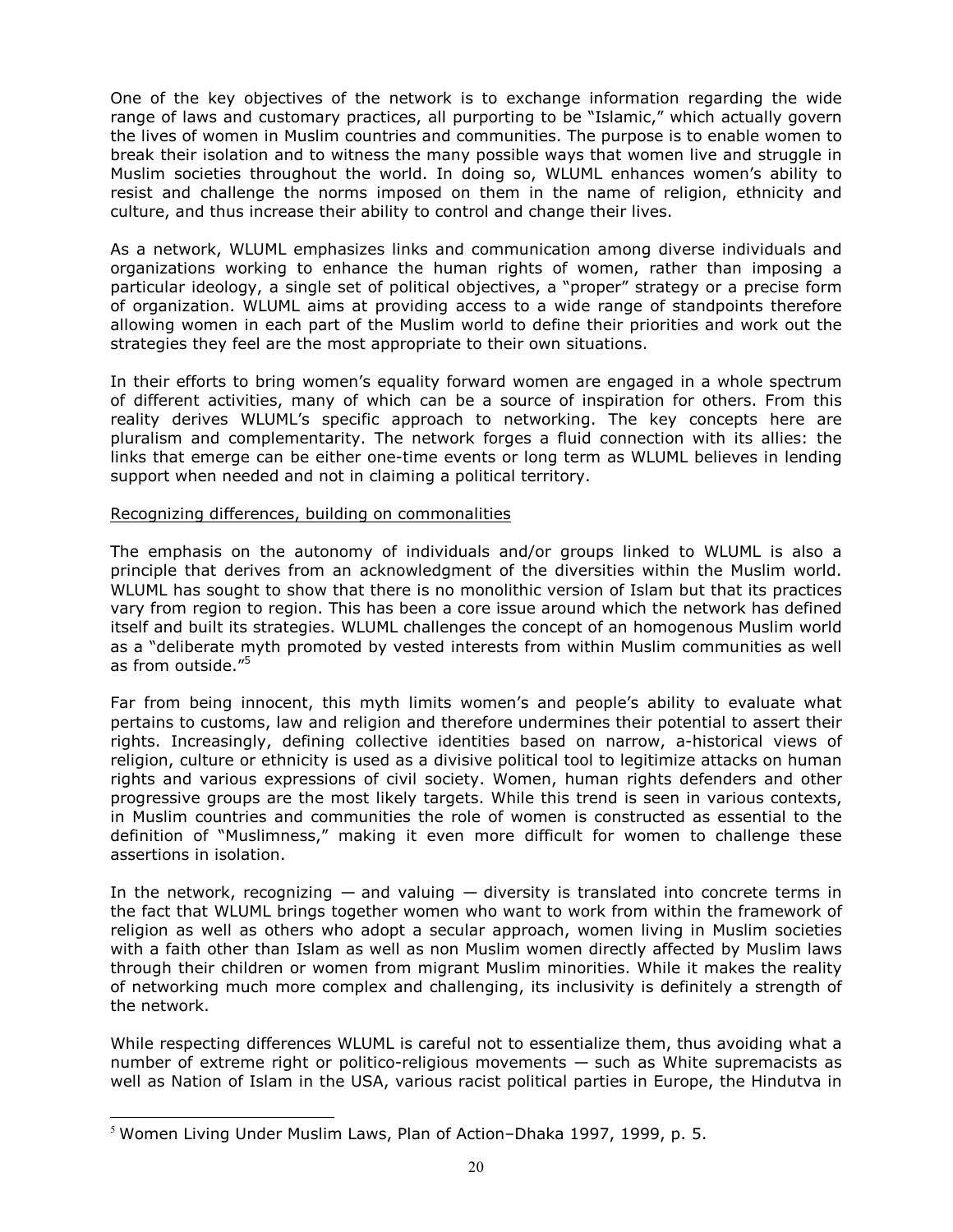One of the key objectives of the network is to exchange information regarding the wide range of laws and customary practices, all purporting to be "Islamic," which actually govern the lives of women in Muslim countries and communities. The purpose is to enable women to break their isolation and to witness the many possible ways that women live and struggle in Muslim societies throughout the world. In doing so, WLUML enhances women's ability to resist and challenge the norms imposed on them in the name of religion, ethnicity and culture, and thus increase their ability to control and change their lives.

As a network, WLUML emphasizes links and communication among diverse individuals and organizations working to enhance the human rights of women, rather than imposing a particular ideology, a single set of political objectives, a "proper" strategy or a precise form of organization. WLUML aims at providing access to a wide range of standpoints therefore allowing women in each part of the Muslim world to define their priorities and work out the strategies they feel are the most appropriate to their own situations.

In their efforts to bring women's equality forward women are engaged in a whole spectrum of different activities, many of which can be a source of inspiration for others. From this reality derives WLUML's specific approach to networking. The key concepts here are pluralism and complementarity. The network forges a fluid connection with its allies: the links that emerge can be either one-time events or long term as WLUML believes in lending support when needed and not in claiming a political territory.

#### Recognizing differences, building on commonalities

The emphasis on the autonomy of individuals and/or groups linked to WLUML is also a principle that derives from an acknowledgment of the diversities within the Muslim world. WLUML has sought to show that there is no monolithic version of Islam but that its practices vary from region to region. This has been a core issue around which the network has defined itself and built its strategies. WLUML challenges the concept of an homogenous Muslim world as a "deliberate myth promoted by vested interests from within Muslim communities as well as from outside."<sup>5</sup>

Far from being innocent, this myth limits women's and people's ability to evaluate what pertains to customs, law and religion and therefore undermines their potential to assert their rights. Increasingly, defining collective identities based on narrow, a-historical views of religion, culture or ethnicity is used as a divisive political tool to legitimize attacks on human rights and various expressions of civil society. Women, human rights defenders and other progressive groups are the most likely targets. While this trend is seen in various contexts, in Muslim countries and communities the role of women is constructed as essential to the definition of "Muslimness," making it even more difficult for women to challenge these assertions in isolation.

In the network, recognizing  $-$  and valuing  $-$  diversity is translated into concrete terms in the fact that WLUML brings together women who want to work from within the framework of religion as well as others who adopt a secular approach, women living in Muslim societies with a faith other than Islam as well as non Muslim women directly affected by Muslim laws through their children or women from migrant Muslim minorities. While it makes the reality of networking much more complex and challenging, its inclusivity is definitely a strength of the network.

While respecting differences WLUML is careful not to essentialize them, thus avoiding what a number of extreme right or politico-religious movements — such as White supremacists as well as Nation of Islam in the USA, various racist political parties in Europe, the Hindutva in

 $\overline{a}$ 

 $5$  Women Living Under Muslim Laws, Plan of Action–Dhaka 1997, 1999, p. 5.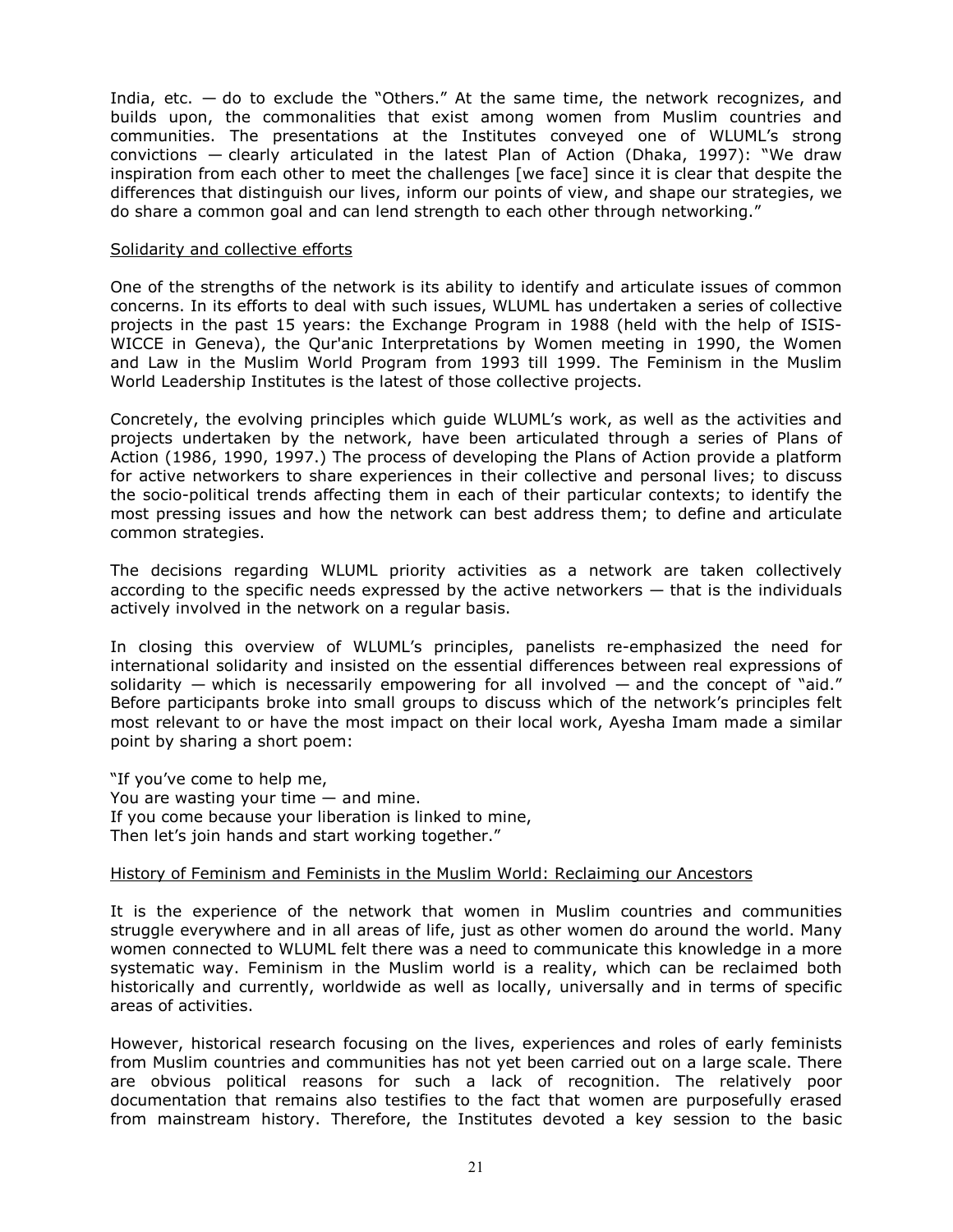India, etc.  $-$  do to exclude the "Others." At the same time, the network recognizes, and builds upon, the commonalities that exist among women from Muslim countries and communities. The presentations at the Institutes conveyed one of WLUML's strong convictions — clearly articulated in the latest Plan of Action (Dhaka, 1997): "We draw inspiration from each other to meet the challenges [we face] since it is clear that despite the differences that distinguish our lives, inform our points of view, and shape our strategies, we do share a common goal and can lend strength to each other through networking."

#### Solidarity and collective efforts

One of the strengths of the network is its ability to identify and articulate issues of common concerns. In its efforts to deal with such issues, WLUML has undertaken a series of collective projects in the past 15 years: the Exchange Program in 1988 (held with the help of ISIS-WICCE in Geneva), the Qur'anic Interpretations by Women meeting in 1990, the Women and Law in the Muslim World Program from 1993 till 1999. The Feminism in the Muslim World Leadership Institutes is the latest of those collective projects.

Concretely, the evolving principles which guide WLUML's work, as well as the activities and projects undertaken by the network, have been articulated through a series of Plans of Action (1986, 1990, 1997.) The process of developing the Plans of Action provide a platform for active networkers to share experiences in their collective and personal lives; to discuss the socio-political trends affecting them in each of their particular contexts; to identify the most pressing issues and how the network can best address them; to define and articulate common strategies.

The decisions regarding WLUML priority activities as a network are taken collectively according to the specific needs expressed by the active networkers — that is the individuals actively involved in the network on a regular basis.

In closing this overview of WLUML's principles, panelists re-emphasized the need for international solidarity and insisted on the essential differences between real expressions of solidarity  $-$  which is necessarily empowering for all involved  $-$  and the concept of "aid." Before participants broke into small groups to discuss which of the network's principles felt most relevant to or have the most impact on their local work, Ayesha Imam made a similar point by sharing a short poem:

"If you've come to help me, You are wasting your time — and mine. If you come because your liberation is linked to mine, Then let's join hands and start working together."

## History of Feminism and Feminists in the Muslim World: Reclaiming our Ancestors

It is the experience of the network that women in Muslim countries and communities struggle everywhere and in all areas of life, just as other women do around the world. Many women connected to WLUML felt there was a need to communicate this knowledge in a more systematic way. Feminism in the Muslim world is a reality, which can be reclaimed both historically and currently, worldwide as well as locally, universally and in terms of specific areas of activities.

However, historical research focusing on the lives, experiences and roles of early feminists from Muslim countries and communities has not yet been carried out on a large scale. There are obvious political reasons for such a lack of recognition. The relatively poor documentation that remains also testifies to the fact that women are purposefully erased from mainstream history. Therefore, the Institutes devoted a key session to the basic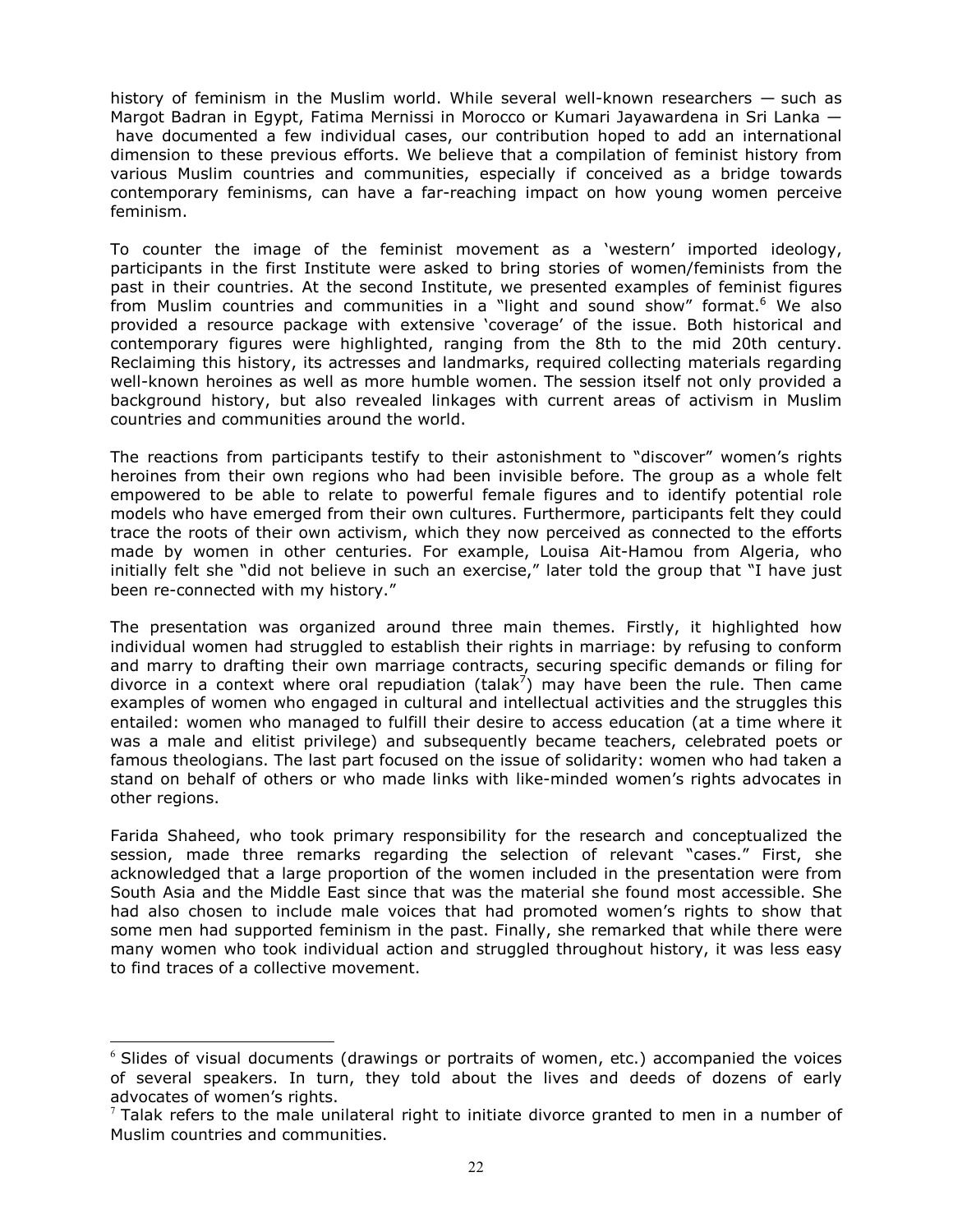history of feminism in the Muslim world. While several well-known researchers — such as Margot Badran in Egypt, Fatima Mernissi in Morocco or Kumari Jayawardena in Sri Lanka have documented a few individual cases, our contribution hoped to add an international dimension to these previous efforts. We believe that a compilation of feminist history from various Muslim countries and communities, especially if conceived as a bridge towards contemporary feminisms, can have a far-reaching impact on how young women perceive feminism.

To counter the image of the feminist movement as a 'western' imported ideology, participants in the first Institute were asked to bring stories of women/feminists from the past in their countries. At the second Institute, we presented examples of feminist figures from Muslim countries and communities in a "light and sound show" format.<sup>6</sup> We also provided a resource package with extensive 'coverage' of the issue. Both historical and contemporary figures were highlighted, ranging from the 8th to the mid 20th century. Reclaiming this history, its actresses and landmarks, required collecting materials regarding well-known heroines as well as more humble women. The session itself not only provided a background history, but also revealed linkages with current areas of activism in Muslim countries and communities around the world.

The reactions from participants testify to their astonishment to "discover" women's rights heroines from their own regions who had been invisible before. The group as a whole felt empowered to be able to relate to powerful female figures and to identify potential role models who have emerged from their own cultures. Furthermore, participants felt they could trace the roots of their own activism, which they now perceived as connected to the efforts made by women in other centuries. For example, Louisa Ait-Hamou from Algeria, who initially felt she "did not believe in such an exercise," later told the group that "I have just been re-connected with my history."

The presentation was organized around three main themes. Firstly, it highlighted how individual women had struggled to establish their rights in marriage: by refusing to conform and marry to drafting their own marriage contracts, securing specific demands or filing for divorce in a context where oral repudiation (talak<sup>7</sup>) may have been the rule. Then came examples of women who engaged in cultural and intellectual activities and the struggles this entailed: women who managed to fulfill their desire to access education (at a time where it was a male and elitist privilege) and subsequently became teachers, celebrated poets or famous theologians. The last part focused on the issue of solidarity: women who had taken a stand on behalf of others or who made links with like-minded women's rights advocates in other regions.

Farida Shaheed, who took primary responsibility for the research and conceptualized the session, made three remarks regarding the selection of relevant "cases." First, she acknowledged that a large proportion of the women included in the presentation were from South Asia and the Middle East since that was the material she found most accessible. She had also chosen to include male voices that had promoted women's rights to show that some men had supported feminism in the past. Finally, she remarked that while there were many women who took individual action and struggled throughout history, it was less easy to find traces of a collective movement.

 $\overline{a}$ 

 $6$  Slides of visual documents (drawings or portraits of women, etc.) accompanied the voices of several speakers. In turn, they told about the lives and deeds of dozens of early advocates of women's rights.

 $<sup>7</sup>$  Talak refers to the male unilateral right to initiate divorce granted to men in a number of</sup> Muslim countries and communities.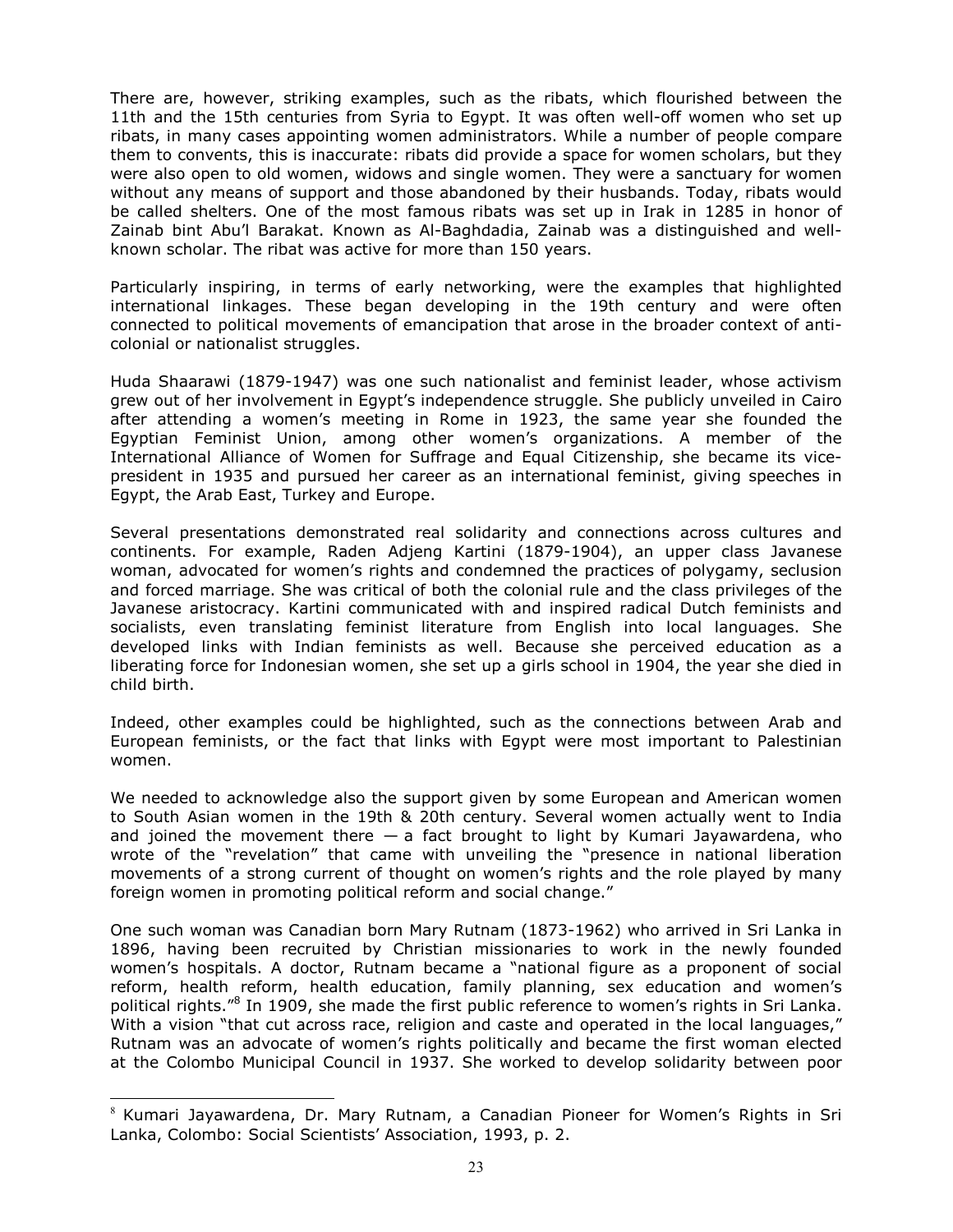There are, however, striking examples, such as the ribats, which flourished between the 11th and the 15th centuries from Syria to Egypt. It was often well-off women who set up ribats, in many cases appointing women administrators. While a number of people compare them to convents, this is inaccurate: ribats did provide a space for women scholars, but they were also open to old women, widows and single women. They were a sanctuary for women without any means of support and those abandoned by their husbands. Today, ribats would be called shelters. One of the most famous ribats was set up in Irak in 1285 in honor of Zainab bint Abu'l Barakat. Known as Al-Baghdadia, Zainab was a distinguished and wellknown scholar. The ribat was active for more than 150 years.

Particularly inspiring, in terms of early networking, were the examples that highlighted international linkages. These began developing in the 19th century and were often connected to political movements of emancipation that arose in the broader context of anticolonial or nationalist struggles.

Huda Shaarawi (1879-1947) was one such nationalist and feminist leader, whose activism grew out of her involvement in Egypt's independence struggle. She publicly unveiled in Cairo after attending a women's meeting in Rome in 1923, the same year she founded the Egyptian Feminist Union, among other women's organizations. A member of the International Alliance of Women for Suffrage and Equal Citizenship, she became its vicepresident in 1935 and pursued her career as an international feminist, giving speeches in Egypt, the Arab East, Turkey and Europe.

Several presentations demonstrated real solidarity and connections across cultures and continents. For example, Raden Adjeng Kartini (1879-1904), an upper class Javanese woman, advocated for women's rights and condemned the practices of polygamy, seclusion and forced marriage. She was critical of both the colonial rule and the class privileges of the Javanese aristocracy. Kartini communicated with and inspired radical Dutch feminists and socialists, even translating feminist literature from English into local languages. She developed links with Indian feminists as well. Because she perceived education as a liberating force for Indonesian women, she set up a girls school in 1904, the year she died in child birth.

Indeed, other examples could be highlighted, such as the connections between Arab and European feminists, or the fact that links with Egypt were most important to Palestinian women.

We needed to acknowledge also the support given by some European and American women to South Asian women in the 19th & 20th century. Several women actually went to India and joined the movement there  $-$  a fact brought to light by Kumari Jayawardena, who wrote of the "revelation" that came with unveiling the "presence in national liberation movements of a strong current of thought on women's rights and the role played by many foreign women in promoting political reform and social change."

One such woman was Canadian born Mary Rutnam (1873-1962) who arrived in Sri Lanka in 1896, having been recruited by Christian missionaries to work in the newly founded women's hospitals. A doctor, Rutnam became a "national figure as a proponent of social reform, health reform, health education, family planning, sex education and women's political rights."<sup>8</sup> In 1909, she made the first public reference to women's rights in Sri Lanka. With a vision "that cut across race, religion and caste and operated in the local languages," Rutnam was an advocate of women's rights politically and became the first woman elected at the Colombo Municipal Council in 1937. She worked to develop solidarity between poor

֦

 $8$  Kumari Jayawardena, Dr. Mary Rutnam, a Canadian Pioneer for Women's Rights in Sri Lanka, Colombo: Social Scientists' Association, 1993, p. 2.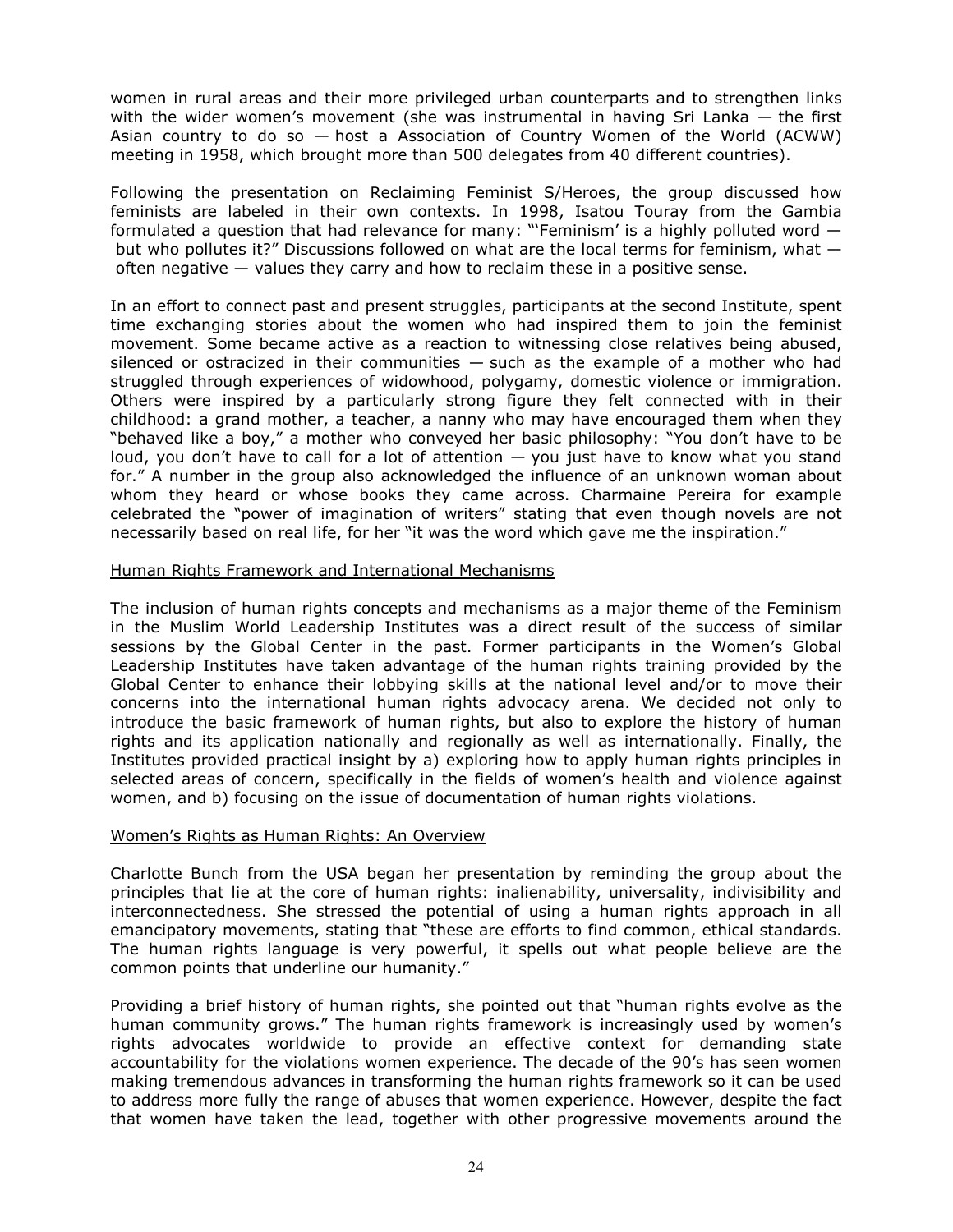women in rural areas and their more privileged urban counterparts and to strengthen links with the wider women's movement (she was instrumental in having Sri Lanka  $-$  the first Asian country to do so — host a Association of Country Women of the World (ACWW) meeting in 1958, which brought more than 500 delegates from 40 different countries).

Following the presentation on Reclaiming Feminist S/Heroes, the group discussed how feminists are labeled in their own contexts. In 1998, Isatou Touray from the Gambia formulated a question that had relevance for many: "'Feminism' is a highly polluted word but who pollutes it?" Discussions followed on what are the local terms for feminism, what  $$ often negative  $-$  values they carry and how to reclaim these in a positive sense.

In an effort to connect past and present struggles, participants at the second Institute, spent time exchanging stories about the women who had inspired them to join the feminist movement. Some became active as a reaction to witnessing close relatives being abused, silenced or ostracized in their communities  $-$  such as the example of a mother who had struggled through experiences of widowhood, polygamy, domestic violence or immigration. Others were inspired by a particularly strong figure they felt connected with in their childhood: a grand mother, a teacher, a nanny who may have encouraged them when they "behaved like a boy," a mother who conveyed her basic philosophy: "You don't have to be loud, you don't have to call for a lot of attention — you just have to know what you stand for." A number in the group also acknowledged the influence of an unknown woman about whom they heard or whose books they came across. Charmaine Pereira for example celebrated the "power of imagination of writers" stating that even though novels are not necessarily based on real life, for her "it was the word which gave me the inspiration."

#### Human Rights Framework and International Mechanisms

The inclusion of human rights concepts and mechanisms as a major theme of the Feminism in the Muslim World Leadership Institutes was a direct result of the success of similar sessions by the Global Center in the past. Former participants in the Women's Global Leadership Institutes have taken advantage of the human rights training provided by the Global Center to enhance their lobbying skills at the national level and/or to move their concerns into the international human rights advocacy arena. We decided not only to introduce the basic framework of human rights, but also to explore the history of human rights and its application nationally and regionally as well as internationally. Finally, the Institutes provided practical insight by a) exploring how to apply human rights principles in selected areas of concern, specifically in the fields of women's health and violence against women, and b) focusing on the issue of documentation of human rights violations.

#### Women's Rights as Human Rights: An Overview

Charlotte Bunch from the USA began her presentation by reminding the group about the principles that lie at the core of human rights: inalienability, universality, indivisibility and interconnectedness. She stressed the potential of using a human rights approach in all emancipatory movements, stating that "these are efforts to find common, ethical standards. The human rights language is very powerful, it spells out what people believe are the common points that underline our humanity."

Providing a brief history of human rights, she pointed out that "human rights evolve as the human community grows." The human rights framework is increasingly used by women's rights advocates worldwide to provide an effective context for demanding state accountability for the violations women experience. The decade of the 90's has seen women making tremendous advances in transforming the human rights framework so it can be used to address more fully the range of abuses that women experience. However, despite the fact that women have taken the lead, together with other progressive movements around the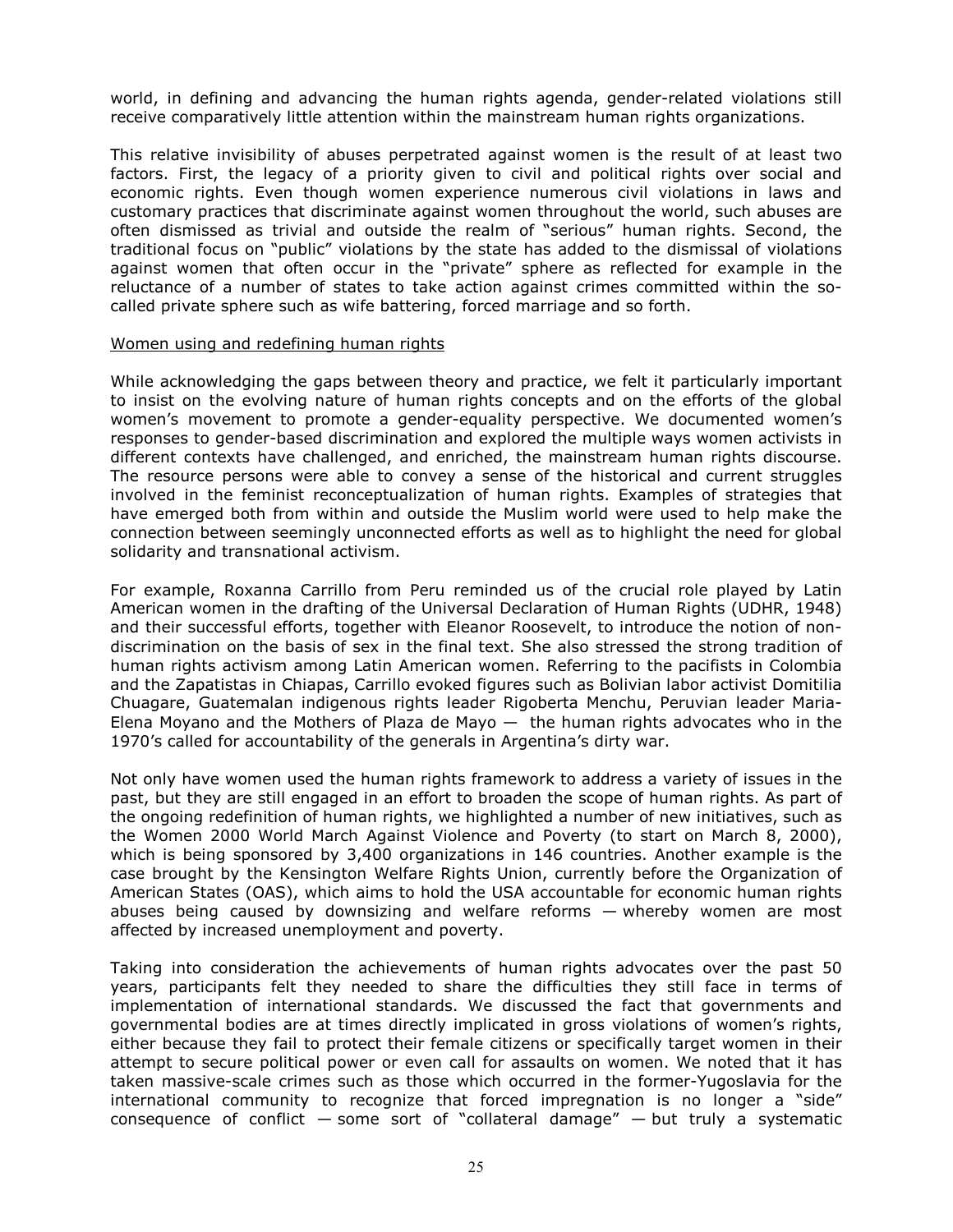world, in defining and advancing the human rights agenda, gender-related violations still receive comparatively little attention within the mainstream human rights organizations.

This relative invisibility of abuses perpetrated against women is the result of at least two factors. First, the legacy of a priority given to civil and political rights over social and economic rights. Even though women experience numerous civil violations in laws and customary practices that discriminate against women throughout the world, such abuses are often dismissed as trivial and outside the realm of "serious" human rights. Second, the traditional focus on "public" violations by the state has added to the dismissal of violations against women that often occur in the "private" sphere as reflected for example in the reluctance of a number of states to take action against crimes committed within the socalled private sphere such as wife battering, forced marriage and so forth.

#### Women using and redefining human rights

While acknowledging the gaps between theory and practice, we felt it particularly important to insist on the evolving nature of human rights concepts and on the efforts of the global women's movement to promote a gender-equality perspective. We documented women's responses to gender-based discrimination and explored the multiple ways women activists in different contexts have challenged, and enriched, the mainstream human rights discourse. The resource persons were able to convey a sense of the historical and current struggles involved in the feminist reconceptualization of human rights. Examples of strategies that have emerged both from within and outside the Muslim world were used to help make the connection between seemingly unconnected efforts as well as to highlight the need for global solidarity and transnational activism.

For example, Roxanna Carrillo from Peru reminded us of the crucial role played by Latin American women in the drafting of the Universal Declaration of Human Rights (UDHR, 1948) and their successful efforts, together with Eleanor Roosevelt, to introduce the notion of nondiscrimination on the basis of sex in the final text. She also stressed the strong tradition of human rights activism among Latin American women. Referring to the pacifists in Colombia and the Zapatistas in Chiapas, Carrillo evoked figures such as Bolivian labor activist Domitilia Chuagare, Guatemalan indigenous rights leader Rigoberta Menchu, Peruvian leader Maria-Elena Moyano and the Mothers of Plaza de Mayo  $-$  the human rights advocates who in the 1970's called for accountability of the generals in Argentina's dirty war.

Not only have women used the human rights framework to address a variety of issues in the past, but they are still engaged in an effort to broaden the scope of human rights. As part of the ongoing redefinition of human rights, we highlighted a number of new initiatives, such as the Women 2000 World March Against Violence and Poverty (to start on March 8, 2000), which is being sponsored by 3,400 organizations in 146 countries. Another example is the case brought by the Kensington Welfare Rights Union, currently before the Organization of American States (OAS), which aims to hold the USA accountable for economic human rights abuses being caused by downsizing and welfare reforms — whereby women are most affected by increased unemployment and poverty.

Taking into consideration the achievements of human rights advocates over the past 50 years, participants felt they needed to share the difficulties they still face in terms of implementation of international standards. We discussed the fact that governments and governmental bodies are at times directly implicated in gross violations of women's rights, either because they fail to protect their female citizens or specifically target women in their attempt to secure political power or even call for assaults on women. We noted that it has taken massive-scale crimes such as those which occurred in the former-Yugoslavia for the international community to recognize that forced impregnation is no longer a "side" consequence of conflict  $-$  some sort of "collateral damage"  $-$  but truly a systematic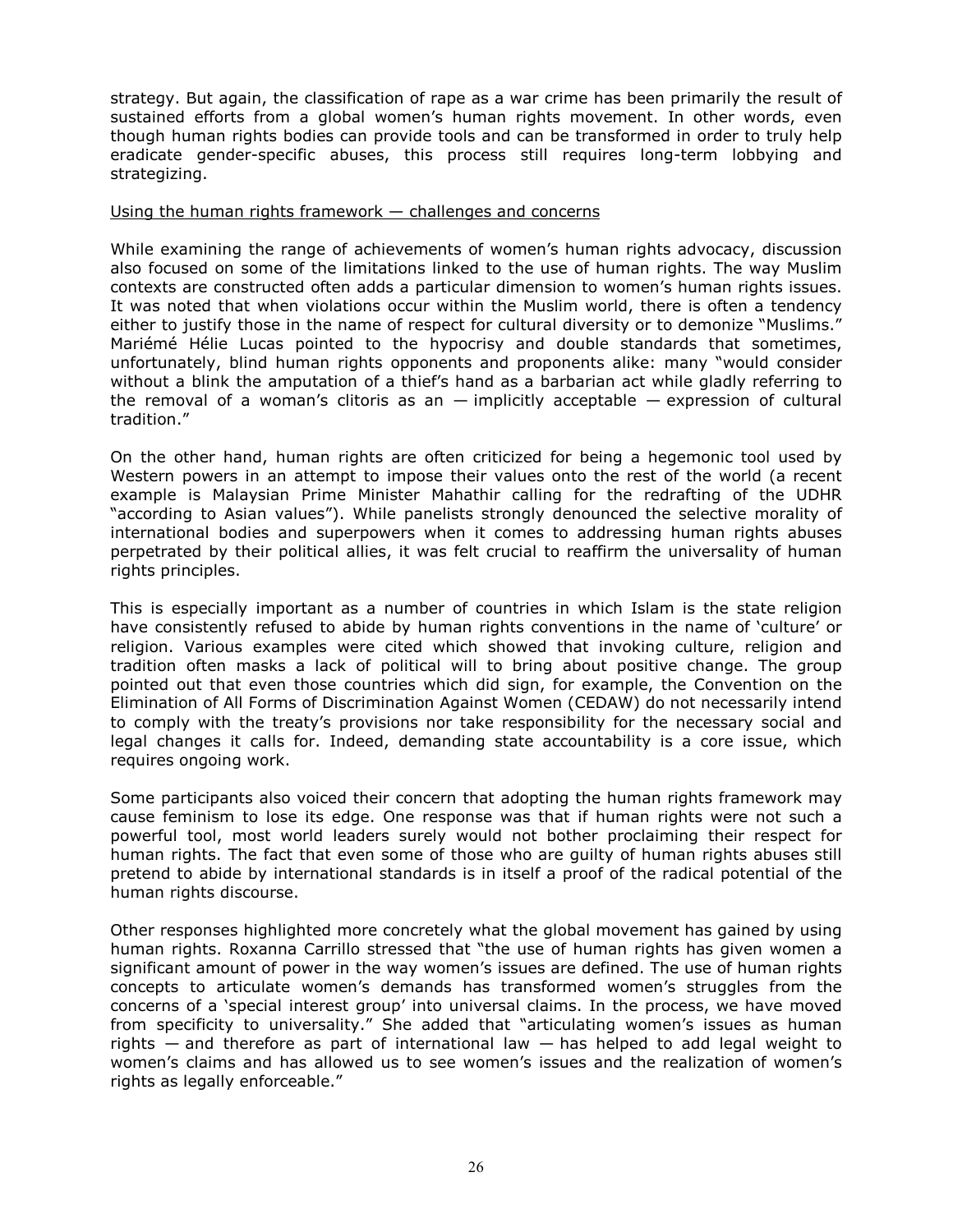strategy. But again, the classification of rape as a war crime has been primarily the result of sustained efforts from a global women's human rights movement. In other words, even though human rights bodies can provide tools and can be transformed in order to truly help eradicate gender-specific abuses, this process still requires long-term lobbying and strategizing.

#### Using the human rights framework – challenges and concerns

While examining the range of achievements of women's human rights advocacy, discussion also focused on some of the limitations linked to the use of human rights. The way Muslim contexts are constructed often adds a particular dimension to women's human rights issues. It was noted that when violations occur within the Muslim world, there is often a tendency either to justify those in the name of respect for cultural diversity or to demonize "Muslims." Mariémé Hélie Lucas pointed to the hypocrisy and double standards that sometimes, unfortunately, blind human rights opponents and proponents alike: many "would consider without a blink the amputation of a thief's hand as a barbarian act while gladly referring to the removal of a woman's clitoris as an  $-$  implicitly acceptable  $-$  expression of cultural tradition."

On the other hand, human rights are often criticized for being a hegemonic tool used by Western powers in an attempt to impose their values onto the rest of the world (a recent example is Malaysian Prime Minister Mahathir calling for the redrafting of the UDHR "according to Asian values"). While panelists strongly denounced the selective morality of international bodies and superpowers when it comes to addressing human rights abuses perpetrated by their political allies, it was felt crucial to reaffirm the universality of human rights principles.

This is especially important as a number of countries in which Islam is the state religion have consistently refused to abide by human rights conventions in the name of 'culture' or religion. Various examples were cited which showed that invoking culture, religion and tradition often masks a lack of political will to bring about positive change. The group pointed out that even those countries which did sign, for example, the Convention on the Elimination of All Forms of Discrimination Against Women (CEDAW) do not necessarily intend to comply with the treaty's provisions nor take responsibility for the necessary social and legal changes it calls for. Indeed, demanding state accountability is a core issue, which requires ongoing work.

Some participants also voiced their concern that adopting the human rights framework may cause feminism to lose its edge. One response was that if human rights were not such a powerful tool, most world leaders surely would not bother proclaiming their respect for human rights. The fact that even some of those who are guilty of human rights abuses still pretend to abide by international standards is in itself a proof of the radical potential of the human rights discourse.

Other responses highlighted more concretely what the global movement has gained by using human rights. Roxanna Carrillo stressed that "the use of human rights has given women a significant amount of power in the way women's issues are defined. The use of human rights concepts to articulate women's demands has transformed women's struggles from the concerns of a 'special interest group' into universal claims. In the process, we have moved from specificity to universality." She added that "articulating women's issues as human rights  $-$  and therefore as part of international law  $-$  has helped to add legal weight to women's claims and has allowed us to see women's issues and the realization of women's rights as legally enforceable."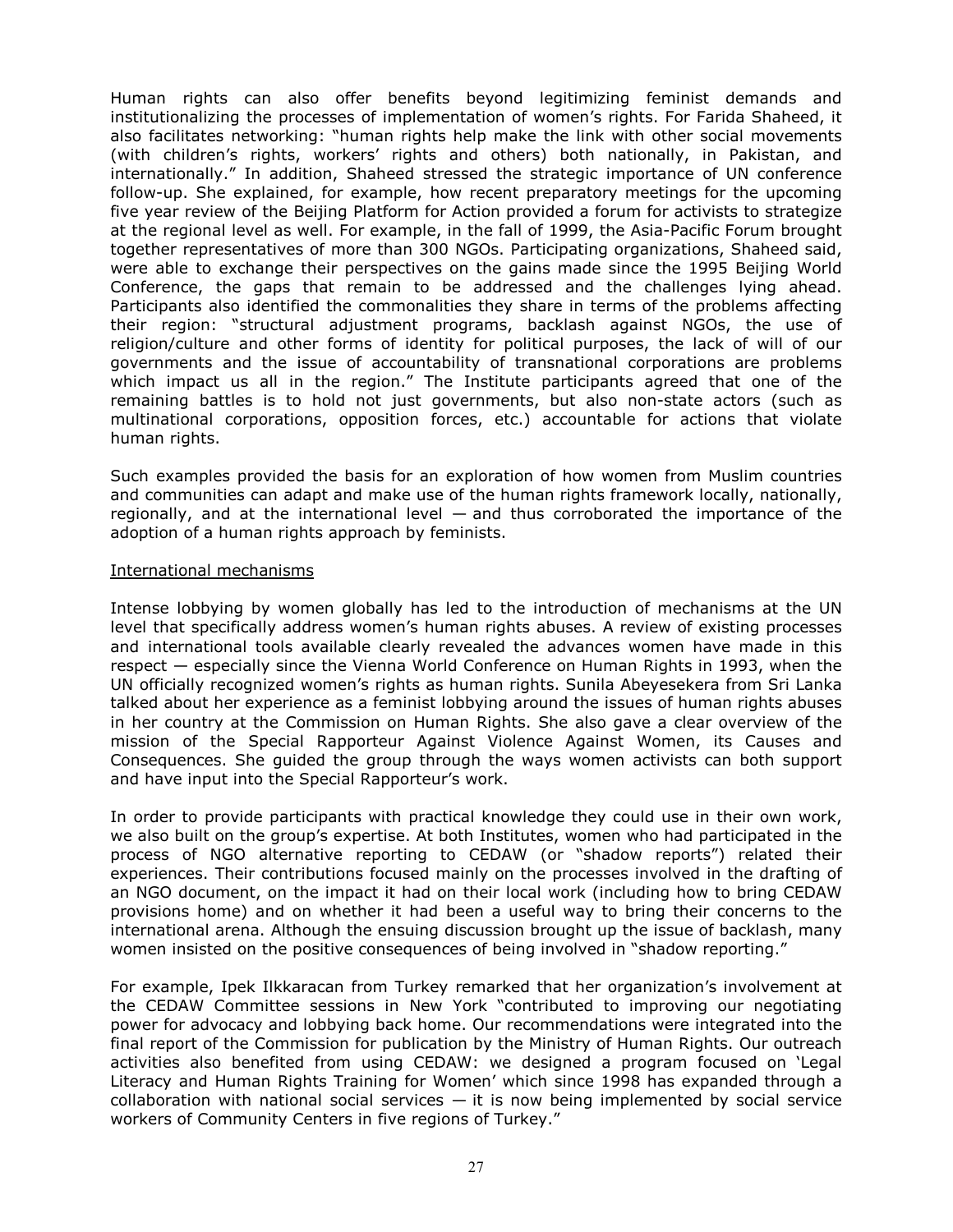Human rights can also offer benefits beyond legitimizing feminist demands and institutionalizing the processes of implementation of women's rights. For Farida Shaheed, it also facilitates networking: "human rights help make the link with other social movements (with children's rights, workers' rights and others) both nationally, in Pakistan, and internationally." In addition, Shaheed stressed the strategic importance of UN conference follow-up. She explained, for example, how recent preparatory meetings for the upcoming five year review of the Beijing Platform for Action provided a forum for activists to strategize at the regional level as well. For example, in the fall of 1999, the Asia-Pacific Forum brought together representatives of more than 300 NGOs. Participating organizations, Shaheed said, were able to exchange their perspectives on the gains made since the 1995 Beijing World Conference, the gaps that remain to be addressed and the challenges lying ahead. Participants also identified the commonalities they share in terms of the problems affecting their region: "structural adjustment programs, backlash against NGOs, the use of religion/culture and other forms of identity for political purposes, the lack of will of our governments and the issue of accountability of transnational corporations are problems which impact us all in the region." The Institute participants agreed that one of the remaining battles is to hold not just governments, but also non-state actors (such as multinational corporations, opposition forces, etc.) accountable for actions that violate human rights.

Such examples provided the basis for an exploration of how women from Muslim countries and communities can adapt and make use of the human rights framework locally, nationally, regionally, and at the international level  $-$  and thus corroborated the importance of the adoption of a human rights approach by feminists.

#### International mechanisms

Intense lobbying by women globally has led to the introduction of mechanisms at the UN level that specifically address women's human rights abuses. A review of existing processes and international tools available clearly revealed the advances women have made in this respect — especially since the Vienna World Conference on Human Rights in 1993, when the UN officially recognized women's rights as human rights. Sunila Abeyesekera from Sri Lanka talked about her experience as a feminist lobbying around the issues of human rights abuses in her country at the Commission on Human Rights. She also gave a clear overview of the mission of the Special Rapporteur Against Violence Against Women, its Causes and Consequences. She guided the group through the ways women activists can both support and have input into the Special Rapporteur's work.

In order to provide participants with practical knowledge they could use in their own work, we also built on the group's expertise. At both Institutes, women who had participated in the process of NGO alternative reporting to CEDAW (or "shadow reports") related their experiences. Their contributions focused mainly on the processes involved in the drafting of an NGO document, on the impact it had on their local work (including how to bring CEDAW provisions home) and on whether it had been a useful way to bring their concerns to the international arena. Although the ensuing discussion brought up the issue of backlash, many women insisted on the positive consequences of being involved in "shadow reporting."

For example, Ipek Ilkkaracan from Turkey remarked that her organization's involvement at the CEDAW Committee sessions in New York "contributed to improving our negotiating power for advocacy and lobbying back home. Our recommendations were integrated into the final report of the Commission for publication by the Ministry of Human Rights. Our outreach activities also benefited from using CEDAW: we designed a program focused on 'Legal Literacy and Human Rights Training for Women' which since 1998 has expanded through a collaboration with national social services  $-$  it is now being implemented by social service workers of Community Centers in five regions of Turkey."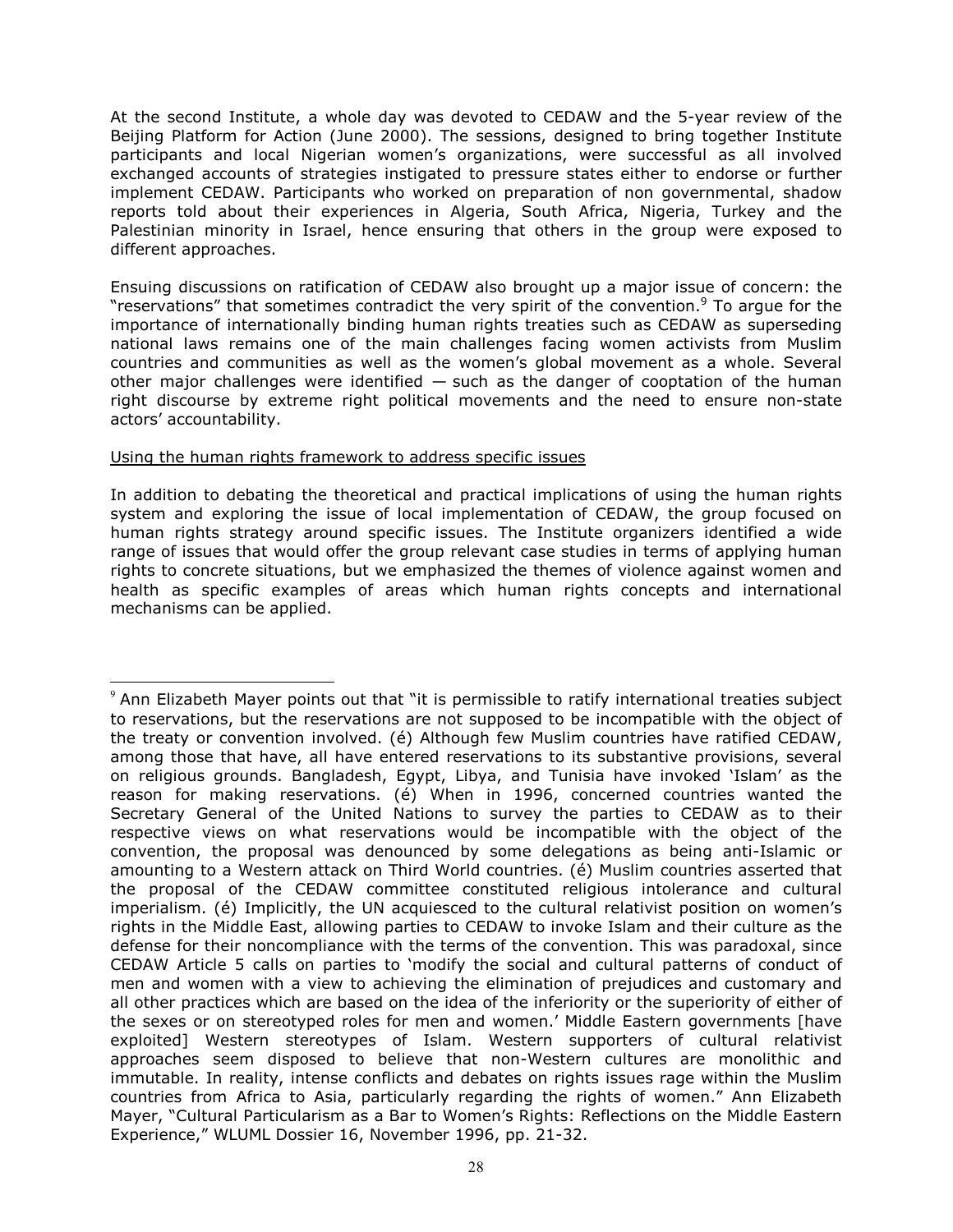At the second Institute, a whole day was devoted to CEDAW and the 5-year review of the Beijing Platform for Action (June 2000). The sessions, designed to bring together Institute participants and local Nigerian women's organizations, were successful as all involved exchanged accounts of strategies instigated to pressure states either to endorse or further implement CEDAW. Participants who worked on preparation of non governmental, shadow reports told about their experiences in Algeria, South Africa, Nigeria, Turkey and the Palestinian minority in Israel, hence ensuring that others in the group were exposed to different approaches.

Ensuing discussions on ratification of CEDAW also brought up a major issue of concern: the "reservations" that sometimes contradict the very spirit of the convention. $9$  To argue for the importance of internationally binding human rights treaties such as CEDAW as superseding national laws remains one of the main challenges facing women activists from Muslim countries and communities as well as the women's global movement as a whole. Several other major challenges were identified  $-$  such as the danger of cooptation of the human right discourse by extreme right political movements and the need to ensure non-state actors' accountability.

## Using the human rights framework to address specific issues

 $\overline{a}$ 

In addition to debating the theoretical and practical implications of using the human rights system and exploring the issue of local implementation of CEDAW, the group focused on human rights strategy around specific issues. The Institute organizers identified a wide range of issues that would offer the group relevant case studies in terms of applying human rights to concrete situations, but we emphasized the themes of violence against women and health as specific examples of areas which human rights concepts and international mechanisms can be applied.

<sup>&</sup>lt;sup>9</sup> Ann Elizabeth Mayer points out that "it is permissible to ratify international treaties subject to reservations, but the reservations are not supposed to be incompatible with the object of the treaty or convention involved. (é) Although few Muslim countries have ratified CEDAW, among those that have, all have entered reservations to its substantive provisions, several on religious grounds. Bangladesh, Egypt, Libya, and Tunisia have invoked 'Islam' as the reason for making reservations. (é) When in 1996, concerned countries wanted the Secretary General of the United Nations to survey the parties to CEDAW as to their respective views on what reservations would be incompatible with the object of the convention, the proposal was denounced by some delegations as being anti-Islamic or amounting to a Western attack on Third World countries. (é) Muslim countries asserted that the proposal of the CEDAW committee constituted religious intolerance and cultural imperialism. (é) Implicitly, the UN acquiesced to the cultural relativist position on women's rights in the Middle East, allowing parties to CEDAW to invoke Islam and their culture as the defense for their noncompliance with the terms of the convention. This was paradoxal, since CEDAW Article 5 calls on parties to 'modify the social and cultural patterns of conduct of men and women with a view to achieving the elimination of prejudices and customary and all other practices which are based on the idea of the inferiority or the superiority of either of the sexes or on stereotyped roles for men and women.' Middle Eastern governments [have exploited] Western stereotypes of Islam. Western supporters of cultural relativist approaches seem disposed to believe that non-Western cultures are monolithic and immutable. In reality, intense conflicts and debates on rights issues rage within the Muslim countries from Africa to Asia, particularly regarding the rights of women." Ann Elizabeth Mayer, "Cultural Particularism as a Bar to Women's Rights: Reflections on the Middle Eastern Experience," WLUML Dossier 16, November 1996, pp. 21-32.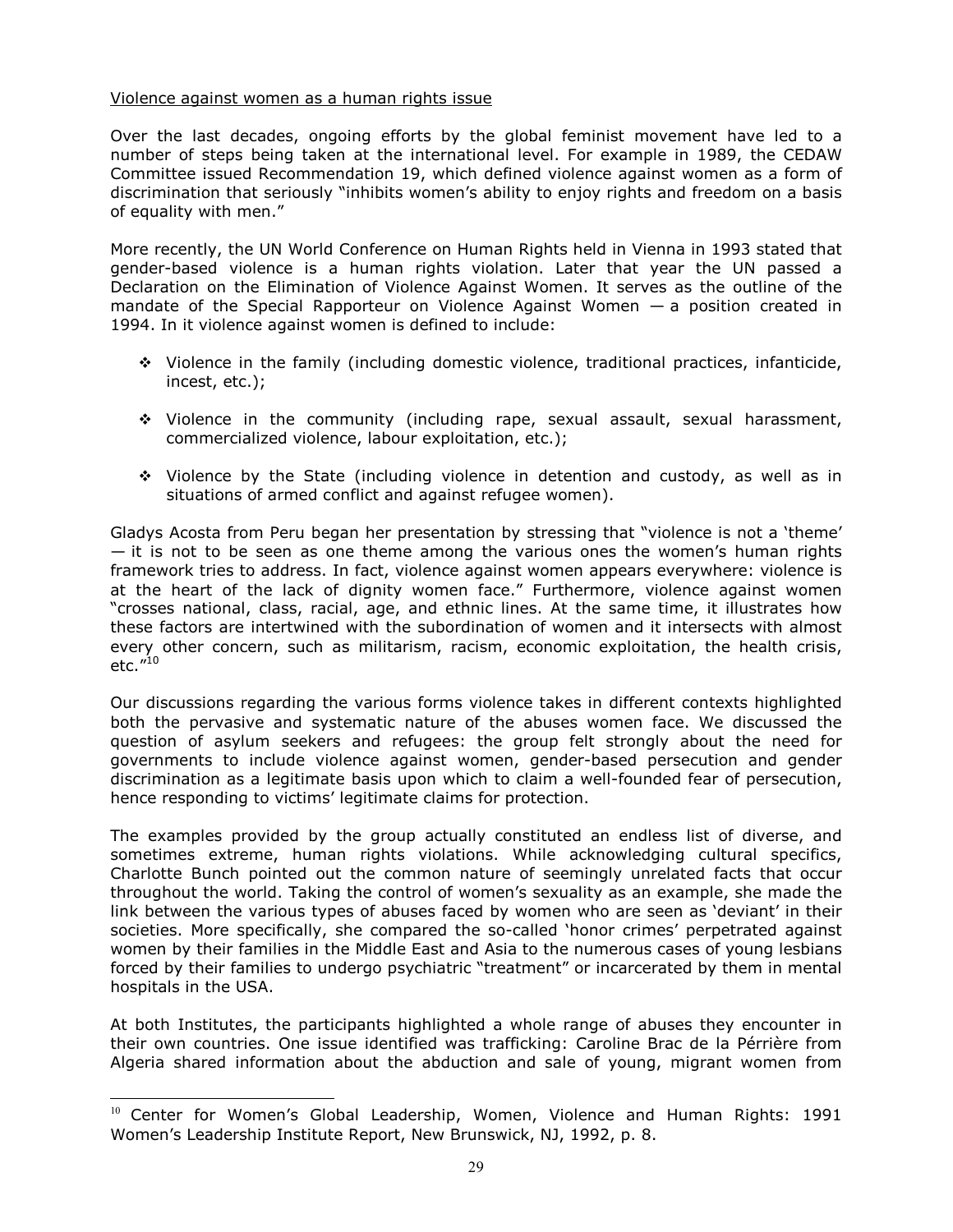## Violence against women as a human rights issue

Over the last decades, ongoing efforts by the global feminist movement have led to a number of steps being taken at the international level. For example in 1989, the CEDAW Committee issued Recommendation 19, which defined violence against women as a form of discrimination that seriously "inhibits women's ability to enjoy rights and freedom on a basis of equality with men."

More recently, the UN World Conference on Human Rights held in Vienna in 1993 stated that gender-based violence is a human rights violation. Later that year the UN passed a Declaration on the Elimination of Violence Against Women. It serves as the outline of the mandate of the Special Rapporteur on Violence Against Women — a position created in 1994. In it violence against women is defined to include:

- Violence in the family (including domestic violence, traditional practices, infanticide, incest, etc.);
- Violence in the community (including rape, sexual assault, sexual harassment, commercialized violence, labour exploitation, etc.);
- Violence by the State (including violence in detention and custody, as well as in situations of armed conflict and against refugee women).

Gladys Acosta from Peru began her presentation by stressing that "violence is not a 'theme'  $-$  it is not to be seen as one theme among the various ones the women's human rights framework tries to address. In fact, violence against women appears everywhere: violence is at the heart of the lack of dignity women face." Furthermore, violence against women "crosses national, class, racial, age, and ethnic lines. At the same time, it illustrates how these factors are intertwined with the subordination of women and it intersects with almost every other concern, such as militarism, racism, economic exploitation, the health crisis, etc. $^{\prime\prime 10}$ 

Our discussions regarding the various forms violence takes in different contexts highlighted both the pervasive and systematic nature of the abuses women face. We discussed the question of asylum seekers and refugees: the group felt strongly about the need for governments to include violence against women, gender-based persecution and gender discrimination as a legitimate basis upon which to claim a well-founded fear of persecution, hence responding to victims' legitimate claims for protection.

The examples provided by the group actually constituted an endless list of diverse, and sometimes extreme, human rights violations. While acknowledging cultural specifics, Charlotte Bunch pointed out the common nature of seemingly unrelated facts that occur throughout the world. Taking the control of women's sexuality as an example, she made the link between the various types of abuses faced by women who are seen as 'deviant' in their societies. More specifically, she compared the so-called 'honor crimes' perpetrated against women by their families in the Middle East and Asia to the numerous cases of young lesbians forced by their families to undergo psychiatric "treatment" or incarcerated by them in mental hospitals in the USA.

At both Institutes, the participants highlighted a whole range of abuses they encounter in their own countries. One issue identified was trafficking: Caroline Brac de la Pérrière from Algeria shared information about the abduction and sale of young, migrant women from

֦

 $10$  Center for Women's Global Leadership, Women, Violence and Human Rights: 1991 Women's Leadership Institute Report, New Brunswick, NJ, 1992, p. 8.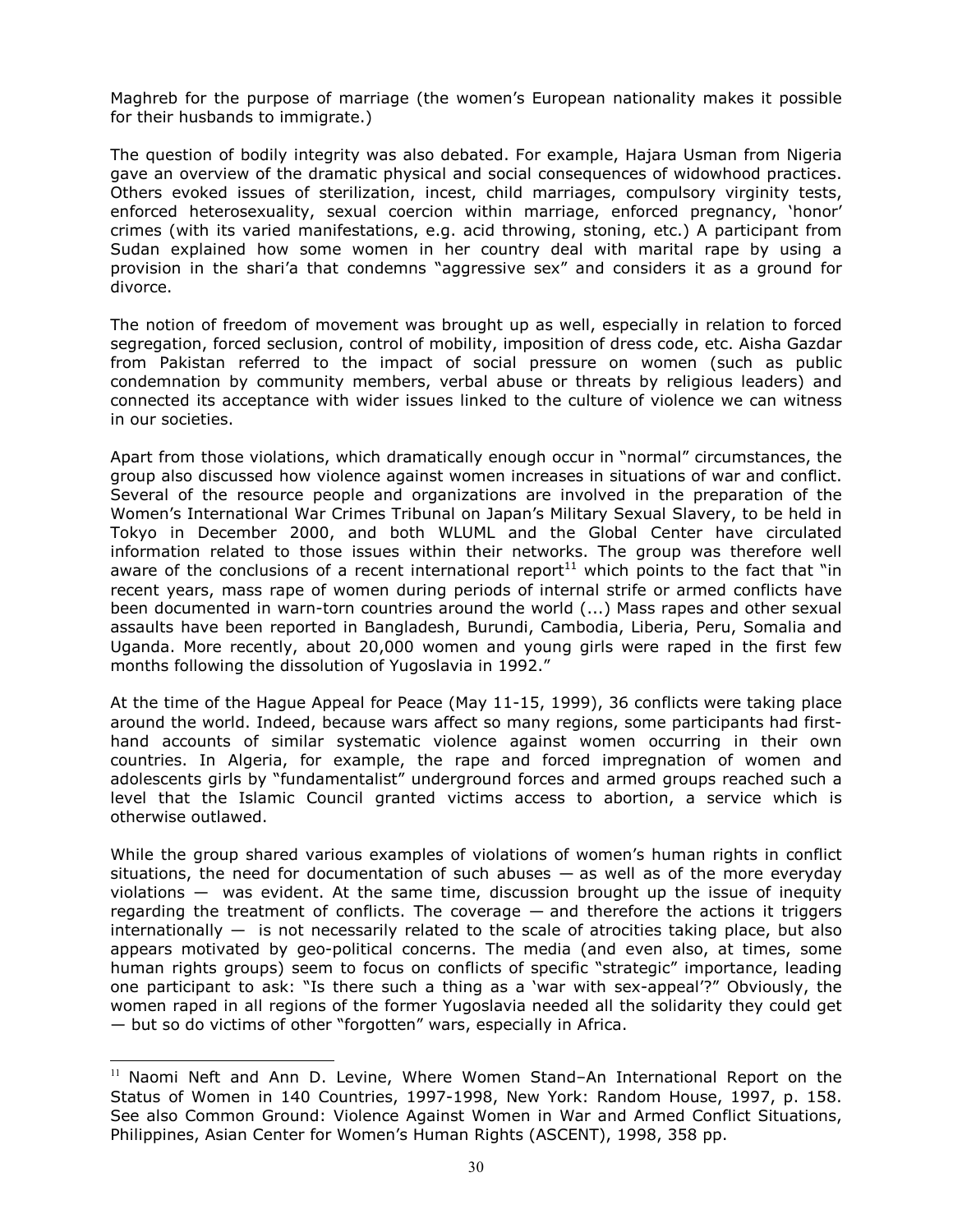Maghreb for the purpose of marriage (the women's European nationality makes it possible for their husbands to immigrate.)

The question of bodily integrity was also debated. For example, Hajara Usman from Nigeria gave an overview of the dramatic physical and social consequences of widowhood practices. Others evoked issues of sterilization, incest, child marriages, compulsory virginity tests, enforced heterosexuality, sexual coercion within marriage, enforced pregnancy, 'honor' crimes (with its varied manifestations, e.g. acid throwing, stoning, etc.) A participant from Sudan explained how some women in her country deal with marital rape by using a provision in the shari'a that condemns "aggressive sex" and considers it as a ground for divorce.

The notion of freedom of movement was brought up as well, especially in relation to forced segregation, forced seclusion, control of mobility, imposition of dress code, etc. Aisha Gazdar from Pakistan referred to the impact of social pressure on women (such as public condemnation by community members, verbal abuse or threats by religious leaders) and connected its acceptance with wider issues linked to the culture of violence we can witness in our societies.

Apart from those violations, which dramatically enough occur in "normal" circumstances, the group also discussed how violence against women increases in situations of war and conflict. Several of the resource people and organizations are involved in the preparation of the Women's International War Crimes Tribunal on Japan's Military Sexual Slavery, to be held in Tokyo in December 2000, and both WLUML and the Global Center have circulated information related to those issues within their networks. The group was therefore well aware of the conclusions of a recent international report<sup>11</sup> which points to the fact that "in recent years, mass rape of women during periods of internal strife or armed conflicts have been documented in warn-torn countries around the world (...) Mass rapes and other sexual assaults have been reported in Bangladesh, Burundi, Cambodia, Liberia, Peru, Somalia and Uganda. More recently, about 20,000 women and young girls were raped in the first few months following the dissolution of Yugoslavia in 1992."

At the time of the Hague Appeal for Peace (May 11-15, 1999), 36 conflicts were taking place around the world. Indeed, because wars affect so many regions, some participants had firsthand accounts of similar systematic violence against women occurring in their own countries. In Algeria, for example, the rape and forced impregnation of women and adolescents girls by "fundamentalist" underground forces and armed groups reached such a level that the Islamic Council granted victims access to abortion, a service which is otherwise outlawed.

While the group shared various examples of violations of women's human rights in conflict situations, the need for documentation of such abuses  $-$  as well as of the more everyday violations — was evident. At the same time, discussion brought up the issue of inequity regarding the treatment of conflicts. The coverage — and therefore the actions it triggers internationally  $-$  is not necessarily related to the scale of atrocities taking place, but also appears motivated by geo-political concerns. The media (and even also, at times, some human rights groups) seem to focus on conflicts of specific "strategic" importance, leading one participant to ask: "Is there such a thing as a 'war with sex-appeal'?" Obviously, the women raped in all regions of the former Yugoslavia needed all the solidarity they could get — but so do victims of other "forgotten" wars, especially in Africa.

֦

<sup>&</sup>lt;sup>11</sup> Naomi Neft and Ann D. Levine, Where Women Stand-An International Report on the Status of Women in 140 Countries, 1997-1998, New York: Random House, 1997, p. 158. See also Common Ground: Violence Against Women in War and Armed Conflict Situations, Philippines, Asian Center for Women's Human Rights (ASCENT), 1998, 358 pp.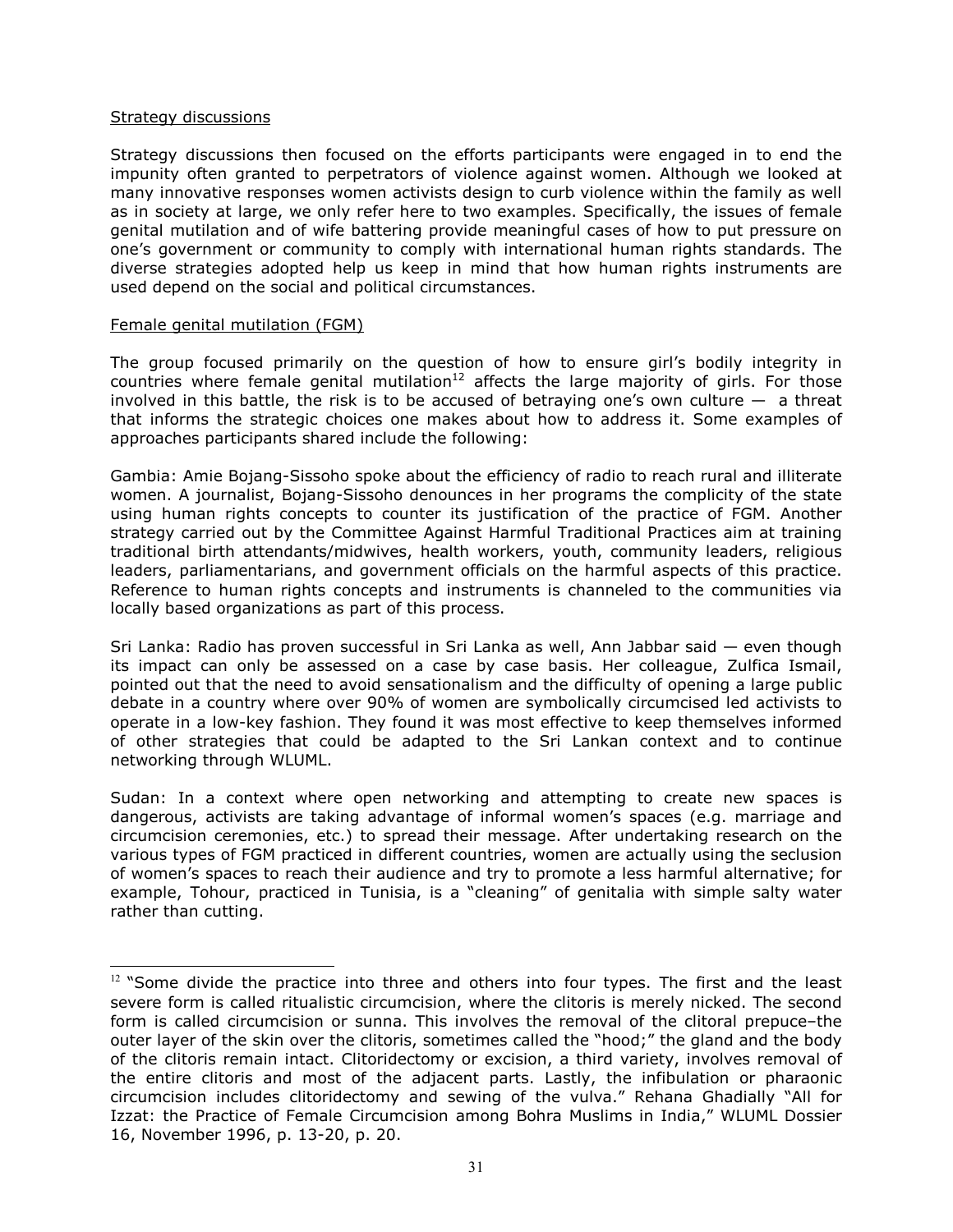#### Strategy discussions

֦

Strategy discussions then focused on the efforts participants were engaged in to end the impunity often granted to perpetrators of violence against women. Although we looked at many innovative responses women activists design to curb violence within the family as well as in society at large, we only refer here to two examples. Specifically, the issues of female genital mutilation and of wife battering provide meaningful cases of how to put pressure on one's government or community to comply with international human rights standards. The diverse strategies adopted help us keep in mind that how human rights instruments are used depend on the social and political circumstances.

#### Female genital mutilation (FGM)

The group focused primarily on the question of how to ensure girl's bodily integrity in  $countries$  where female genital mutilation<sup>12</sup> affects the large majority of girls. For those involved in this battle, the risk is to be accused of betraying one's own culture  $-$  a threat that informs the strategic choices one makes about how to address it. Some examples of approaches participants shared include the following:

Gambia: Amie Bojang-Sissoho spoke about the efficiency of radio to reach rural and illiterate women. A journalist, Bojang-Sissoho denounces in her programs the complicity of the state using human rights concepts to counter its justification of the practice of FGM. Another strategy carried out by the Committee Against Harmful Traditional Practices aim at training traditional birth attendants/midwives, health workers, youth, community leaders, religious leaders, parliamentarians, and government officials on the harmful aspects of this practice. Reference to human rights concepts and instruments is channeled to the communities via locally based organizations as part of this process.

Sri Lanka: Radio has proven successful in Sri Lanka as well, Ann Jabbar said — even though its impact can only be assessed on a case by case basis. Her colleague, Zulfica Ismail, pointed out that the need to avoid sensationalism and the difficulty of opening a large public debate in a country where over 90% of women are symbolically circumcised led activists to operate in a low-key fashion. They found it was most effective to keep themselves informed of other strategies that could be adapted to the Sri Lankan context and to continue networking through WLUML.

Sudan: In a context where open networking and attempting to create new spaces is dangerous, activists are taking advantage of informal women's spaces (e.g. marriage and circumcision ceremonies, etc.) to spread their message. After undertaking research on the various types of FGM practiced in different countries, women are actually using the seclusion of women's spaces to reach their audience and try to promote a less harmful alternative; for example, Tohour, practiced in Tunisia, is a "cleaning" of genitalia with simple salty water rather than cutting.

 $12$  "Some divide the practice into three and others into four types. The first and the least severe form is called ritualistic circumcision, where the clitoris is merely nicked. The second form is called circumcision or sunna. This involves the removal of the clitoral prepuce–the outer layer of the skin over the clitoris, sometimes called the "hood;" the gland and the body of the clitoris remain intact. Clitoridectomy or excision, a third variety, involves removal of the entire clitoris and most of the adjacent parts. Lastly, the infibulation or pharaonic circumcision includes clitoridectomy and sewing of the vulva." Rehana Ghadially "All for Izzat: the Practice of Female Circumcision among Bohra Muslims in India," WLUML Dossier 16, November 1996, p. 13-20, p. 20.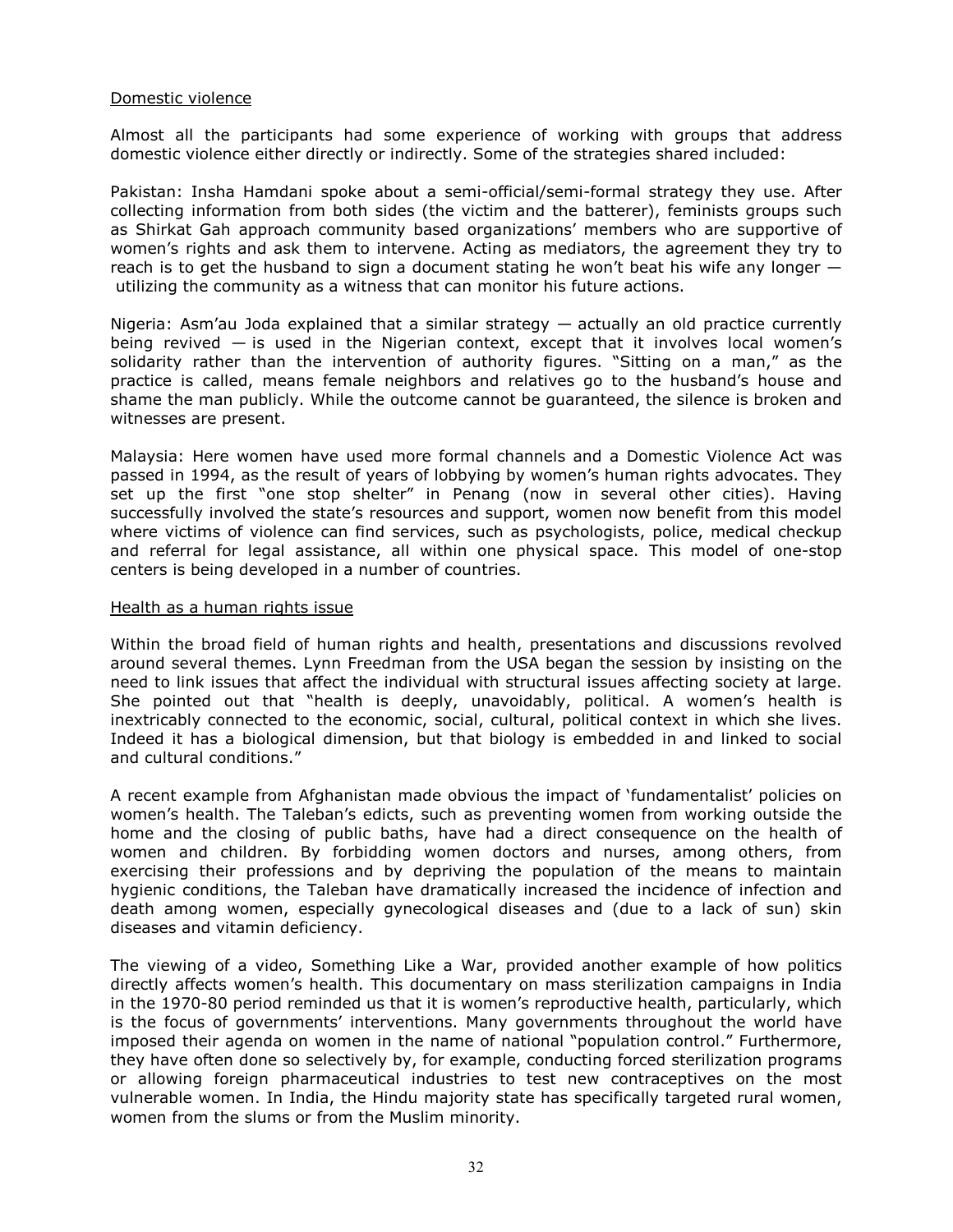#### Domestic violence

Almost all the participants had some experience of working with groups that address domestic violence either directly or indirectly. Some of the strategies shared included:

Pakistan: Insha Hamdani spoke about a semi-official/semi-formal strategy they use. After collecting information from both sides (the victim and the batterer), feminists groups such as Shirkat Gah approach community based organizations' members who are supportive of women's rights and ask them to intervene. Acting as mediators, the agreement they try to reach is to get the husband to sign a document stating he won't beat his wife any longer  $$ utilizing the community as a witness that can monitor his future actions.

Nigeria: Asm'au Joda explained that a similar strategy — actually an old practice currently being revived  $-$  is used in the Nigerian context, except that it involves local women's solidarity rather than the intervention of authority figures. "Sitting on a man," as the practice is called, means female neighbors and relatives go to the husband's house and shame the man publicly. While the outcome cannot be guaranteed, the silence is broken and witnesses are present.

Malaysia: Here women have used more formal channels and a Domestic Violence Act was passed in 1994, as the result of years of lobbying by women's human rights advocates. They set up the first "one stop shelter" in Penang (now in several other cities). Having successfully involved the state's resources and support, women now benefit from this model where victims of violence can find services, such as psychologists, police, medical checkup and referral for legal assistance, all within one physical space. This model of one-stop centers is being developed in a number of countries.

#### Health as a human rights issue

Within the broad field of human rights and health, presentations and discussions revolved around several themes. Lynn Freedman from the USA began the session by insisting on the need to link issues that affect the individual with structural issues affecting society at large. She pointed out that "health is deeply, unavoidably, political. A women's health is inextricably connected to the economic, social, cultural, political context in which she lives. Indeed it has a biological dimension, but that biology is embedded in and linked to social and cultural conditions."

A recent example from Afghanistan made obvious the impact of 'fundamentalist' policies on women's health. The Taleban's edicts, such as preventing women from working outside the home and the closing of public baths, have had a direct consequence on the health of women and children. By forbidding women doctors and nurses, among others, from exercising their professions and by depriving the population of the means to maintain hygienic conditions, the Taleban have dramatically increased the incidence of infection and death among women, especially gynecological diseases and (due to a lack of sun) skin diseases and vitamin deficiency.

The viewing of a video, Something Like a War, provided another example of how politics directly affects women's health. This documentary on mass sterilization campaigns in India in the 1970-80 period reminded us that it is women's reproductive health, particularly, which is the focus of governments' interventions. Many governments throughout the world have imposed their agenda on women in the name of national "population control." Furthermore, they have often done so selectively by, for example, conducting forced sterilization programs or allowing foreign pharmaceutical industries to test new contraceptives on the most vulnerable women. In India, the Hindu majority state has specifically targeted rural women, women from the slums or from the Muslim minority.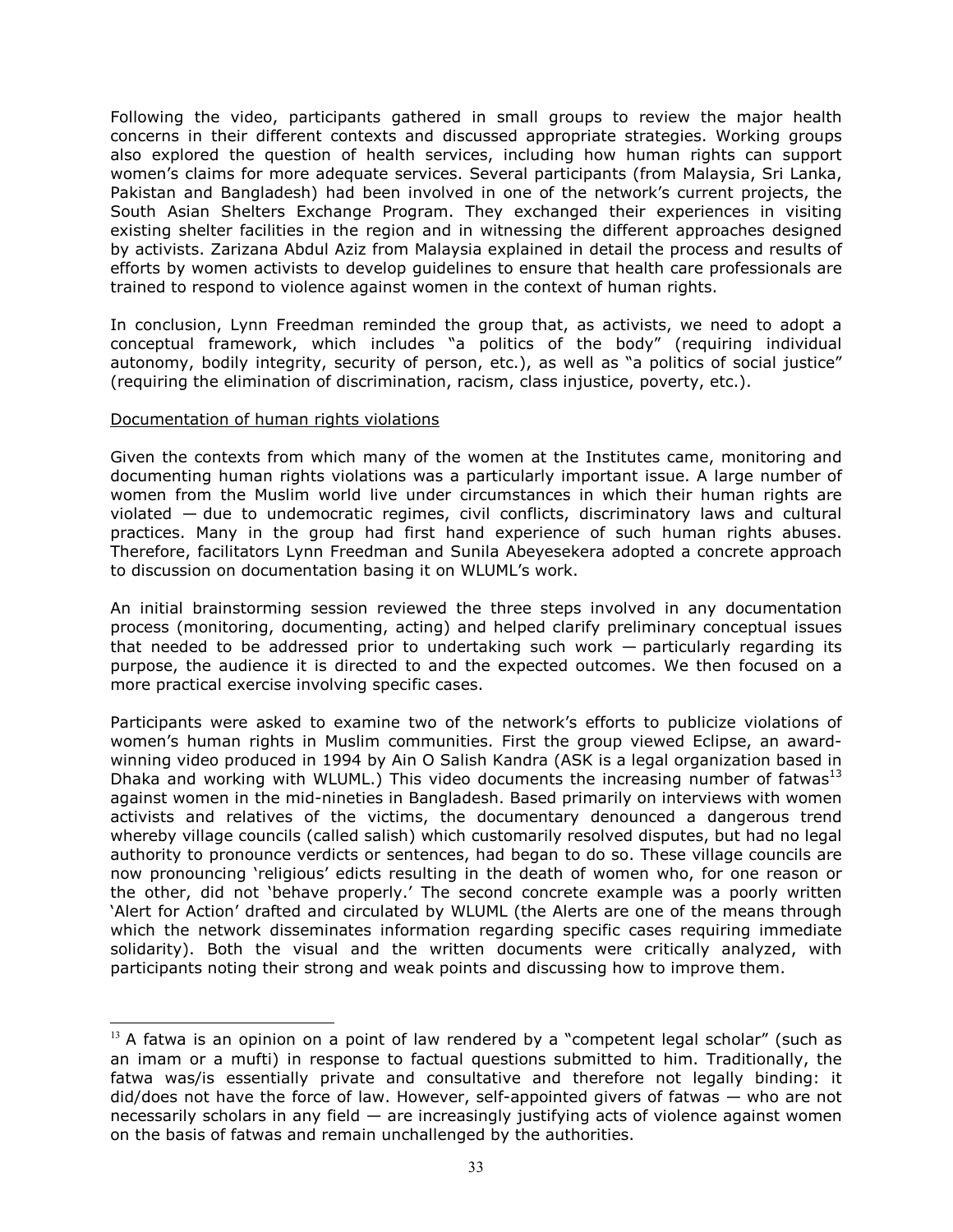Following the video, participants gathered in small groups to review the major health concerns in their different contexts and discussed appropriate strategies. Working groups also explored the question of health services, including how human rights can support women's claims for more adequate services. Several participants (from Malaysia, Sri Lanka, Pakistan and Bangladesh) had been involved in one of the network's current projects, the South Asian Shelters Exchange Program. They exchanged their experiences in visiting existing shelter facilities in the region and in witnessing the different approaches designed by activists. Zarizana Abdul Aziz from Malaysia explained in detail the process and results of efforts by women activists to develop guidelines to ensure that health care professionals are trained to respond to violence against women in the context of human rights.

In conclusion, Lynn Freedman reminded the group that, as activists, we need to adopt a conceptual framework, which includes "a politics of the body" (requiring individual autonomy, bodily integrity, security of person, etc.), as well as "a politics of social justice" (requiring the elimination of discrimination, racism, class injustice, poverty, etc.).

#### Documentation of human rights violations

֦

Given the contexts from which many of the women at the Institutes came, monitoring and documenting human rights violations was a particularly important issue. A large number of women from the Muslim world live under circumstances in which their human rights are violated — due to undemocratic regimes, civil conflicts, discriminatory laws and cultural practices. Many in the group had first hand experience of such human rights abuses. Therefore, facilitators Lynn Freedman and Sunila Abeyesekera adopted a concrete approach to discussion on documentation basing it on WLUML's work.

An initial brainstorming session reviewed the three steps involved in any documentation process (monitoring, documenting, acting) and helped clarify preliminary conceptual issues that needed to be addressed prior to undertaking such work — particularly regarding its purpose, the audience it is directed to and the expected outcomes. We then focused on a more practical exercise involving specific cases.

Participants were asked to examine two of the network's efforts to publicize violations of women's human rights in Muslim communities. First the group viewed Eclipse, an awardwinning video produced in 1994 by Ain O Salish Kandra (ASK is a legal organization based in Dhaka and working with WLUML.) This video documents the increasing number of fatwas<sup>13</sup> against women in the mid-nineties in Bangladesh. Based primarily on interviews with women activists and relatives of the victims, the documentary denounced a dangerous trend whereby village councils (called salish) which customarily resolved disputes, but had no legal authority to pronounce verdicts or sentences, had began to do so. These village councils are now pronouncing 'religious' edicts resulting in the death of women who, for one reason or the other, did not 'behave properly.' The second concrete example was a poorly written 'Alert for Action' drafted and circulated by WLUML (the Alerts are one of the means through which the network disseminates information regarding specific cases requiring immediate solidarity). Both the visual and the written documents were critically analyzed, with participants noting their strong and weak points and discussing how to improve them.

 $13$  A fatwa is an opinion on a point of law rendered by a "competent legal scholar" (such as an imam or a mufti) in response to factual questions submitted to him. Traditionally, the fatwa was/is essentially private and consultative and therefore not legally binding: it did/does not have the force of law. However, self-appointed givers of fatwas — who are not necessarily scholars in any field — are increasingly justifying acts of violence against women on the basis of fatwas and remain unchallenged by the authorities.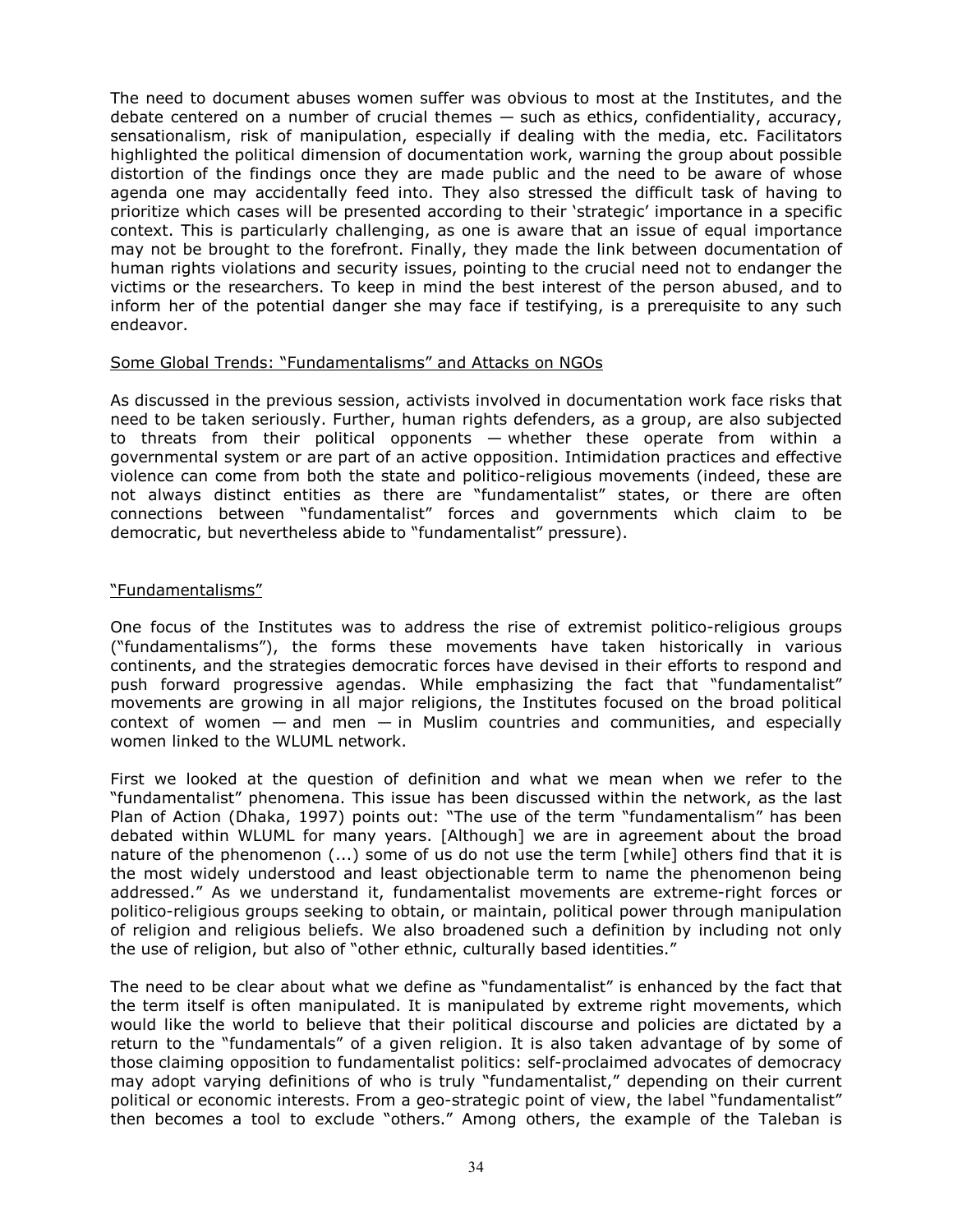The need to document abuses women suffer was obvious to most at the Institutes, and the debate centered on a number of crucial themes — such as ethics, confidentiality, accuracy, sensationalism, risk of manipulation, especially if dealing with the media, etc. Facilitators highlighted the political dimension of documentation work, warning the group about possible distortion of the findings once they are made public and the need to be aware of whose agenda one may accidentally feed into. They also stressed the difficult task of having to prioritize which cases will be presented according to their 'strategic' importance in a specific context. This is particularly challenging, as one is aware that an issue of equal importance may not be brought to the forefront. Finally, they made the link between documentation of human rights violations and security issues, pointing to the crucial need not to endanger the victims or the researchers. To keep in mind the best interest of the person abused, and to inform her of the potential danger she may face if testifying, is a prerequisite to any such endeavor.

#### Some Global Trends: "Fundamentalisms" and Attacks on NGOs

As discussed in the previous session, activists involved in documentation work face risks that need to be taken seriously. Further, human rights defenders, as a group, are also subjected to threats from their political opponents — whether these operate from within a governmental system or are part of an active opposition. Intimidation practices and effective violence can come from both the state and politico-religious movements (indeed, these are not always distinct entities as there are "fundamentalist" states, or there are often connections between "fundamentalist" forces and governments which claim to be democratic, but nevertheless abide to "fundamentalist" pressure).

## "Fundamentalisms"

One focus of the Institutes was to address the rise of extremist politico-religious groups ("fundamentalisms"), the forms these movements have taken historically in various continents, and the strategies democratic forces have devised in their efforts to respond and push forward progressive agendas. While emphasizing the fact that "fundamentalist" movements are growing in all major religions, the Institutes focused on the broad political context of women  $-$  and men  $-$  in Muslim countries and communities, and especially women linked to the WLUML network.

First we looked at the question of definition and what we mean when we refer to the "fundamentalist" phenomena. This issue has been discussed within the network, as the last Plan of Action (Dhaka, 1997) points out: "The use of the term "fundamentalism" has been debated within WLUML for many years. [Although] we are in agreement about the broad nature of the phenomenon (...) some of us do not use the term [while] others find that it is the most widely understood and least objectionable term to name the phenomenon being addressed." As we understand it, fundamentalist movements are extreme-right forces or politico-religious groups seeking to obtain, or maintain, political power through manipulation of religion and religious beliefs. We also broadened such a definition by including not only the use of religion, but also of "other ethnic, culturally based identities."

The need to be clear about what we define as "fundamentalist" is enhanced by the fact that the term itself is often manipulated. It is manipulated by extreme right movements, which would like the world to believe that their political discourse and policies are dictated by a return to the "fundamentals" of a given religion. It is also taken advantage of by some of those claiming opposition to fundamentalist politics: self-proclaimed advocates of democracy may adopt varying definitions of who is truly "fundamentalist," depending on their current political or economic interests. From a geo-strategic point of view, the label "fundamentalist" then becomes a tool to exclude "others." Among others, the example of the Taleban is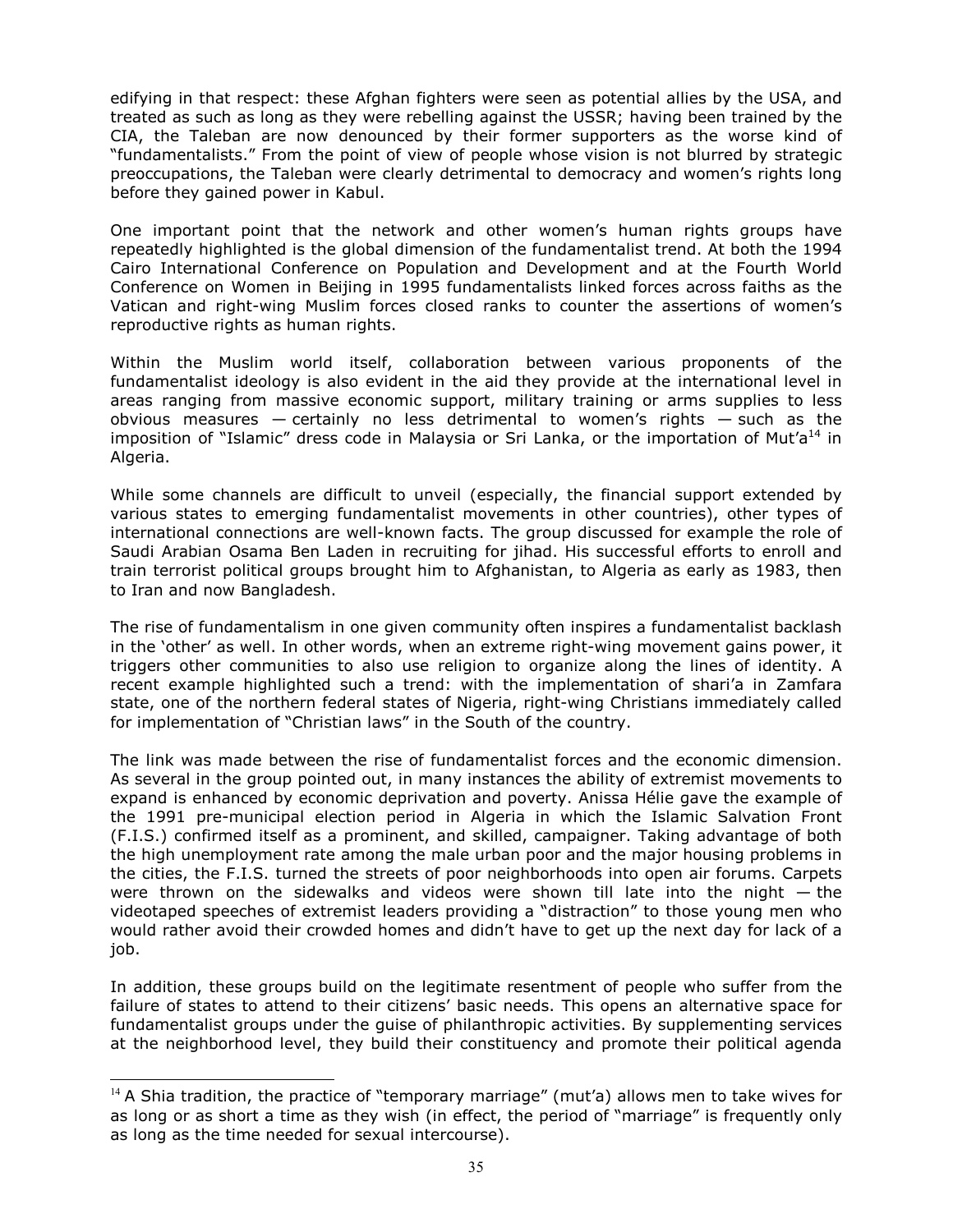edifying in that respect: these Afghan fighters were seen as potential allies by the USA, and treated as such as long as they were rebelling against the USSR; having been trained by the CIA, the Taleban are now denounced by their former supporters as the worse kind of "fundamentalists." From the point of view of people whose vision is not blurred by strategic preoccupations, the Taleban were clearly detrimental to democracy and women's rights long before they gained power in Kabul.

One important point that the network and other women's human rights groups have repeatedly highlighted is the global dimension of the fundamentalist trend. At both the 1994 Cairo International Conference on Population and Development and at the Fourth World Conference on Women in Beijing in 1995 fundamentalists linked forces across faiths as the Vatican and right-wing Muslim forces closed ranks to counter the assertions of women's reproductive rights as human rights.

Within the Muslim world itself, collaboration between various proponents of the fundamentalist ideology is also evident in the aid they provide at the international level in areas ranging from massive economic support, military training or arms supplies to less obvious measures  $-$  certainly no less detrimental to women's rights  $-$  such as the imposition of "Islamic" dress code in Malaysia or Sri Lanka, or the importation of Mut'a<sup>14</sup> in Algeria.

While some channels are difficult to unveil (especially, the financial support extended by various states to emerging fundamentalist movements in other countries), other types of international connections are well-known facts. The group discussed for example the role of Saudi Arabian Osama Ben Laden in recruiting for jihad. His successful efforts to enroll and train terrorist political groups brought him to Afghanistan, to Algeria as early as 1983, then to Iran and now Bangladesh.

The rise of fundamentalism in one given community often inspires a fundamentalist backlash in the 'other' as well. In other words, when an extreme right-wing movement gains power, it triggers other communities to also use religion to organize along the lines of identity. A recent example highlighted such a trend: with the implementation of shari'a in Zamfara state, one of the northern federal states of Nigeria, right-wing Christians immediately called for implementation of "Christian laws" in the South of the country.

The link was made between the rise of fundamentalist forces and the economic dimension. As several in the group pointed out, in many instances the ability of extremist movements to expand is enhanced by economic deprivation and poverty. Anissa Hélie gave the example of the 1991 pre-municipal election period in Algeria in which the Islamic Salvation Front (F.I.S.) confirmed itself as a prominent, and skilled, campaigner. Taking advantage of both the high unemployment rate among the male urban poor and the major housing problems in the cities, the F.I.S. turned the streets of poor neighborhoods into open air forums. Carpets were thrown on the sidewalks and videos were shown till late into the night — the videotaped speeches of extremist leaders providing a "distraction" to those young men who would rather avoid their crowded homes and didn't have to get up the next day for lack of a job.

In addition, these groups build on the legitimate resentment of people who suffer from the failure of states to attend to their citizens' basic needs. This opens an alternative space for fundamentalist groups under the guise of philanthropic activities. By supplementing services at the neighborhood level, they build their constituency and promote their political agenda

 $\overline{a}$ 

 $14$  A Shia tradition, the practice of "temporary marriage" (mut'a) allows men to take wives for as long or as short a time as they wish (in effect, the period of "marriage" is frequently only as long as the time needed for sexual intercourse).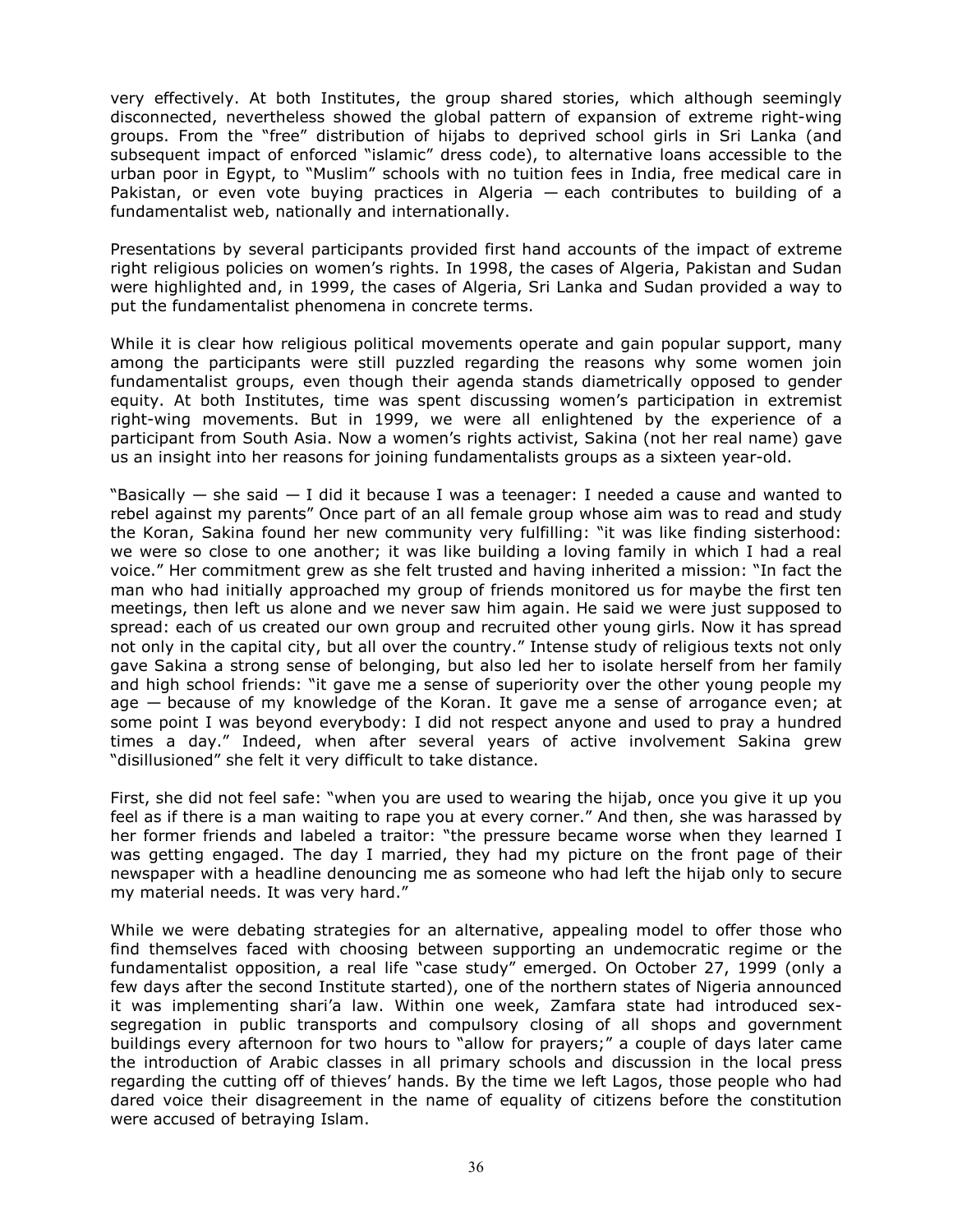very effectively. At both Institutes, the group shared stories, which although seemingly disconnected, nevertheless showed the global pattern of expansion of extreme right-wing groups. From the "free" distribution of hijabs to deprived school girls in Sri Lanka (and subsequent impact of enforced "islamic" dress code), to alternative loans accessible to the urban poor in Egypt, to "Muslim" schools with no tuition fees in India, free medical care in Pakistan, or even vote buying practices in Algeria — each contributes to building of a fundamentalist web, nationally and internationally.

Presentations by several participants provided first hand accounts of the impact of extreme right religious policies on women's rights. In 1998, the cases of Algeria, Pakistan and Sudan were highlighted and, in 1999, the cases of Algeria, Sri Lanka and Sudan provided a way to put the fundamentalist phenomena in concrete terms.

While it is clear how religious political movements operate and gain popular support, many among the participants were still puzzled regarding the reasons why some women join fundamentalist groups, even though their agenda stands diametrically opposed to gender equity. At both Institutes, time was spent discussing women's participation in extremist right-wing movements. But in 1999, we were all enlightened by the experience of a participant from South Asia. Now a women's rights activist, Sakina (not her real name) gave us an insight into her reasons for joining fundamentalists groups as a sixteen year-old.

"Basically  $-$  she said  $-$  I did it because I was a teenager: I needed a cause and wanted to rebel against my parents" Once part of an all female group whose aim was to read and study the Koran, Sakina found her new community very fulfilling: "it was like finding sisterhood: we were so close to one another; it was like building a loving family in which I had a real voice." Her commitment grew as she felt trusted and having inherited a mission: "In fact the man who had initially approached my group of friends monitored us for maybe the first ten meetings, then left us alone and we never saw him again. He said we were just supposed to spread: each of us created our own group and recruited other young girls. Now it has spread not only in the capital city, but all over the country." Intense study of religious texts not only gave Sakina a strong sense of belonging, but also led her to isolate herself from her family and high school friends: "it gave me a sense of superiority over the other young people my age — because of my knowledge of the Koran. It gave me a sense of arrogance even; at some point I was beyond everybody: I did not respect anyone and used to pray a hundred times a day." Indeed, when after several years of active involvement Sakina grew "disillusioned" she felt it very difficult to take distance.

First, she did not feel safe: "when you are used to wearing the hijab, once you give it up you feel as if there is a man waiting to rape you at every corner." And then, she was harassed by her former friends and labeled a traitor: "the pressure became worse when they learned I was getting engaged. The day I married, they had my picture on the front page of their newspaper with a headline denouncing me as someone who had left the hijab only to secure my material needs. It was very hard."

While we were debating strategies for an alternative, appealing model to offer those who find themselves faced with choosing between supporting an undemocratic regime or the fundamentalist opposition, a real life "case study" emerged. On October 27, 1999 (only a few days after the second Institute started), one of the northern states of Nigeria announced it was implementing shari'a law. Within one week, Zamfara state had introduced sexsegregation in public transports and compulsory closing of all shops and government buildings every afternoon for two hours to "allow for prayers;" a couple of days later came the introduction of Arabic classes in all primary schools and discussion in the local press regarding the cutting off of thieves' hands. By the time we left Lagos, those people who had dared voice their disagreement in the name of equality of citizens before the constitution were accused of betraying Islam.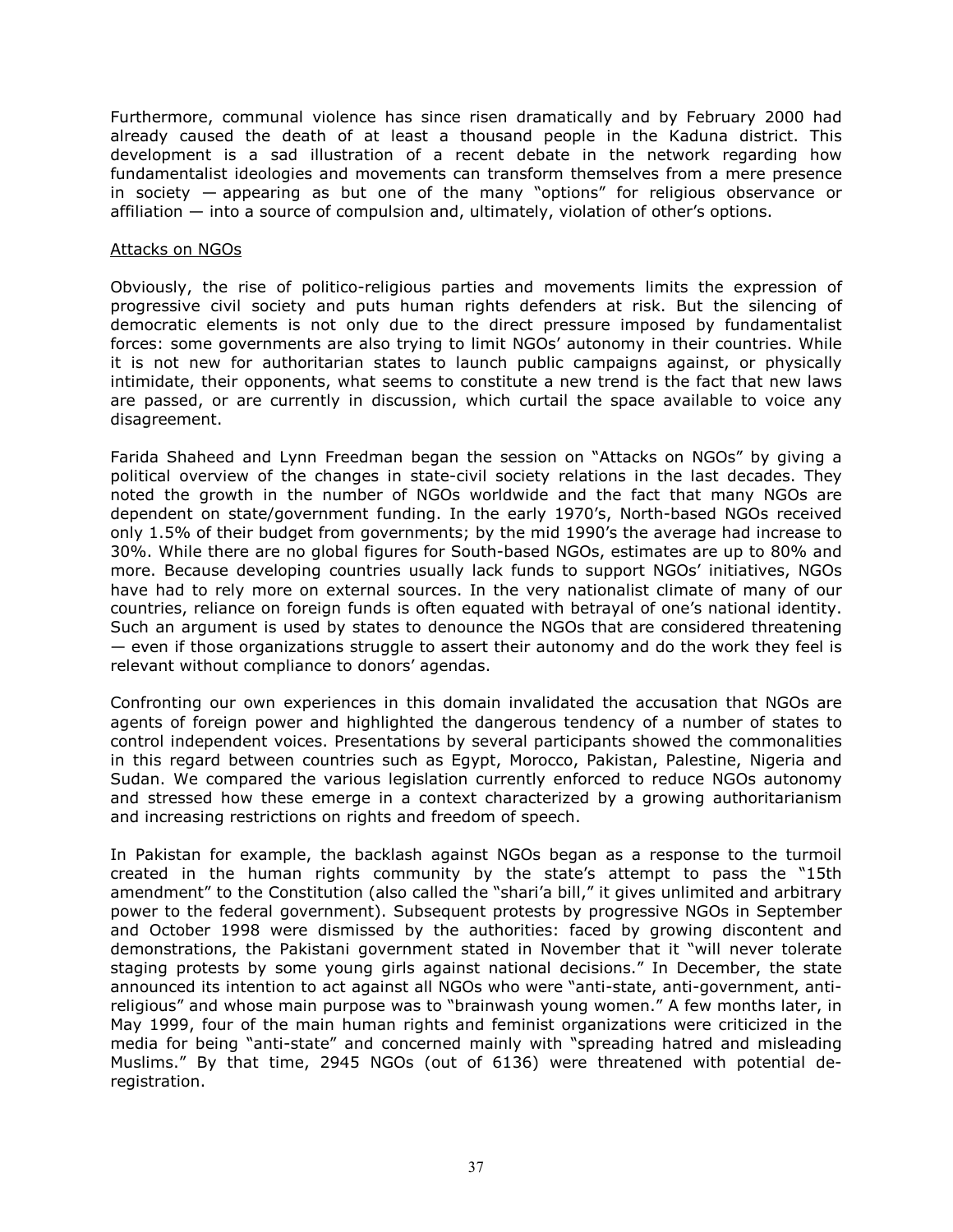Furthermore, communal violence has since risen dramatically and by February 2000 had already caused the death of at least a thousand people in the Kaduna district. This development is a sad illustration of a recent debate in the network regarding how fundamentalist ideologies and movements can transform themselves from a mere presence in society — appearing as but one of the many "options" for religious observance or affiliation — into a source of compulsion and, ultimately, violation of other's options.

#### Attacks on NGOs

Obviously, the rise of politico-religious parties and movements limits the expression of progressive civil society and puts human rights defenders at risk. But the silencing of democratic elements is not only due to the direct pressure imposed by fundamentalist forces: some governments are also trying to limit NGOs' autonomy in their countries. While it is not new for authoritarian states to launch public campaigns against, or physically intimidate, their opponents, what seems to constitute a new trend is the fact that new laws are passed, or are currently in discussion, which curtail the space available to voice any disagreement.

Farida Shaheed and Lynn Freedman began the session on "Attacks on NGOs" by giving a political overview of the changes in state-civil society relations in the last decades. They noted the growth in the number of NGOs worldwide and the fact that many NGOs are dependent on state/government funding. In the early 1970's, North-based NGOs received only 1.5% of their budget from governments; by the mid 1990's the average had increase to 30%. While there are no global figures for South-based NGOs, estimates are up to 80% and more. Because developing countries usually lack funds to support NGOs' initiatives, NGOs have had to rely more on external sources. In the very nationalist climate of many of our countries, reliance on foreign funds is often equated with betrayal of one's national identity. Such an argument is used by states to denounce the NGOs that are considered threatening — even if those organizations struggle to assert their autonomy and do the work they feel is relevant without compliance to donors' agendas.

Confronting our own experiences in this domain invalidated the accusation that NGOs are agents of foreign power and highlighted the dangerous tendency of a number of states to control independent voices. Presentations by several participants showed the commonalities in this regard between countries such as Egypt, Morocco, Pakistan, Palestine, Nigeria and Sudan. We compared the various legislation currently enforced to reduce NGOs autonomy and stressed how these emerge in a context characterized by a growing authoritarianism and increasing restrictions on rights and freedom of speech.

In Pakistan for example, the backlash against NGOs began as a response to the turmoil created in the human rights community by the state's attempt to pass the "15th amendment" to the Constitution (also called the "shari'a bill," it gives unlimited and arbitrary power to the federal government). Subsequent protests by progressive NGOs in September and October 1998 were dismissed by the authorities: faced by growing discontent and demonstrations, the Pakistani government stated in November that it "will never tolerate staging protests by some young girls against national decisions." In December, the state announced its intention to act against all NGOs who were "anti-state, anti-government, antireligious" and whose main purpose was to "brainwash young women." A few months later, in May 1999, four of the main human rights and feminist organizations were criticized in the media for being "anti-state" and concerned mainly with "spreading hatred and misleading Muslims." By that time, 2945 NGOs (out of 6136) were threatened with potential deregistration.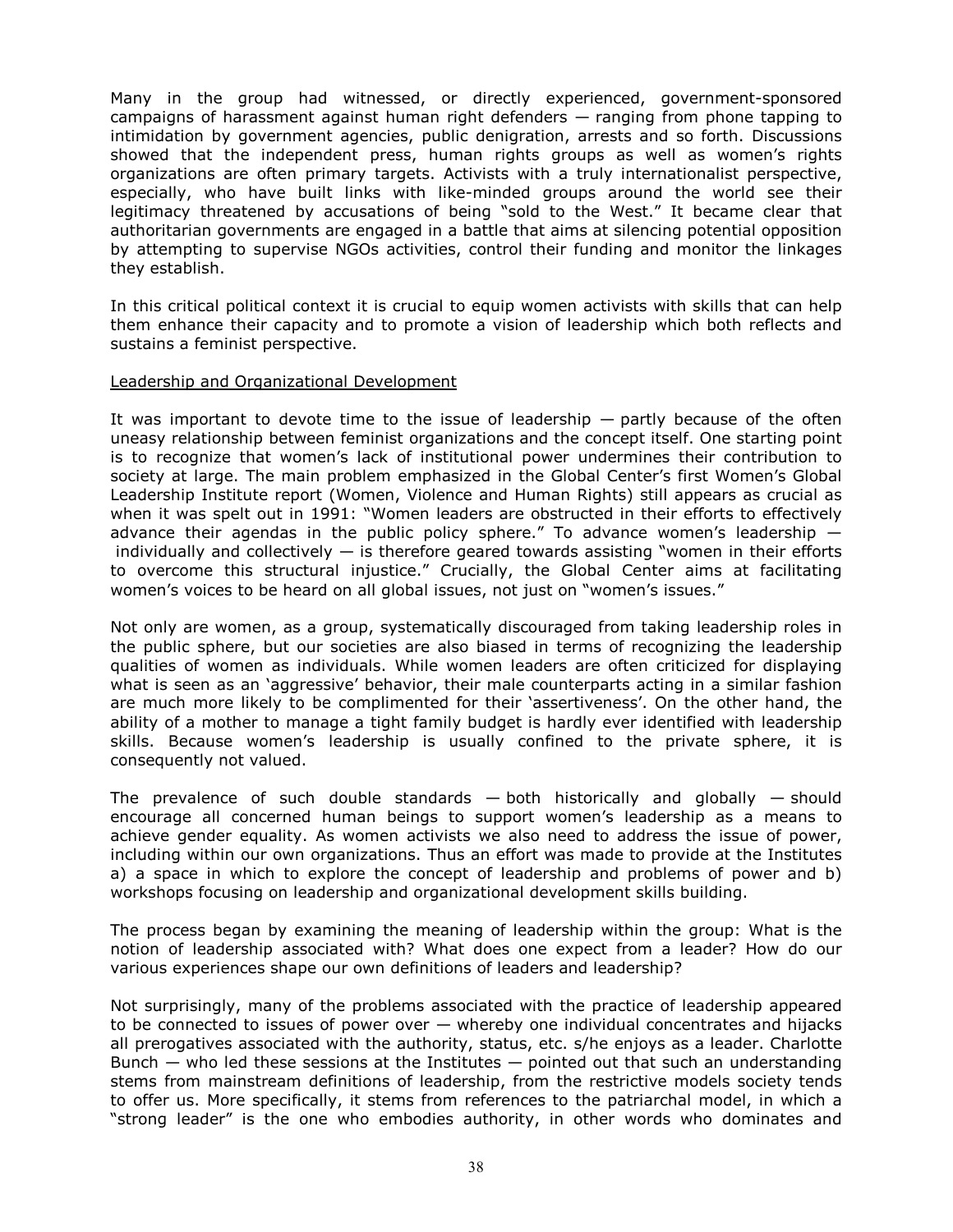Many in the group had witnessed, or directly experienced, government-sponsored campaigns of harassment against human right defenders — ranging from phone tapping to intimidation by government agencies, public denigration, arrests and so forth. Discussions showed that the independent press, human rights groups as well as women's rights organizations are often primary targets. Activists with a truly internationalist perspective, especially, who have built links with like-minded groups around the world see their legitimacy threatened by accusations of being "sold to the West." It became clear that authoritarian governments are engaged in a battle that aims at silencing potential opposition by attempting to supervise NGOs activities, control their funding and monitor the linkages they establish.

In this critical political context it is crucial to equip women activists with skills that can help them enhance their capacity and to promote a vision of leadership which both reflects and sustains a feminist perspective.

#### Leadership and Organizational Development

It was important to devote time to the issue of leadership  $-$  partly because of the often uneasy relationship between feminist organizations and the concept itself. One starting point is to recognize that women's lack of institutional power undermines their contribution to society at large. The main problem emphasized in the Global Center's first Women's Global Leadership Institute report (Women, Violence and Human Rights) still appears as crucial as when it was spelt out in 1991: "Women leaders are obstructed in their efforts to effectively advance their agendas in the public policy sphere." To advance women's leadership  $$ individually and collectively  $-$  is therefore geared towards assisting "women in their efforts to overcome this structural injustice." Crucially, the Global Center aims at facilitating women's voices to be heard on all global issues, not just on "women's issues."

Not only are women, as a group, systematically discouraged from taking leadership roles in the public sphere, but our societies are also biased in terms of recognizing the leadership qualities of women as individuals. While women leaders are often criticized for displaying what is seen as an 'aggressive' behavior, their male counterparts acting in a similar fashion are much more likely to be complimented for their 'assertiveness'. On the other hand, the ability of a mother to manage a tight family budget is hardly ever identified with leadership skills. Because women's leadership is usually confined to the private sphere, it is consequently not valued.

The prevalence of such double standards  $-$  both historically and globally  $-$  should encourage all concerned human beings to support women's leadership as a means to achieve gender equality. As women activists we also need to address the issue of power, including within our own organizations. Thus an effort was made to provide at the Institutes a) a space in which to explore the concept of leadership and problems of power and b) workshops focusing on leadership and organizational development skills building.

The process began by examining the meaning of leadership within the group: What is the notion of leadership associated with? What does one expect from a leader? How do our various experiences shape our own definitions of leaders and leadership?

Not surprisingly, many of the problems associated with the practice of leadership appeared to be connected to issues of power over  $-$  whereby one individual concentrates and hijacks all prerogatives associated with the authority, status, etc. s/he enjoys as a leader. Charlotte Bunch  $-$  who led these sessions at the Institutes  $-$  pointed out that such an understanding stems from mainstream definitions of leadership, from the restrictive models society tends to offer us. More specifically, it stems from references to the patriarchal model, in which a "strong leader" is the one who embodies authority, in other words who dominates and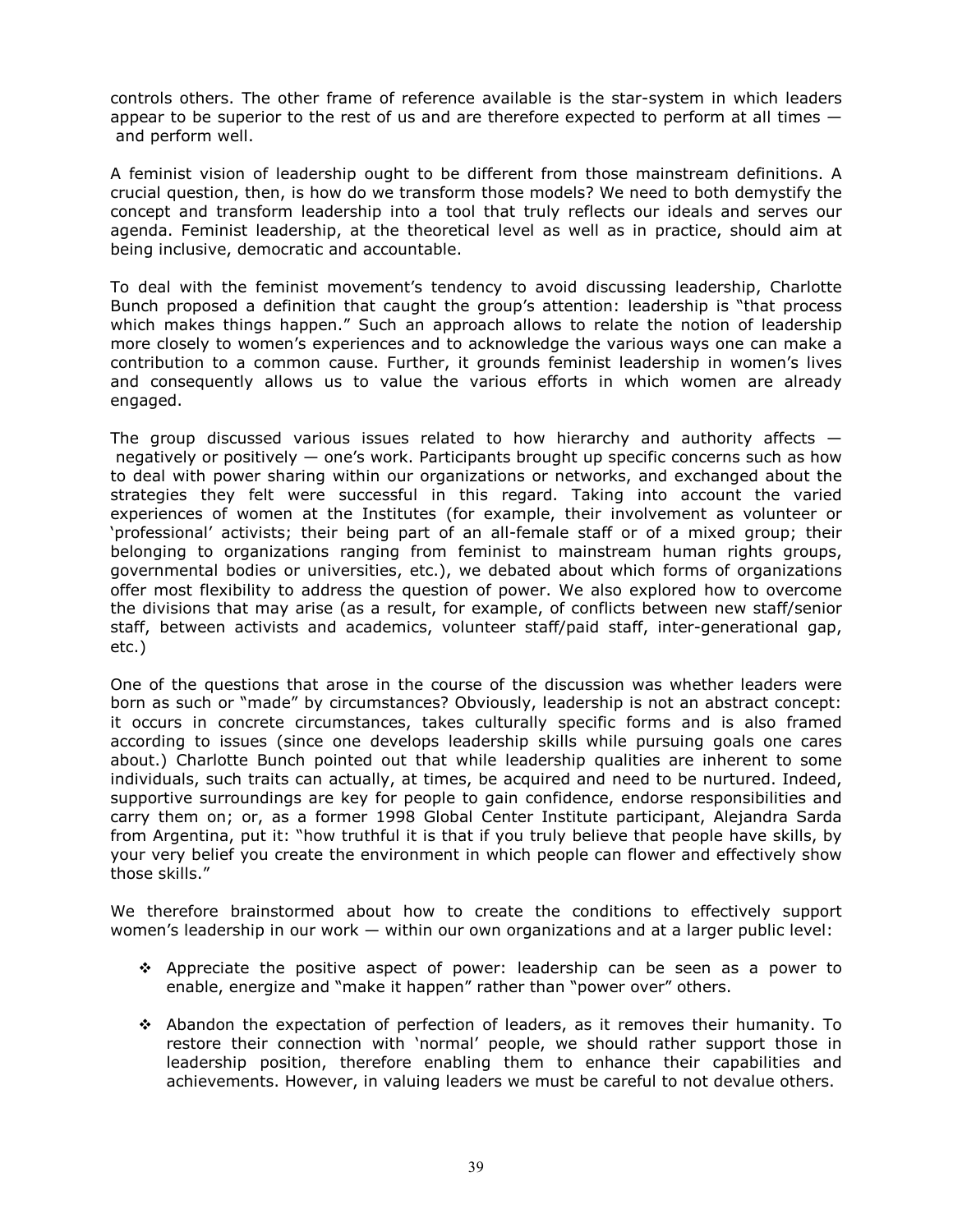controls others. The other frame of reference available is the star-system in which leaders appear to be superior to the rest of us and are therefore expected to perform at all times  $$ and perform well.

A feminist vision of leadership ought to be different from those mainstream definitions. A crucial question, then, is how do we transform those models? We need to both demystify the concept and transform leadership into a tool that truly reflects our ideals and serves our agenda. Feminist leadership, at the theoretical level as well as in practice, should aim at being inclusive, democratic and accountable.

To deal with the feminist movement's tendency to avoid discussing leadership, Charlotte Bunch proposed a definition that caught the group's attention: leadership is "that process which makes things happen." Such an approach allows to relate the notion of leadership more closely to women's experiences and to acknowledge the various ways one can make a contribution to a common cause. Further, it grounds feminist leadership in women's lives and consequently allows us to value the various efforts in which women are already engaged.

The group discussed various issues related to how hierarchy and authority affects  $$  negatively or positively — one's work. Participants brought up specific concerns such as how to deal with power sharing within our organizations or networks, and exchanged about the strategies they felt were successful in this regard. Taking into account the varied experiences of women at the Institutes (for example, their involvement as volunteer or 'professional' activists; their being part of an all-female staff or of a mixed group; their belonging to organizations ranging from feminist to mainstream human rights groups, governmental bodies or universities, etc.), we debated about which forms of organizations offer most flexibility to address the question of power. We also explored how to overcome the divisions that may arise (as a result, for example, of conflicts between new staff/senior staff, between activists and academics, volunteer staff/paid staff, inter-generational gap, etc.)

One of the questions that arose in the course of the discussion was whether leaders were born as such or "made" by circumstances? Obviously, leadership is not an abstract concept: it occurs in concrete circumstances, takes culturally specific forms and is also framed according to issues (since one develops leadership skills while pursuing goals one cares about.) Charlotte Bunch pointed out that while leadership qualities are inherent to some individuals, such traits can actually, at times, be acquired and need to be nurtured. Indeed, supportive surroundings are key for people to gain confidence, endorse responsibilities and carry them on; or, as a former 1998 Global Center Institute participant, Alejandra Sarda from Argentina, put it: "how truthful it is that if you truly believe that people have skills, by your very belief you create the environment in which people can flower and effectively show those skills."

We therefore brainstormed about how to create the conditions to effectively support women's leadership in our work — within our own organizations and at a larger public level:

- $\div$  Appreciate the positive aspect of power: leadership can be seen as a power to enable, energize and "make it happen" rather than "power over" others.
- Abandon the expectation of perfection of leaders, as it removes their humanity. To restore their connection with 'normal' people, we should rather support those in leadership position, therefore enabling them to enhance their capabilities and achievements. However, in valuing leaders we must be careful to not devalue others.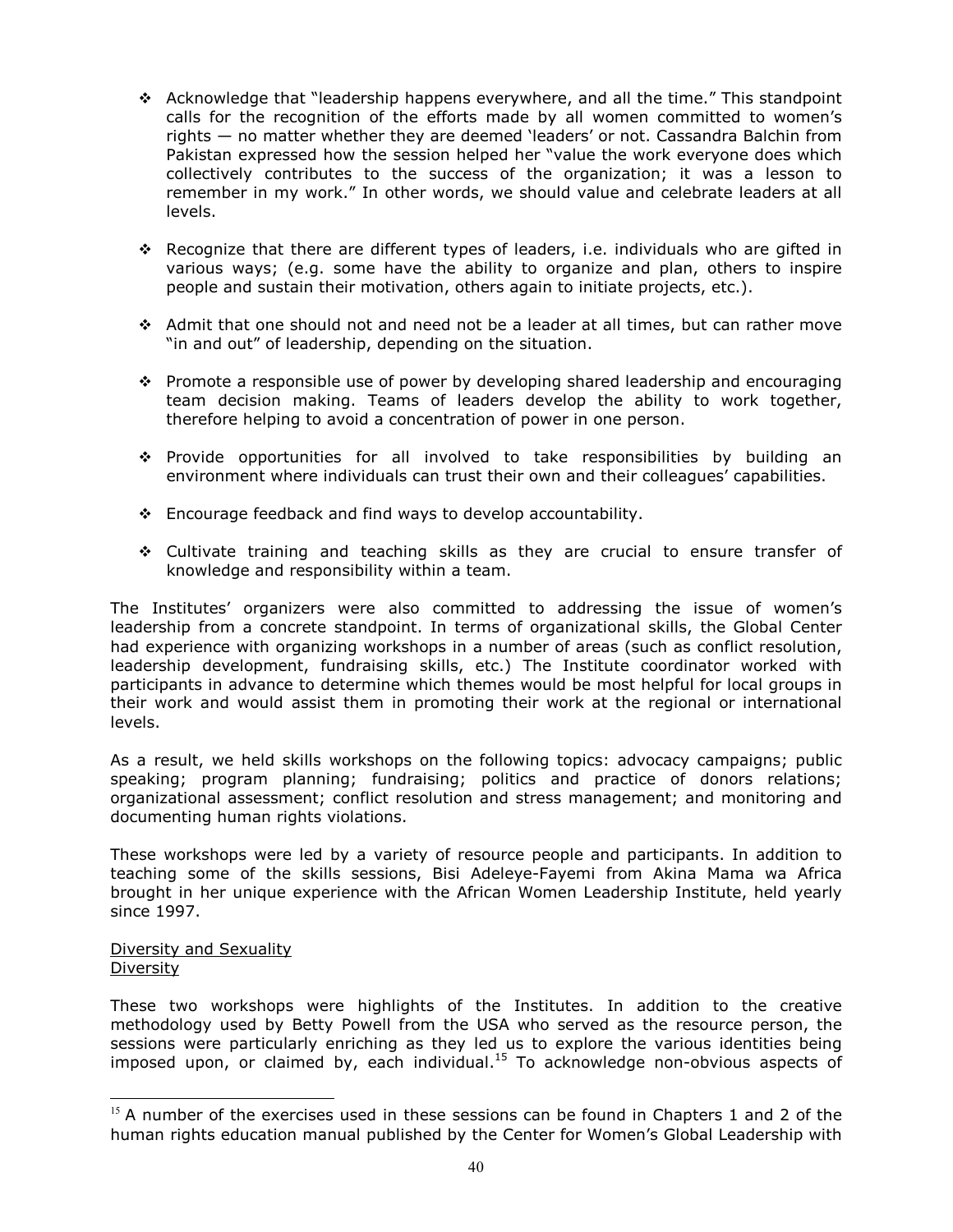- \* Acknowledge that "leadership happens everywhere, and all the time." This standpoint calls for the recognition of the efforts made by all women committed to women's rights — no matter whether they are deemed 'leaders' or not. Cassandra Balchin from Pakistan expressed how the session helped her "value the work everyone does which collectively contributes to the success of the organization; it was a lesson to remember in my work." In other words, we should value and celebrate leaders at all levels.
- $\div$  Recognize that there are different types of leaders, i.e. individuals who are gifted in various ways; (e.g. some have the ability to organize and plan, others to inspire people and sustain their motivation, others again to initiate projects, etc.).
- Admit that one should not and need not be a leader at all times, but can rather move "in and out" of leadership, depending on the situation.
- $\div$  Promote a responsible use of power by developing shared leadership and encouraging team decision making. Teams of leaders develop the ability to work together, therefore helping to avoid a concentration of power in one person.
- Provide opportunities for all involved to take responsibilities by building an environment where individuals can trust their own and their colleagues' capabilities.
- \* Encourage feedback and find ways to develop accountability.
- Cultivate training and teaching skills as they are crucial to ensure transfer of knowledge and responsibility within a team.

The Institutes' organizers were also committed to addressing the issue of women's leadership from a concrete standpoint. In terms of organizational skills, the Global Center had experience with organizing workshops in a number of areas (such as conflict resolution, leadership development, fundraising skills, etc.) The Institute coordinator worked with participants in advance to determine which themes would be most helpful for local groups in their work and would assist them in promoting their work at the regional or international levels.

As a result, we held skills workshops on the following topics: advocacy campaigns; public speaking; program planning; fundraising; politics and practice of donors relations; organizational assessment; conflict resolution and stress management; and monitoring and documenting human rights violations.

These workshops were led by a variety of resource people and participants. In addition to teaching some of the skills sessions, Bisi Adeleye-Fayemi from Akina Mama wa Africa brought in her unique experience with the African Women Leadership Institute, held yearly since 1997.

Diversity and Sexuality Diversity

֦

These two workshops were highlights of the Institutes. In addition to the creative methodology used by Betty Powell from the USA who served as the resource person, the sessions were particularly enriching as they led us to explore the various identities being  $imposed$  upon, or claimed by, each individual.<sup>15</sup> To acknowledge non-obvious aspects of

 $15$  A number of the exercises used in these sessions can be found in Chapters 1 and 2 of the human rights education manual published by the Center for Women's Global Leadership with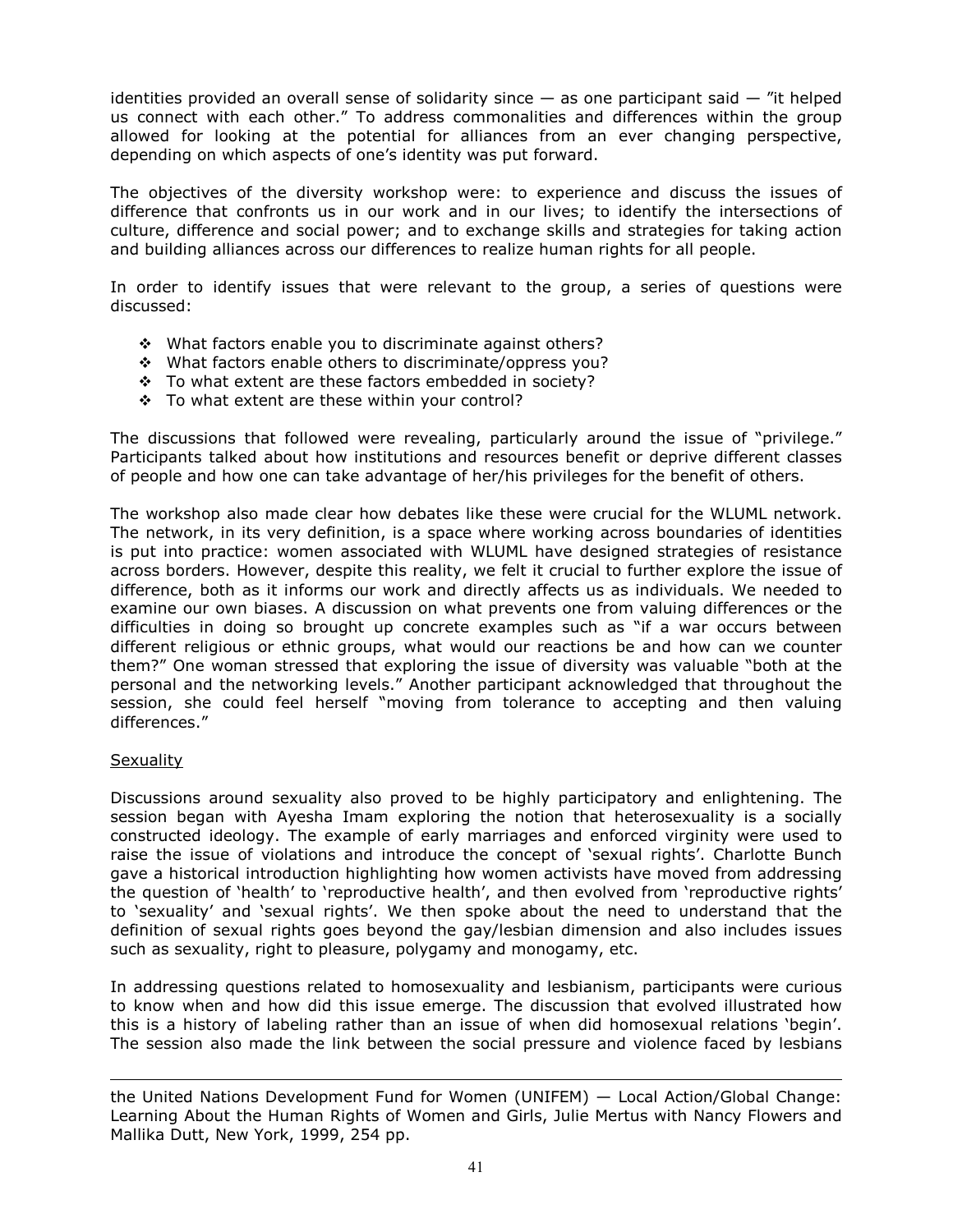identities provided an overall sense of solidarity since  $-$  as one participant said  $-$  "it helped us connect with each other." To address commonalities and differences within the group allowed for looking at the potential for alliances from an ever changing perspective, depending on which aspects of one's identity was put forward.

The objectives of the diversity workshop were: to experience and discuss the issues of difference that confronts us in our work and in our lives; to identify the intersections of culture, difference and social power; and to exchange skills and strategies for taking action and building alliances across our differences to realize human rights for all people.

In order to identify issues that were relevant to the group, a series of questions were discussed:

- What factors enable you to discriminate against others?
- What factors enable others to discriminate/oppress you?
- To what extent are these factors embedded in society?
- \* To what extent are these within your control?

The discussions that followed were revealing, particularly around the issue of "privilege." Participants talked about how institutions and resources benefit or deprive different classes of people and how one can take advantage of her/his privileges for the benefit of others.

The workshop also made clear how debates like these were crucial for the WLUML network. The network, in its very definition, is a space where working across boundaries of identities is put into practice: women associated with WLUML have designed strategies of resistance across borders. However, despite this reality, we felt it crucial to further explore the issue of difference, both as it informs our work and directly affects us as individuals. We needed to examine our own biases. A discussion on what prevents one from valuing differences or the difficulties in doing so brought up concrete examples such as "if a war occurs between different religious or ethnic groups, what would our reactions be and how can we counter them?" One woman stressed that exploring the issue of diversity was valuable "both at the personal and the networking levels." Another participant acknowledged that throughout the session, she could feel herself "moving from tolerance to accepting and then valuing differences."

#### **Sexuality**

 $\overline{a}$ 

Discussions around sexuality also proved to be highly participatory and enlightening. The session began with Ayesha Imam exploring the notion that heterosexuality is a socially constructed ideology. The example of early marriages and enforced virginity were used to raise the issue of violations and introduce the concept of 'sexual rights'. Charlotte Bunch gave a historical introduction highlighting how women activists have moved from addressing the question of 'health' to 'reproductive health', and then evolved from 'reproductive rights' to 'sexuality' and 'sexual rights'. We then spoke about the need to understand that the definition of sexual rights goes beyond the gay/lesbian dimension and also includes issues such as sexuality, right to pleasure, polygamy and monogamy, etc.

In addressing questions related to homosexuality and lesbianism, participants were curious to know when and how did this issue emerge. The discussion that evolved illustrated how this is a history of labeling rather than an issue of when did homosexual relations 'begin'. The session also made the link between the social pressure and violence faced by lesbians

the United Nations Development Fund for Women (UNIFEM) — Local Action/Global Change: Learning About the Human Rights of Women and Girls, Julie Mertus with Nancy Flowers and Mallika Dutt, New York, 1999, 254 pp.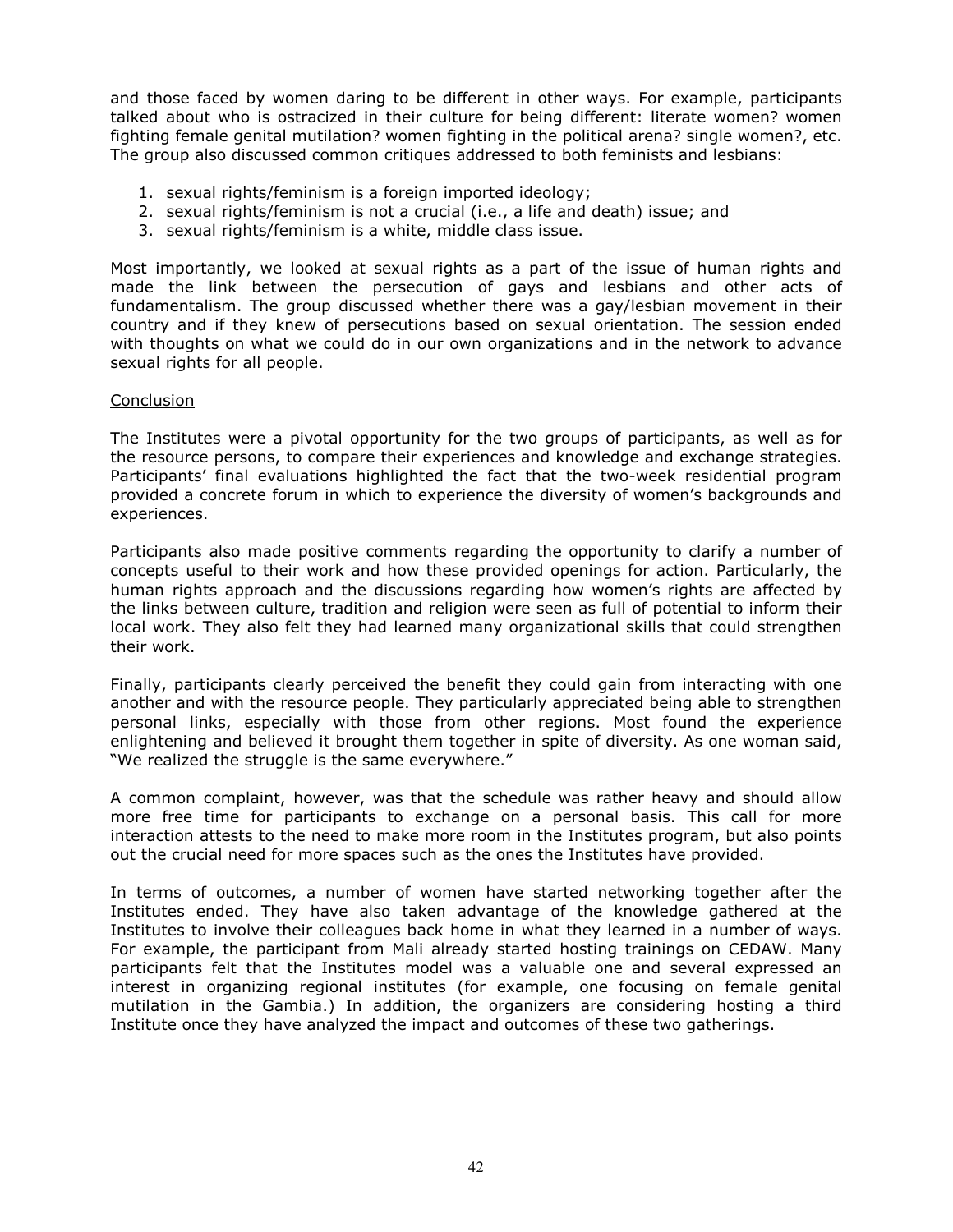and those faced by women daring to be different in other ways. For example, participants talked about who is ostracized in their culture for being different: literate women? women fighting female genital mutilation? women fighting in the political arena? single women?, etc. The group also discussed common critiques addressed to both feminists and lesbians:

- 1. sexual rights/feminism is a foreign imported ideology;
- 2. sexual rights/feminism is not a crucial (i.e., a life and death) issue; and
- 3. sexual rights/feminism is a white, middle class issue.

Most importantly, we looked at sexual rights as a part of the issue of human rights and made the link between the persecution of gays and lesbians and other acts of fundamentalism. The group discussed whether there was a gay/lesbian movement in their country and if they knew of persecutions based on sexual orientation. The session ended with thoughts on what we could do in our own organizations and in the network to advance sexual rights for all people.

## Conclusion

The Institutes were a pivotal opportunity for the two groups of participants, as well as for the resource persons, to compare their experiences and knowledge and exchange strategies. Participants' final evaluations highlighted the fact that the two-week residential program provided a concrete forum in which to experience the diversity of women's backgrounds and experiences.

Participants also made positive comments regarding the opportunity to clarify a number of concepts useful to their work and how these provided openings for action. Particularly, the human rights approach and the discussions regarding how women's rights are affected by the links between culture, tradition and religion were seen as full of potential to inform their local work. They also felt they had learned many organizational skills that could strengthen their work.

Finally, participants clearly perceived the benefit they could gain from interacting with one another and with the resource people. They particularly appreciated being able to strengthen personal links, especially with those from other regions. Most found the experience enlightening and believed it brought them together in spite of diversity. As one woman said, "We realized the struggle is the same everywhere."

A common complaint, however, was that the schedule was rather heavy and should allow more free time for participants to exchange on a personal basis. This call for more interaction attests to the need to make more room in the Institutes program, but also points out the crucial need for more spaces such as the ones the Institutes have provided.

In terms of outcomes, a number of women have started networking together after the Institutes ended. They have also taken advantage of the knowledge gathered at the Institutes to involve their colleagues back home in what they learned in a number of ways. For example, the participant from Mali already started hosting trainings on CEDAW. Many participants felt that the Institutes model was a valuable one and several expressed an interest in organizing regional institutes (for example, one focusing on female genital mutilation in the Gambia.) In addition, the organizers are considering hosting a third Institute once they have analyzed the impact and outcomes of these two gatherings.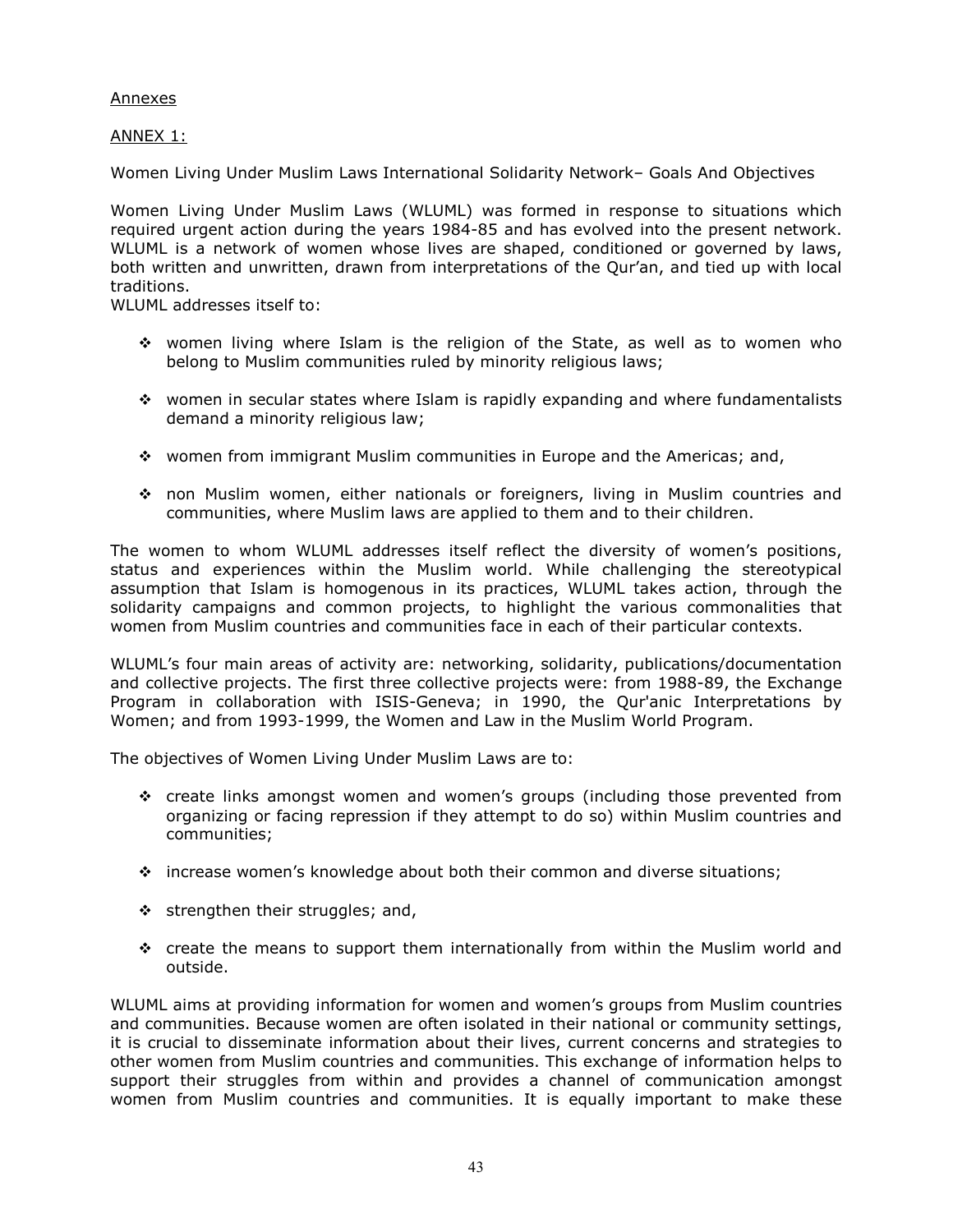## Annexes

ANNEX 1:

Women Living Under Muslim Laws International Solidarity Network– Goals And Objectives

Women Living Under Muslim Laws (WLUML) was formed in response to situations which required urgent action during the years 1984-85 and has evolved into the present network. WLUML is a network of women whose lives are shaped, conditioned or governed by laws, both written and unwritten, drawn from interpretations of the Qur'an, and tied up with local traditions.

WLUML addresses itself to:

- women living where Islam is the religion of the State, as well as to women who belong to Muslim communities ruled by minority religious laws;
- women in secular states where Islam is rapidly expanding and where fundamentalists demand a minority religious law;
- women from immigrant Muslim communities in Europe and the Americas; and,
- non Muslim women, either nationals or foreigners, living in Muslim countries and communities, where Muslim laws are applied to them and to their children.

The women to whom WLUML addresses itself reflect the diversity of women's positions, status and experiences within the Muslim world. While challenging the stereotypical assumption that Islam is homogenous in its practices, WLUML takes action, through the solidarity campaigns and common projects, to highlight the various commonalities that women from Muslim countries and communities face in each of their particular contexts.

WLUML's four main areas of activity are: networking, solidarity, publications/documentation and collective projects. The first three collective projects were: from 1988-89, the Exchange Program in collaboration with ISIS-Geneva; in 1990, the Qur'anic Interpretations by Women; and from 1993-1999, the Women and Law in the Muslim World Program.

The objectives of Women Living Under Muslim Laws are to:

- create links amongst women and women's groups (including those prevented from organizing or facing repression if they attempt to do so) within Muslim countries and communities;
- increase women's knowledge about both their common and diverse situations;
- $\div$  strengthen their struggles; and,
- $\div$  create the means to support them internationally from within the Muslim world and outside.

WLUML aims at providing information for women and women's groups from Muslim countries and communities. Because women are often isolated in their national or community settings, it is crucial to disseminate information about their lives, current concerns and strategies to other women from Muslim countries and communities. This exchange of information helps to support their struggles from within and provides a channel of communication amongst women from Muslim countries and communities. It is equally important to make these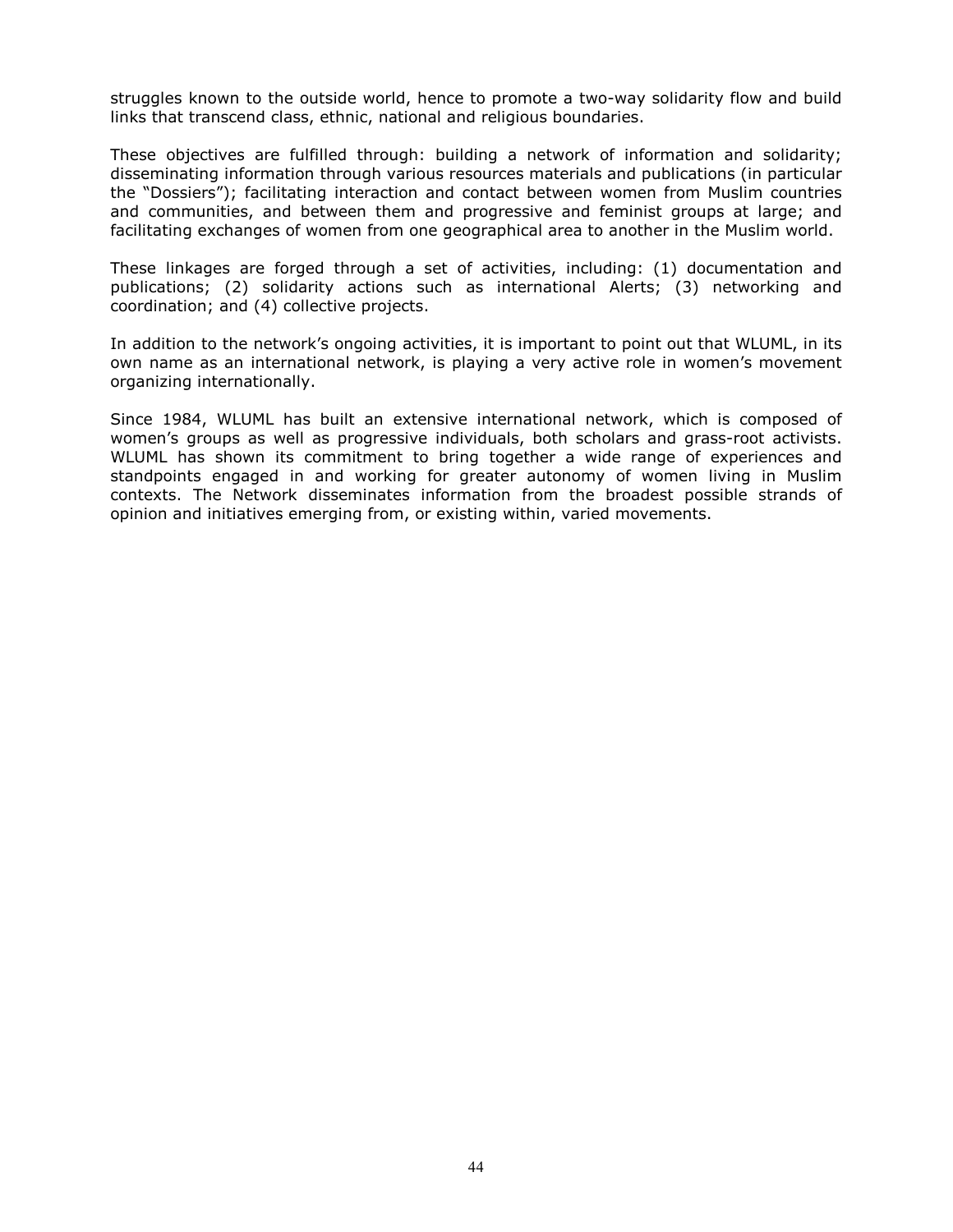struggles known to the outside world, hence to promote a two-way solidarity flow and build links that transcend class, ethnic, national and religious boundaries.

These objectives are fulfilled through: building a network of information and solidarity; disseminating information through various resources materials and publications (in particular the "Dossiers"); facilitating interaction and contact between women from Muslim countries and communities, and between them and progressive and feminist groups at large; and facilitating exchanges of women from one geographical area to another in the Muslim world.

These linkages are forged through a set of activities, including: (1) documentation and publications; (2) solidarity actions such as international Alerts; (3) networking and coordination; and (4) collective projects.

In addition to the network's ongoing activities, it is important to point out that WLUML, in its own name as an international network, is playing a very active role in women's movement organizing internationally.

Since 1984, WLUML has built an extensive international network, which is composed of women's groups as well as progressive individuals, both scholars and grass-root activists. WLUML has shown its commitment to bring together a wide range of experiences and standpoints engaged in and working for greater autonomy of women living in Muslim contexts. The Network disseminates information from the broadest possible strands of opinion and initiatives emerging from, or existing within, varied movements.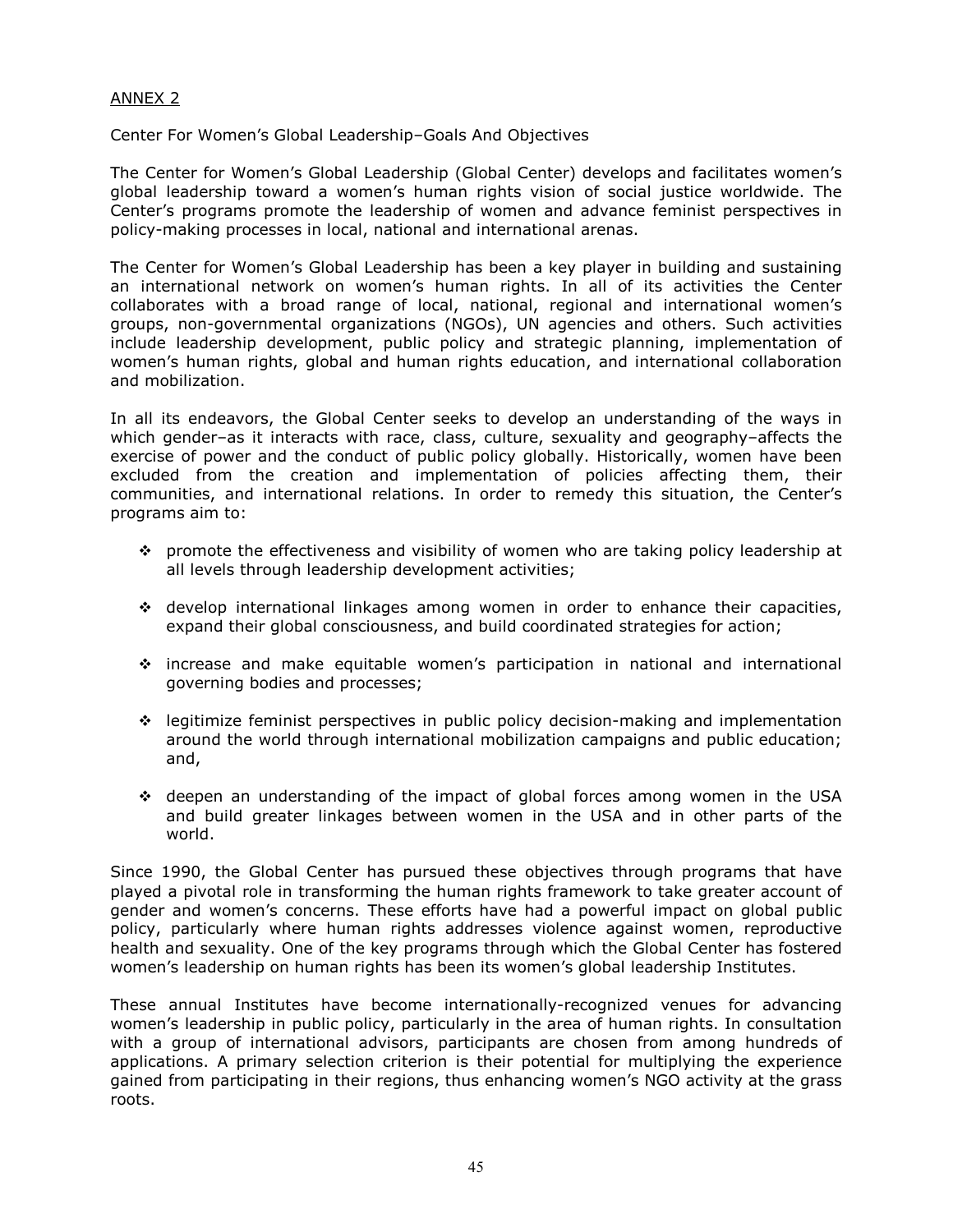## ANNEX 2

Center For Women's Global Leadership–Goals And Objectives

The Center for Women's Global Leadership (Global Center) develops and facilitates women's global leadership toward a women's human rights vision of social justice worldwide. The Center's programs promote the leadership of women and advance feminist perspectives in policy-making processes in local, national and international arenas.

The Center for Women's Global Leadership has been a key player in building and sustaining an international network on women's human rights. In all of its activities the Center collaborates with a broad range of local, national, regional and international women's groups, non-governmental organizations (NGOs), UN agencies and others. Such activities include leadership development, public policy and strategic planning, implementation of women's human rights, global and human rights education, and international collaboration and mobilization.

In all its endeavors, the Global Center seeks to develop an understanding of the ways in which gender–as it interacts with race, class, culture, sexuality and geography–affects the exercise of power and the conduct of public policy globally. Historically, women have been excluded from the creation and implementation of policies affecting them, their communities, and international relations. In order to remedy this situation, the Center's programs aim to:

- $\div$  promote the effectiveness and visibility of women who are taking policy leadership at all levels through leadership development activities;
- develop international linkages among women in order to enhance their capacities, expand their global consciousness, and build coordinated strategies for action;
- increase and make equitable women's participation in national and international governing bodies and processes;
- legitimize feminist perspectives in public policy decision-making and implementation around the world through international mobilization campaigns and public education; and,
- $\div$  deepen an understanding of the impact of global forces among women in the USA and build greater linkages between women in the USA and in other parts of the world.

Since 1990, the Global Center has pursued these objectives through programs that have played a pivotal role in transforming the human rights framework to take greater account of gender and women's concerns. These efforts have had a powerful impact on global public policy, particularly where human rights addresses violence against women, reproductive health and sexuality. One of the key programs through which the Global Center has fostered women's leadership on human rights has been its women's global leadership Institutes.

These annual Institutes have become internationally-recognized venues for advancing women's leadership in public policy, particularly in the area of human rights. In consultation with a group of international advisors, participants are chosen from among hundreds of applications. A primary selection criterion is their potential for multiplying the experience gained from participating in their regions, thus enhancing women's NGO activity at the grass roots.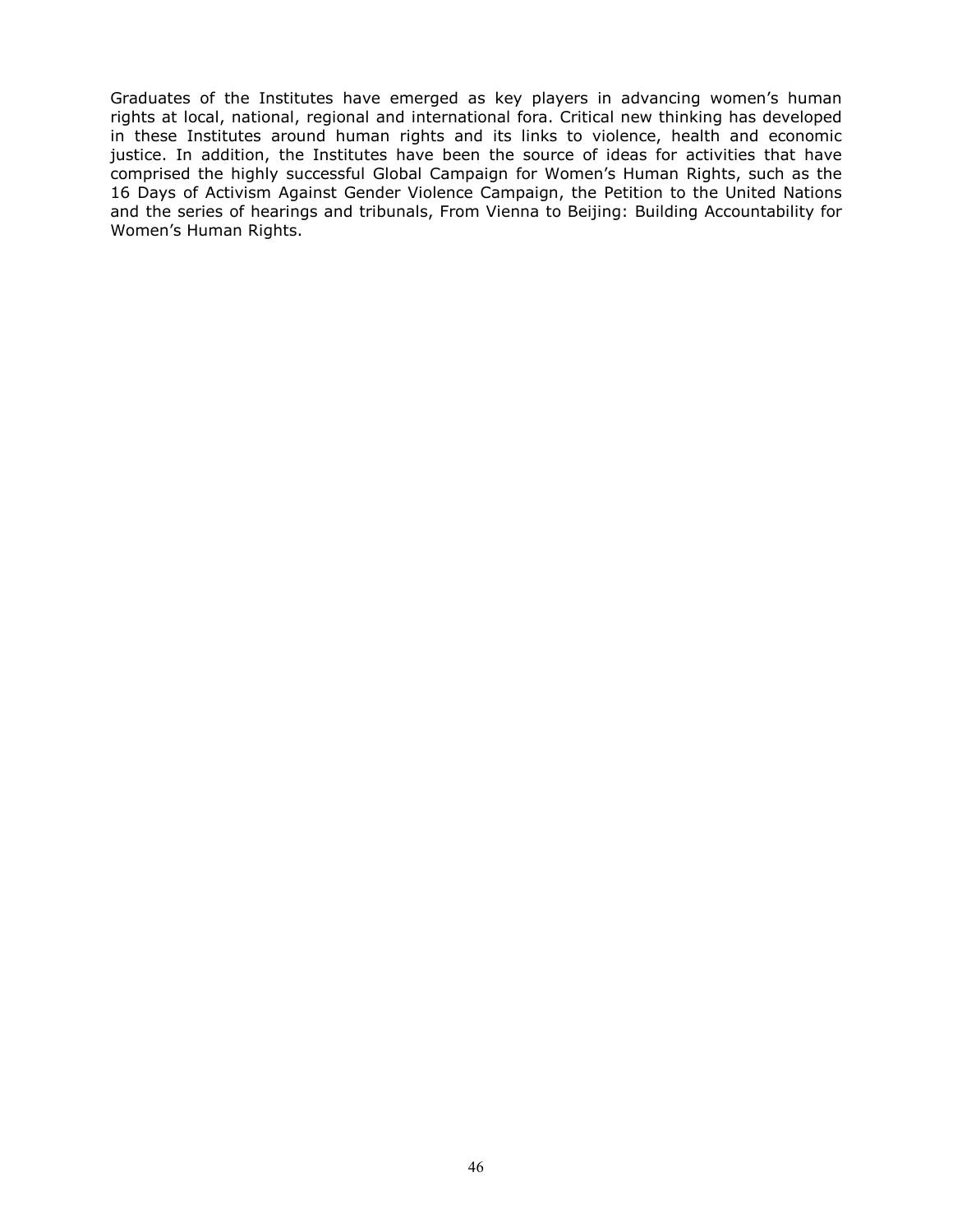Graduates of the Institutes have emerged as key players in advancing women's human rights at local, national, regional and international fora. Critical new thinking has developed in these Institutes around human rights and its links to violence, health and economic justice. In addition, the Institutes have been the source of ideas for activities that have comprised the highly successful Global Campaign for Women's Human Rights, such as the 16 Days of Activism Against Gender Violence Campaign, the Petition to the United Nations and the series of hearings and tribunals, From Vienna to Beijing: Building Accountability for Women's Human Rights.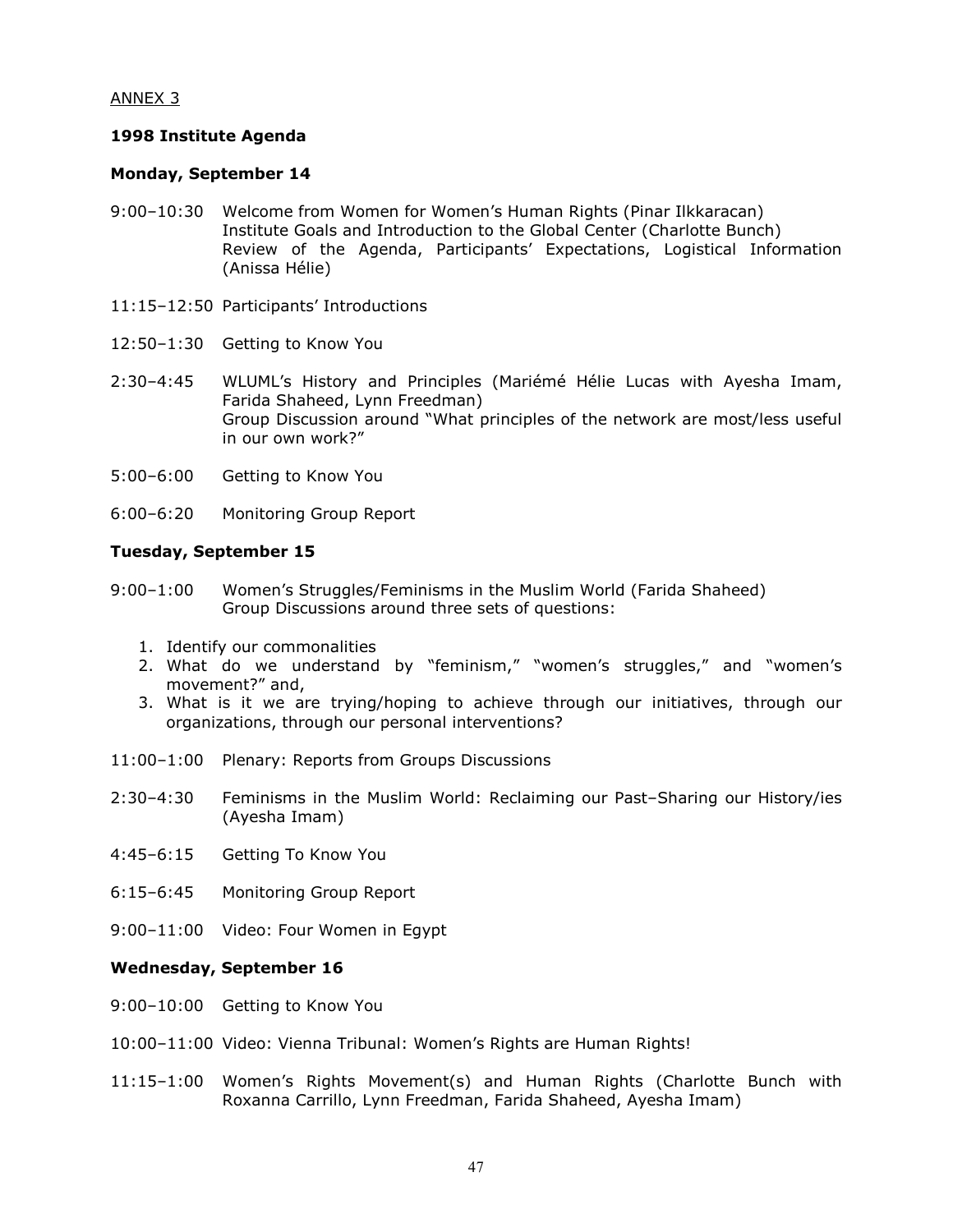## ANNEX 3

## 1998 Institute Agenda

## Monday, September 14

- 9:00–10:30 Welcome from Women for Women's Human Rights (Pinar Ilkkaracan) Institute Goals and Introduction to the Global Center (Charlotte Bunch) Review of the Agenda, Participants' Expectations, Logistical Information (Anissa Hélie)
- 11:15–12:50 Participants' Introductions
- 12:50–1:30 Getting to Know You
- 2:30–4:45 WLUML's History and Principles (Mariémé Hélie Lucas with Ayesha Imam, Farida Shaheed, Lynn Freedman) Group Discussion around "What principles of the network are most/less useful in our own work?"
- 5:00–6:00 Getting to Know You
- 6:00–6:20 Monitoring Group Report

## Tuesday, September 15

- 9:00–1:00 Women's Struggles/Feminisms in the Muslim World (Farida Shaheed) Group Discussions around three sets of questions:
	- 1. Identify our commonalities
	- 2. What do we understand by "feminism," "women's struggles," and "women's movement?" and,
	- 3. What is it we are trying/hoping to achieve through our initiatives, through our organizations, through our personal interventions?
- 11:00–1:00 Plenary: Reports from Groups Discussions
- 2:30–4:30 Feminisms in the Muslim World: Reclaiming our Past–Sharing our History/ies (Ayesha Imam)
- 4:45–6:15 Getting To Know You
- 6:15–6:45 Monitoring Group Report
- 9:00–11:00 Video: Four Women in Egypt

## Wednesday, September 16

- 9:00–10:00 Getting to Know You
- 10:00–11:00 Video: Vienna Tribunal: Women's Rights are Human Rights!
- 11:15–1:00 Women's Rights Movement(s) and Human Rights (Charlotte Bunch with Roxanna Carrillo, Lynn Freedman, Farida Shaheed, Ayesha Imam)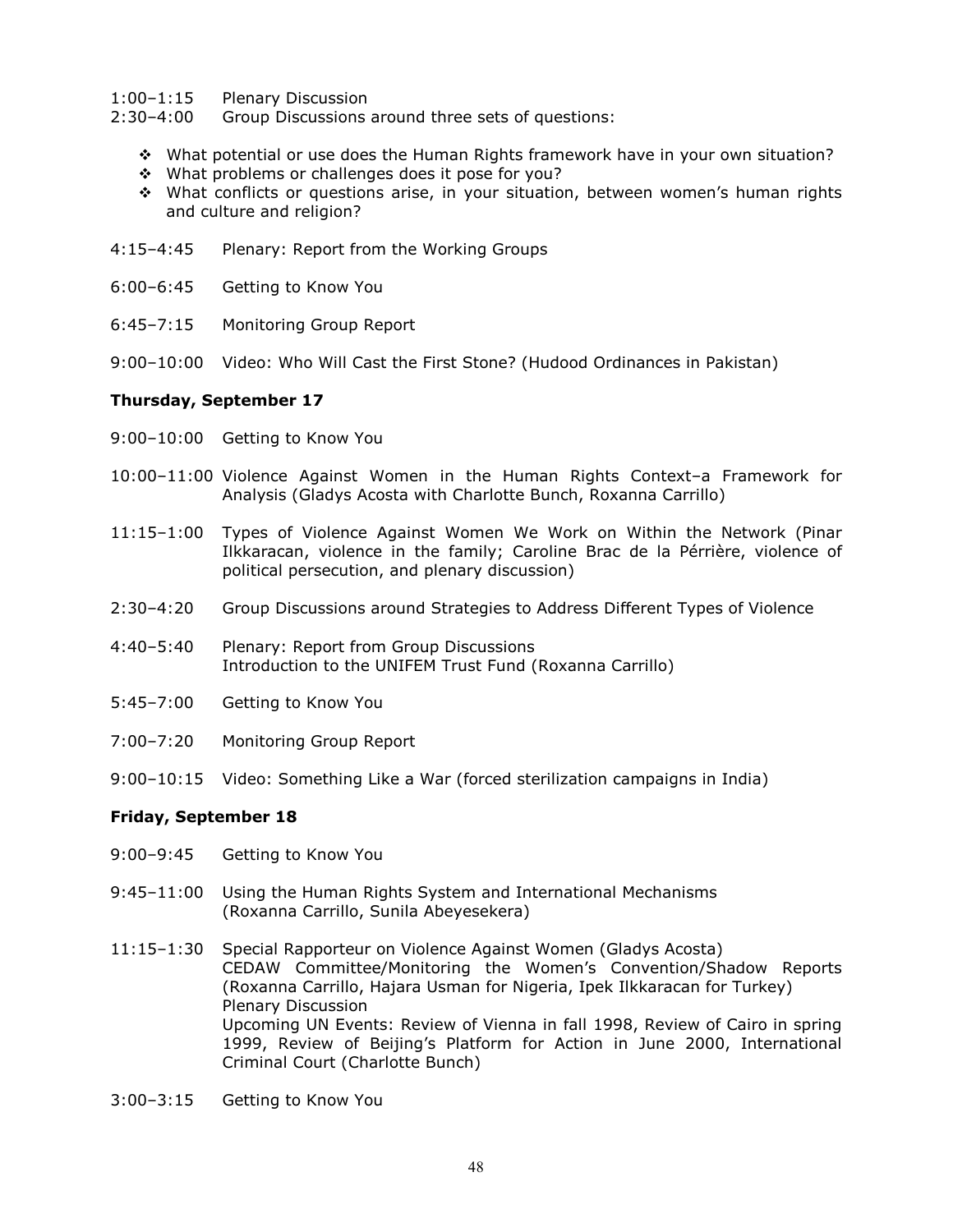#### 1:00–1:15 Plenary Discussion

2:30–4:00 Group Discussions around three sets of questions:

- What potential or use does the Human Rights framework have in your own situation?
- \* What problems or challenges does it pose for you?
- What conflicts or questions arise, in your situation, between women's human rights and culture and religion?
- 4:15–4:45 Plenary: Report from the Working Groups
- 6:00–6:45 Getting to Know You
- 6:45–7:15 Monitoring Group Report
- 9:00–10:00 Video: Who Will Cast the First Stone? (Hudood Ordinances in Pakistan)

#### Thursday, September 17

- 9:00–10:00 Getting to Know You
- 10:00–11:00 Violence Against Women in the Human Rights Context–a Framework for Analysis (Gladys Acosta with Charlotte Bunch, Roxanna Carrillo)
- 11:15–1:00 Types of Violence Against Women We Work on Within the Network (Pinar Ilkkaracan, violence in the family; Caroline Brac de la Pérrière, violence of political persecution, and plenary discussion)
- 2:30–4:20 Group Discussions around Strategies to Address Different Types of Violence
- 4:40–5:40 Plenary: Report from Group Discussions Introduction to the UNIFEM Trust Fund (Roxanna Carrillo)
- 5:45–7:00 Getting to Know You
- 7:00–7:20 Monitoring Group Report
- 9:00–10:15 Video: Something Like a War (forced sterilization campaigns in India)

## Friday, September 18

- 9:00–9:45 Getting to Know You
- 9:45–11:00 Using the Human Rights System and International Mechanisms (Roxanna Carrillo, Sunila Abeyesekera)
- 11:15–1:30 Special Rapporteur on Violence Against Women (Gladys Acosta) CEDAW Committee/Monitoring the Women's Convention/Shadow Reports (Roxanna Carrillo, Hajara Usman for Nigeria, Ipek Ilkkaracan for Turkey) Plenary Discussion Upcoming UN Events: Review of Vienna in fall 1998, Review of Cairo in spring 1999, Review of Beijing's Platform for Action in June 2000, International Criminal Court (Charlotte Bunch)
- 3:00–3:15 Getting to Know You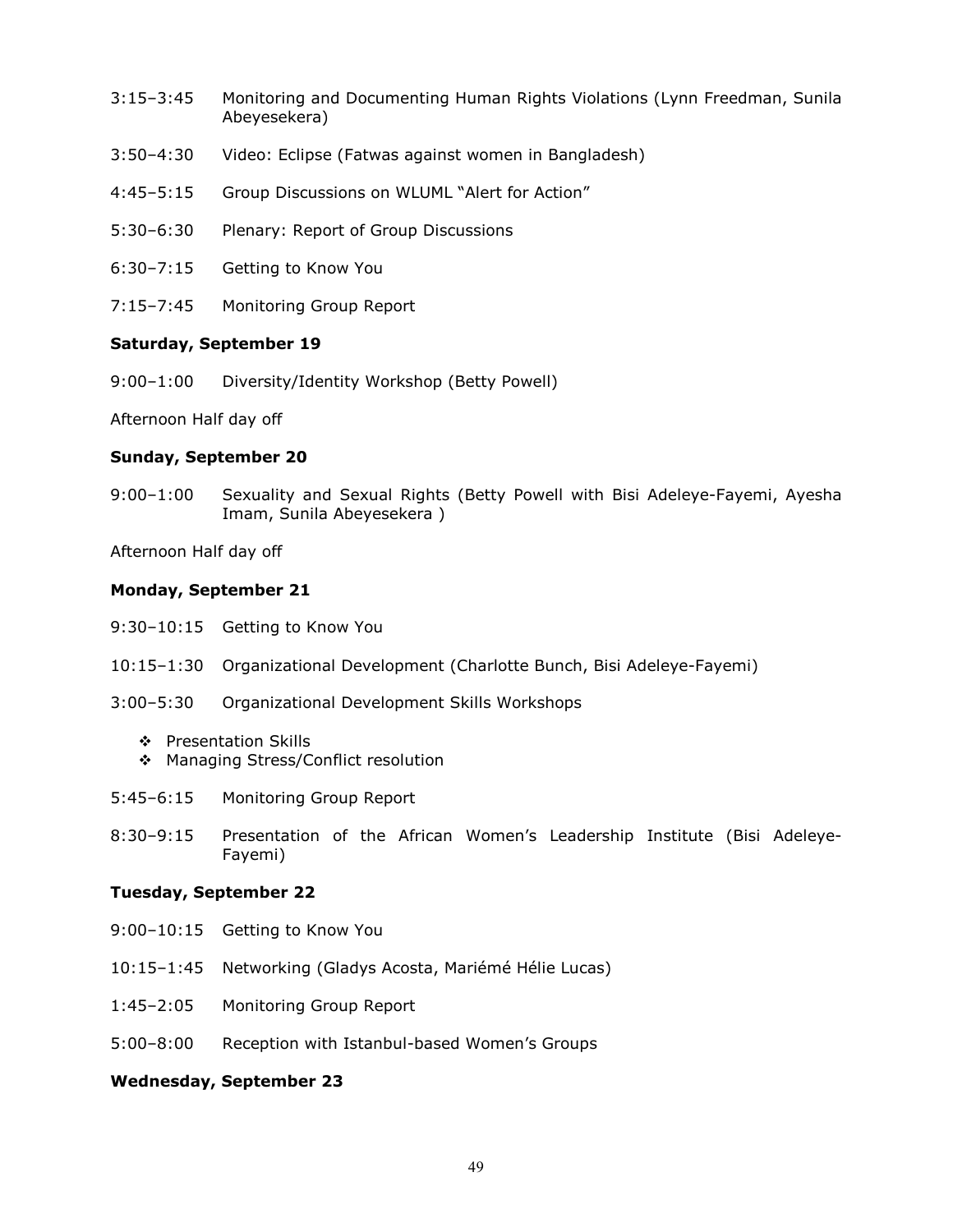- 3:15–3:45 Monitoring and Documenting Human Rights Violations (Lynn Freedman, Sunila Abeyesekera)
- 3:50–4:30 Video: Eclipse (Fatwas against women in Bangladesh)
- 4:45–5:15 Group Discussions on WLUML "Alert for Action"
- 5:30–6:30 Plenary: Report of Group Discussions
- 6:30–7:15 Getting to Know You
- 7:15–7:45 Monitoring Group Report

#### Saturday, September 19

9:00–1:00 Diversity/Identity Workshop (Betty Powell)

Afternoon Half day off

## Sunday, September 20

9:00–1:00 Sexuality and Sexual Rights (Betty Powell with Bisi Adeleye-Fayemi, Ayesha Imam, Sunila Abeyesekera )

Afternoon Half day off

#### Monday, September 21

- 9:30–10:15 Getting to Know You
- 10:15–1:30 Organizational Development (Charlotte Bunch, Bisi Adeleye-Fayemi)
- 3:00–5:30 Organizational Development Skills Workshops
	- ❖ Presentation Skills
	- ❖ Managing Stress/Conflict resolution
- 5:45–6:15 Monitoring Group Report
- 8:30–9:15 Presentation of the African Women's Leadership Institute (Bisi Adeleye-Fayemi)

#### Tuesday, September 22

- 9:00–10:15 Getting to Know You
- 10:15–1:45 Networking (Gladys Acosta, Mariémé Hélie Lucas)
- 1:45–2:05 Monitoring Group Report
- 5:00–8:00 Reception with Istanbul-based Women's Groups

#### Wednesday, September 23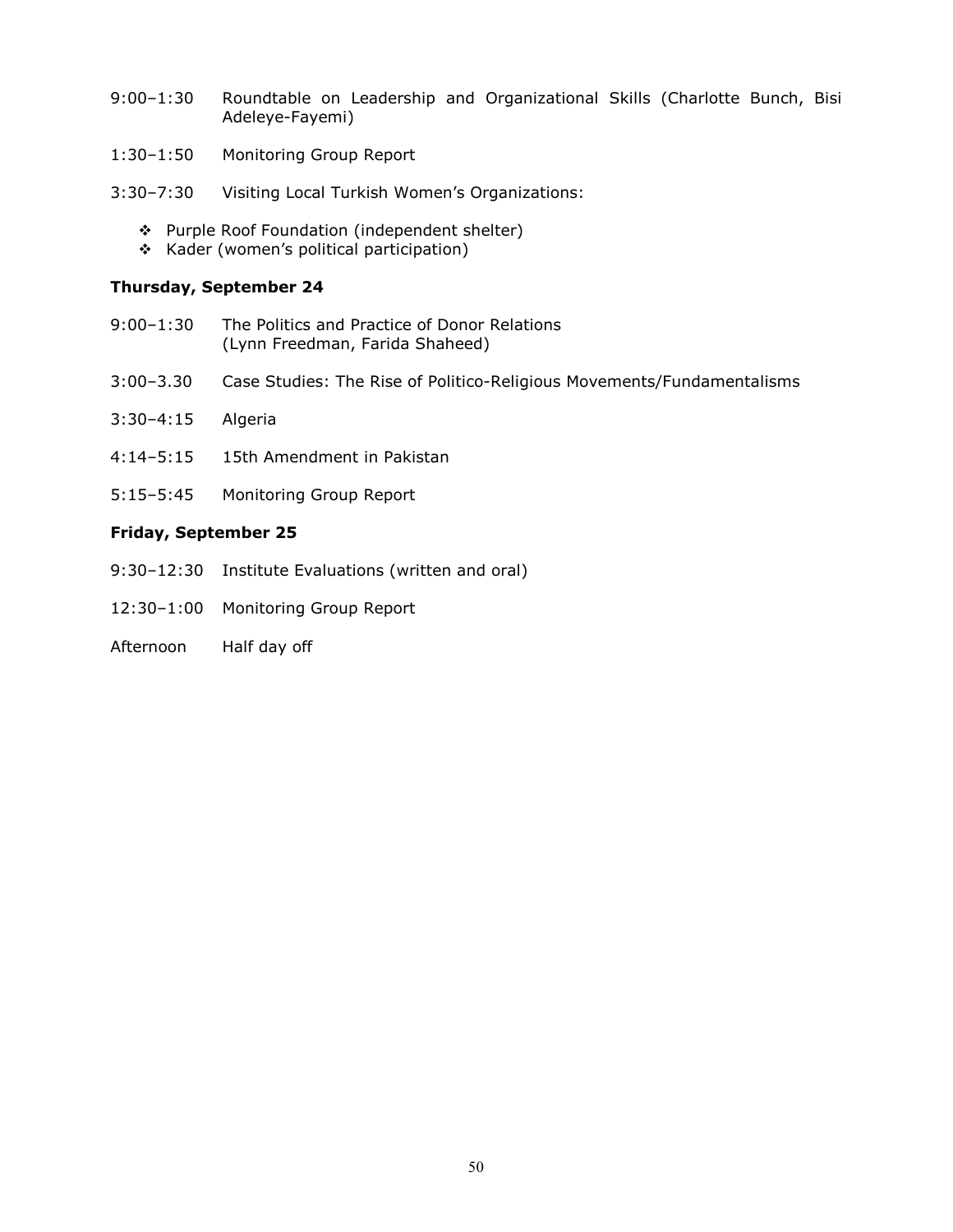- 9:00–1:30 Roundtable on Leadership and Organizational Skills (Charlotte Bunch, Bisi Adeleye-Fayemi)
- 1:30–1:50 Monitoring Group Report
- 3:30–7:30 Visiting Local Turkish Women's Organizations:
	- \* Purple Roof Foundation (independent shelter)
	- \* Kader (women's political participation)

## Thursday, September 24

- 9:00–1:30 The Politics and Practice of Donor Relations (Lynn Freedman, Farida Shaheed)
- 3:00–3.30 Case Studies: The Rise of Politico-Religious Movements/Fundamentalisms
- 3:30–4:15 Algeria
- 4:14–5:15 15th Amendment in Pakistan
- 5:15–5:45 Monitoring Group Report

#### Friday, September 25

- 9:30–12:30 Institute Evaluations (written and oral)
- 12:30–1:00 Monitoring Group Report
- Afternoon Half day off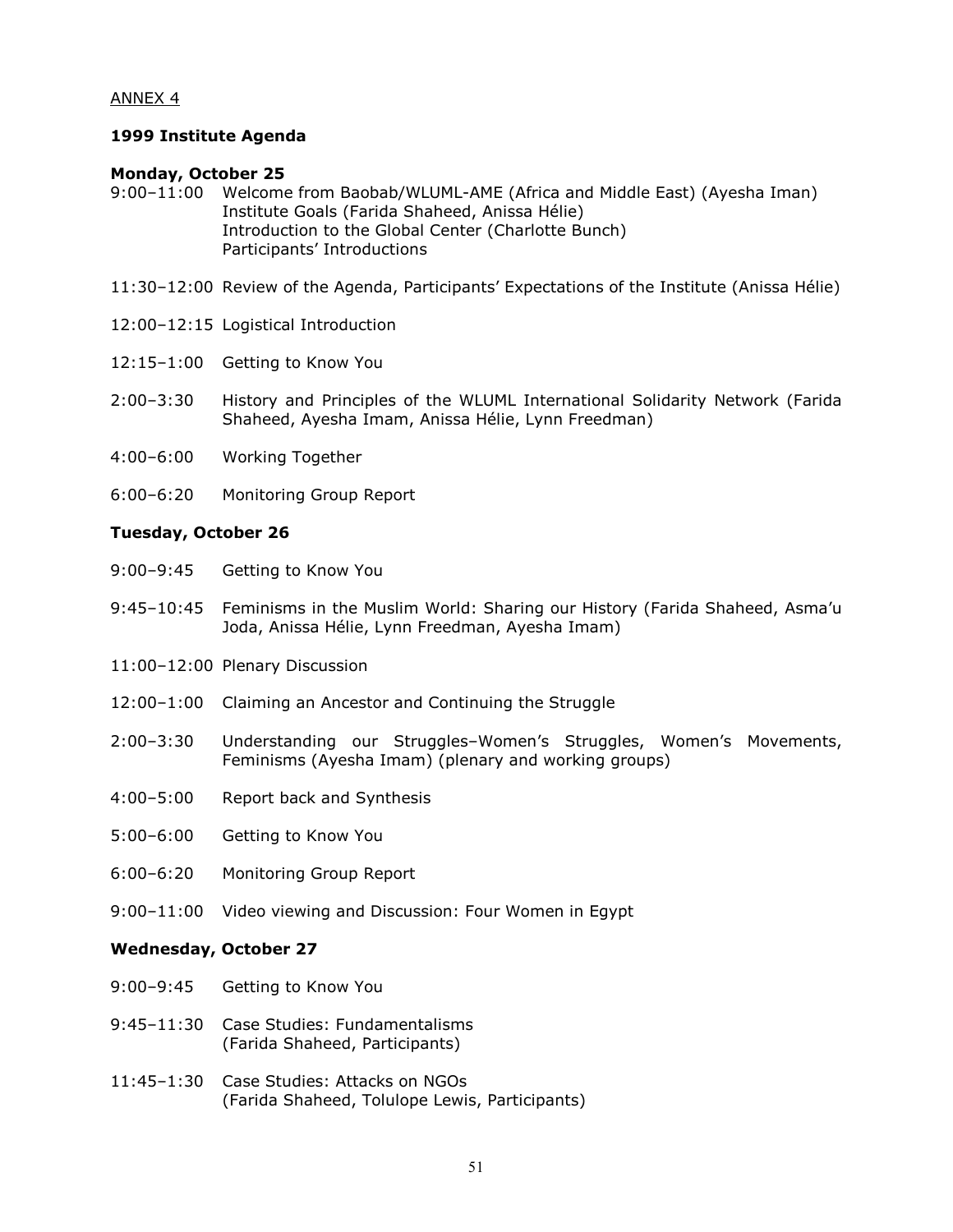## ANNEX 4

#### 1999 Institute Agenda

#### Monday, October 25

- 9:00–11:00 Welcome from Baobab/WLUML-AME (Africa and Middle East) (Ayesha Iman) Institute Goals (Farida Shaheed, Anissa Hélie) Introduction to the Global Center (Charlotte Bunch) Participants' Introductions
- 11:30–12:00 Review of the Agenda, Participants' Expectations of the Institute (Anissa Hélie)
- 12:00–12:15 Logistical Introduction
- 12:15–1:00 Getting to Know You
- 2:00–3:30 History and Principles of the WLUML International Solidarity Network (Farida Shaheed, Ayesha Imam, Anissa Hélie, Lynn Freedman)
- 4:00–6:00 Working Together
- 6:00–6:20 Monitoring Group Report

#### Tuesday, October 26

- 9:00–9:45 Getting to Know You
- 9:45–10:45 Feminisms in the Muslim World: Sharing our History (Farida Shaheed, Asma'u Joda, Anissa Hélie, Lynn Freedman, Ayesha Imam)
- 11:00–12:00 Plenary Discussion
- 12:00–1:00 Claiming an Ancestor and Continuing the Struggle
- 2:00–3:30 Understanding our Struggles–Women's Struggles, Women's Movements, Feminisms (Ayesha Imam) (plenary and working groups)
- 4:00–5:00 Report back and Synthesis
- 5:00–6:00 Getting to Know You
- 6:00–6:20 Monitoring Group Report
- 9:00–11:00 Video viewing and Discussion: Four Women in Egypt

#### Wednesday, October 27

- 9:00–9:45 Getting to Know You
- 9:45–11:30 Case Studies: Fundamentalisms (Farida Shaheed, Participants)
- 11:45–1:30 Case Studies: Attacks on NGOs (Farida Shaheed, Tolulope Lewis, Participants)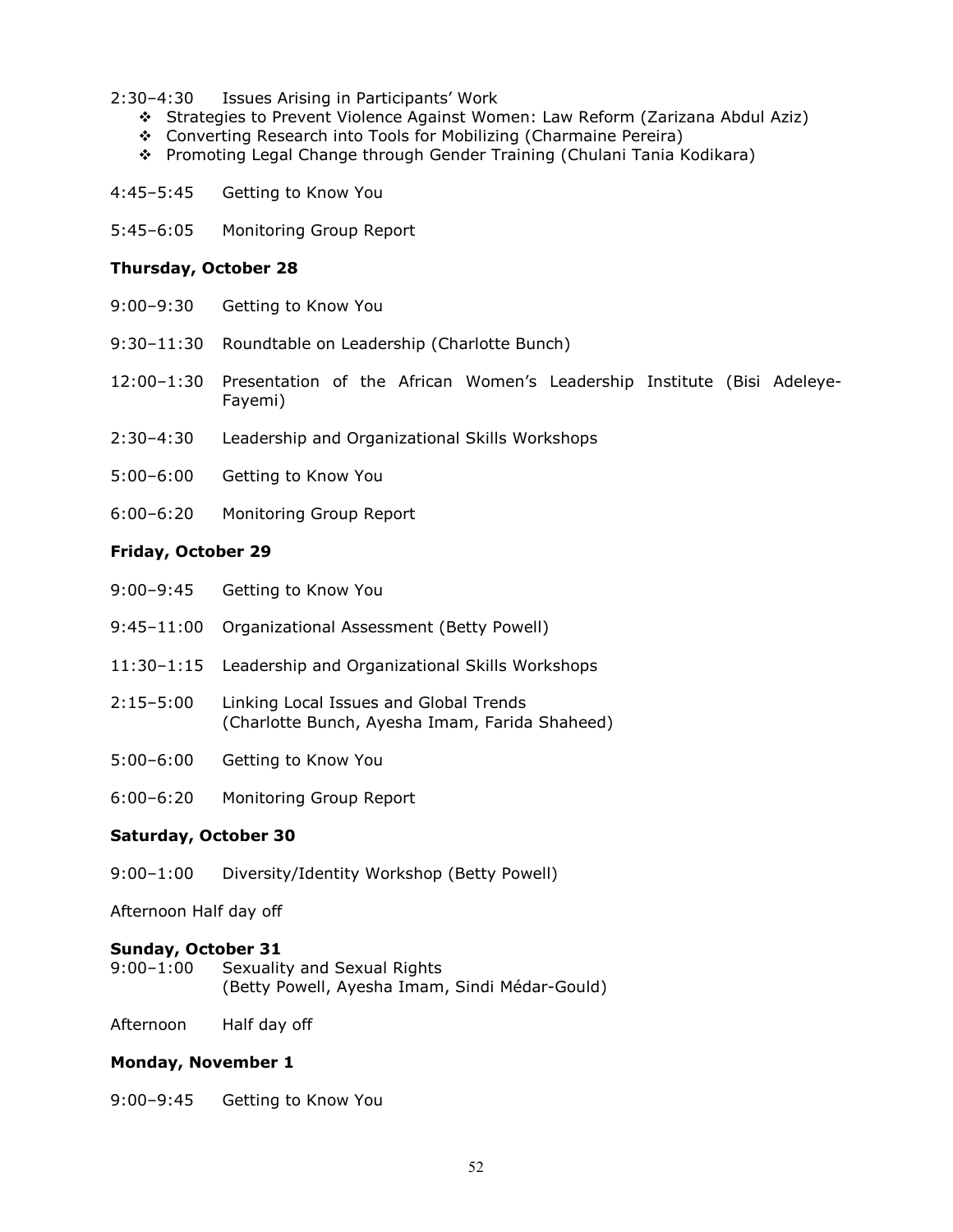- 2:30–4:30 Issues Arising in Participants' Work
	- Strategies to Prevent Violence Against Women: Law Reform (Zarizana Abdul Aziz)
	- Converting Research into Tools for Mobilizing (Charmaine Pereira)
	- Promoting Legal Change through Gender Training (Chulani Tania Kodikara)
- 4:45–5:45 Getting to Know You
- 5:45–6:05 Monitoring Group Report

#### Thursday, October 28

- 9:00–9:30 Getting to Know You
- 9:30–11:30 Roundtable on Leadership (Charlotte Bunch)
- 12:00–1:30 Presentation of the African Women's Leadership Institute (Bisi Adeleye-Fayemi)
- 2:30–4:30 Leadership and Organizational Skills Workshops
- 5:00–6:00 Getting to Know You
- 6:00–6:20 Monitoring Group Report

#### Friday, October 29

- 9:00–9:45 Getting to Know You
- 9:45–11:00 Organizational Assessment (Betty Powell)
- 11:30–1:15 Leadership and Organizational Skills Workshops
- 2:15–5:00 Linking Local Issues and Global Trends (Charlotte Bunch, Ayesha Imam, Farida Shaheed)
- 5:00–6:00 Getting to Know You
- 6:00–6:20 Monitoring Group Report

## Saturday, October 30

9:00–1:00 Diversity/Identity Workshop (Betty Powell)

Afternoon Half day off

## Sunday, October 31<br>9:00-1:00 Sexualit

Sexuality and Sexual Rights (Betty Powell, Ayesha Imam, Sindi Médar-Gould)

Afternoon Half day off

## Monday, November 1

9:00–9:45 Getting to Know You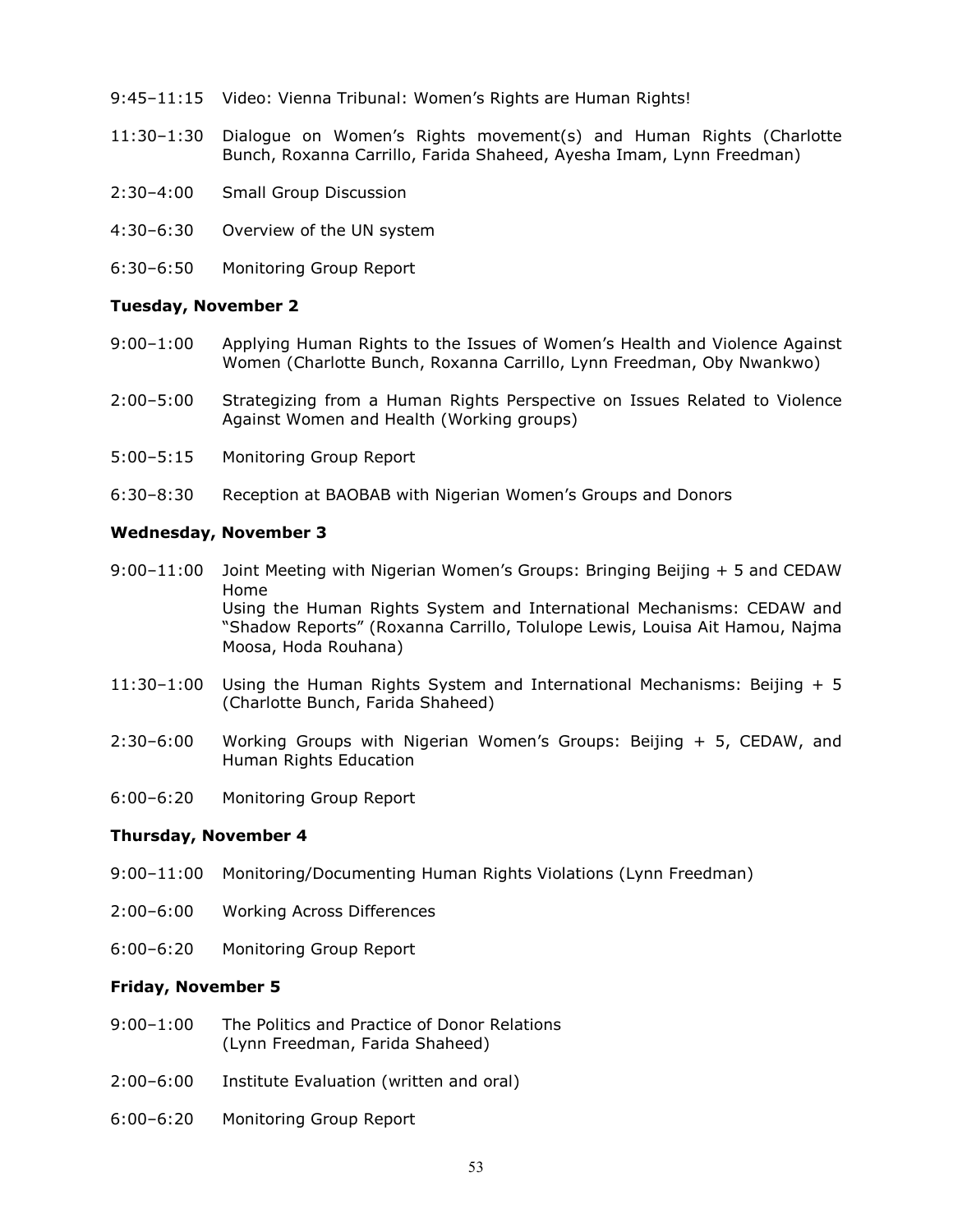- 9:45–11:15 Video: Vienna Tribunal: Women's Rights are Human Rights!
- 11:30–1:30 Dialogue on Women's Rights movement(s) and Human Rights (Charlotte Bunch, Roxanna Carrillo, Farida Shaheed, Ayesha Imam, Lynn Freedman)
- 2:30–4:00 Small Group Discussion
- 4:30–6:30 Overview of the UN system
- 6:30–6:50 Monitoring Group Report

#### Tuesday, November 2

- 9:00–1:00 Applying Human Rights to the Issues of Women's Health and Violence Against Women (Charlotte Bunch, Roxanna Carrillo, Lynn Freedman, Oby Nwankwo)
- 2:00–5:00 Strategizing from a Human Rights Perspective on Issues Related to Violence Against Women and Health (Working groups)
- 5:00–5:15 Monitoring Group Report
- 6:30–8:30 Reception at BAOBAB with Nigerian Women's Groups and Donors

#### Wednesday, November 3

- 9:00–11:00 Joint Meeting with Nigerian Women's Groups: Bringing Beijing + 5 and CEDAW Home Using the Human Rights System and International Mechanisms: CEDAW and "Shadow Reports" (Roxanna Carrillo, Tolulope Lewis, Louisa Ait Hamou, Najma Moosa, Hoda Rouhana)
- 11:30–1:00 Using the Human Rights System and International Mechanisms: Beijing + 5 (Charlotte Bunch, Farida Shaheed)
- 2:30–6:00 Working Groups with Nigerian Women's Groups: Beijing + 5, CEDAW, and Human Rights Education
- 6:00–6:20 Monitoring Group Report

#### Thursday, November 4

- 9:00–11:00 Monitoring/Documenting Human Rights Violations (Lynn Freedman)
- 2:00–6:00 Working Across Differences
- 6:00–6:20 Monitoring Group Report

## Friday, November 5

- 9:00–1:00 The Politics and Practice of Donor Relations (Lynn Freedman, Farida Shaheed)
- 2:00–6:00 Institute Evaluation (written and oral)
- 6:00–6:20 Monitoring Group Report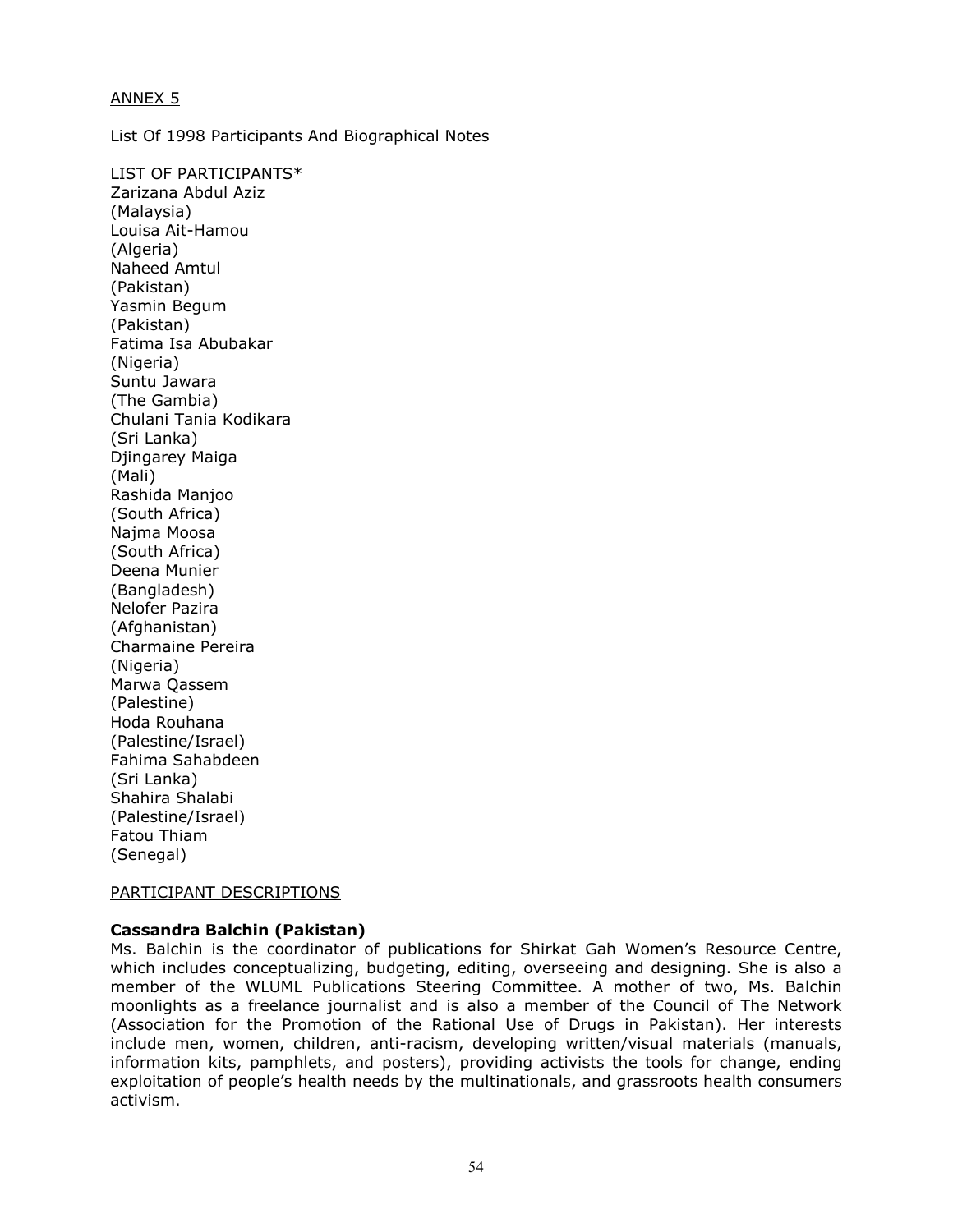## ANNEX 5

List Of 1998 Participants And Biographical Notes

LIST OF PARTICIPANTS\* Zarizana Abdul Aziz (Malaysia) Louisa Ait-Hamou (Algeria) Naheed Amtul (Pakistan) Yasmin Begum (Pakistan) Fatima Isa Abubakar (Nigeria) Suntu Jawara (The Gambia) Chulani Tania Kodikara (Sri Lanka) Djingarey Maiga (Mali) Rashida Manjoo (South Africa) Najma Moosa (South Africa) Deena Munier (Bangladesh) Nelofer Pazira (Afghanistan) Charmaine Pereira (Nigeria) Marwa Qassem (Palestine) Hoda Rouhana (Palestine/Israel) Fahima Sahabdeen (Sri Lanka) Shahira Shalabi (Palestine/Israel) Fatou Thiam (Senegal)

## PARTICIPANT DESCRIPTIONS

## Cassandra Balchin (Pakistan)

Ms. Balchin is the coordinator of publications for Shirkat Gah Women's Resource Centre, which includes conceptualizing, budgeting, editing, overseeing and designing. She is also a member of the WLUML Publications Steering Committee. A mother of two, Ms. Balchin moonlights as a freelance journalist and is also a member of the Council of The Network (Association for the Promotion of the Rational Use of Drugs in Pakistan). Her interests include men, women, children, anti-racism, developing written/visual materials (manuals, information kits, pamphlets, and posters), providing activists the tools for change, ending exploitation of people's health needs by the multinationals, and grassroots health consumers activism.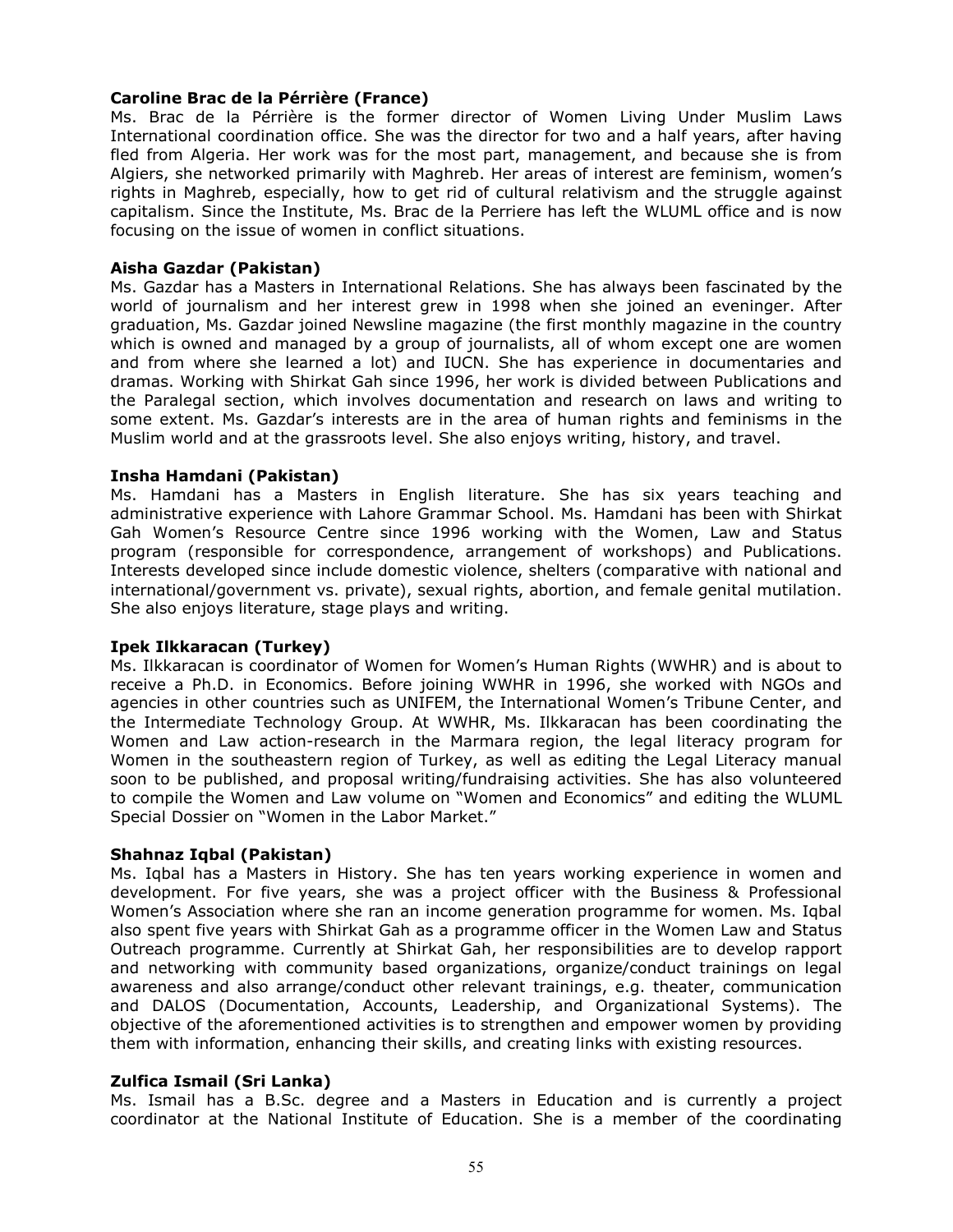## Caroline Brac de la Pérrière (France)

Ms. Brac de la Pérrière is the former director of Women Living Under Muslim Laws International coordination office. She was the director for two and a half years, after having fled from Algeria. Her work was for the most part, management, and because she is from Algiers, she networked primarily with Maghreb. Her areas of interest are feminism, women's rights in Maghreb, especially, how to get rid of cultural relativism and the struggle against capitalism. Since the Institute, Ms. Brac de la Perriere has left the WLUML office and is now focusing on the issue of women in conflict situations.

#### Aisha Gazdar (Pakistan)

Ms. Gazdar has a Masters in International Relations. She has always been fascinated by the world of journalism and her interest grew in 1998 when she joined an eveninger. After graduation, Ms. Gazdar joined Newsline magazine (the first monthly magazine in the country which is owned and managed by a group of journalists, all of whom except one are women and from where she learned a lot) and IUCN. She has experience in documentaries and dramas. Working with Shirkat Gah since 1996, her work is divided between Publications and the Paralegal section, which involves documentation and research on laws and writing to some extent. Ms. Gazdar's interests are in the area of human rights and feminisms in the Muslim world and at the grassroots level. She also enjoys writing, history, and travel.

#### Insha Hamdani (Pakistan)

Ms. Hamdani has a Masters in English literature. She has six years teaching and administrative experience with Lahore Grammar School. Ms. Hamdani has been with Shirkat Gah Women's Resource Centre since 1996 working with the Women, Law and Status program (responsible for correspondence, arrangement of workshops) and Publications. Interests developed since include domestic violence, shelters (comparative with national and international/government vs. private), sexual rights, abortion, and female genital mutilation. She also enjoys literature, stage plays and writing.

#### Ipek Ilkkaracan (Turkey)

Ms. Ilkkaracan is coordinator of Women for Women's Human Rights (WWHR) and is about to receive a Ph.D. in Economics. Before joining WWHR in 1996, she worked with NGOs and agencies in other countries such as UNIFEM, the International Women's Tribune Center, and the Intermediate Technology Group. At WWHR, Ms. Ilkkaracan has been coordinating the Women and Law action-research in the Marmara region, the legal literacy program for Women in the southeastern region of Turkey, as well as editing the Legal Literacy manual soon to be published, and proposal writing/fundraising activities. She has also volunteered to compile the Women and Law volume on "Women and Economics" and editing the WLUML Special Dossier on "Women in the Labor Market."

#### Shahnaz Iqbal (Pakistan)

Ms. Iqbal has a Masters in History. She has ten years working experience in women and development. For five years, she was a project officer with the Business & Professional Women's Association where she ran an income generation programme for women. Ms. Iqbal also spent five years with Shirkat Gah as a programme officer in the Women Law and Status Outreach programme. Currently at Shirkat Gah, her responsibilities are to develop rapport and networking with community based organizations, organize/conduct trainings on legal awareness and also arrange/conduct other relevant trainings, e.g. theater, communication and DALOS (Documentation, Accounts, Leadership, and Organizational Systems). The objective of the aforementioned activities is to strengthen and empower women by providing them with information, enhancing their skills, and creating links with existing resources.

#### Zulfica Ismail (Sri Lanka)

Ms. Ismail has a B.Sc. degree and a Masters in Education and is currently a project coordinator at the National Institute of Education. She is a member of the coordinating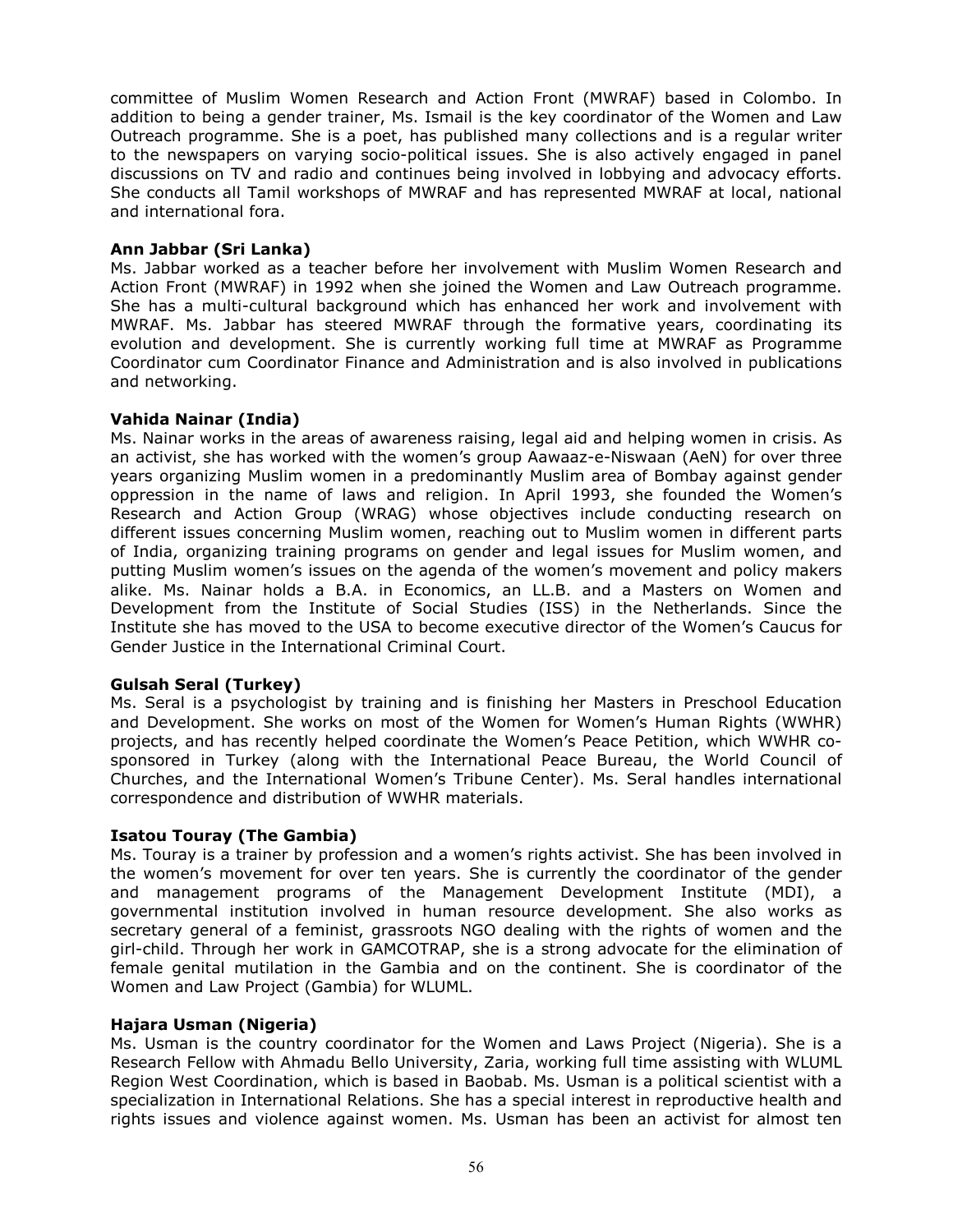committee of Muslim Women Research and Action Front (MWRAF) based in Colombo. In addition to being a gender trainer, Ms. Ismail is the key coordinator of the Women and Law Outreach programme. She is a poet, has published many collections and is a regular writer to the newspapers on varying socio-political issues. She is also actively engaged in panel discussions on TV and radio and continues being involved in lobbying and advocacy efforts. She conducts all Tamil workshops of MWRAF and has represented MWRAF at local, national and international fora.

## Ann Jabbar (Sri Lanka)

Ms. Jabbar worked as a teacher before her involvement with Muslim Women Research and Action Front (MWRAF) in 1992 when she joined the Women and Law Outreach programme. She has a multi-cultural background which has enhanced her work and involvement with MWRAF. Ms. Jabbar has steered MWRAF through the formative years, coordinating its evolution and development. She is currently working full time at MWRAF as Programme Coordinator cum Coordinator Finance and Administration and is also involved in publications and networking.

## Vahida Nainar (India)

Ms. Nainar works in the areas of awareness raising, legal aid and helping women in crisis. As an activist, she has worked with the women's group Aawaaz-e-Niswaan (AeN) for over three years organizing Muslim women in a predominantly Muslim area of Bombay against gender oppression in the name of laws and religion. In April 1993, she founded the Women's Research and Action Group (WRAG) whose objectives include conducting research on different issues concerning Muslim women, reaching out to Muslim women in different parts of India, organizing training programs on gender and legal issues for Muslim women, and putting Muslim women's issues on the agenda of the women's movement and policy makers alike. Ms. Nainar holds a B.A. in Economics, an LL.B. and a Masters on Women and Development from the Institute of Social Studies (ISS) in the Netherlands. Since the Institute she has moved to the USA to become executive director of the Women's Caucus for Gender Justice in the International Criminal Court.

## Gulsah Seral (Turkey)

Ms. Seral is a psychologist by training and is finishing her Masters in Preschool Education and Development. She works on most of the Women for Women's Human Rights (WWHR) projects, and has recently helped coordinate the Women's Peace Petition, which WWHR cosponsored in Turkey (along with the International Peace Bureau, the World Council of Churches, and the International Women's Tribune Center). Ms. Seral handles international correspondence and distribution of WWHR materials.

## Isatou Touray (The Gambia)

Ms. Touray is a trainer by profession and a women's rights activist. She has been involved in the women's movement for over ten years. She is currently the coordinator of the gender and management programs of the Management Development Institute (MDI), a governmental institution involved in human resource development. She also works as secretary general of a feminist, grassroots NGO dealing with the rights of women and the girl-child. Through her work in GAMCOTRAP, she is a strong advocate for the elimination of female genital mutilation in the Gambia and on the continent. She is coordinator of the Women and Law Project (Gambia) for WLUML.

## Hajara Usman (Nigeria)

Ms. Usman is the country coordinator for the Women and Laws Project (Nigeria). She is a Research Fellow with Ahmadu Bello University, Zaria, working full time assisting with WLUML Region West Coordination, which is based in Baobab. Ms. Usman is a political scientist with a specialization in International Relations. She has a special interest in reproductive health and rights issues and violence against women. Ms. Usman has been an activist for almost ten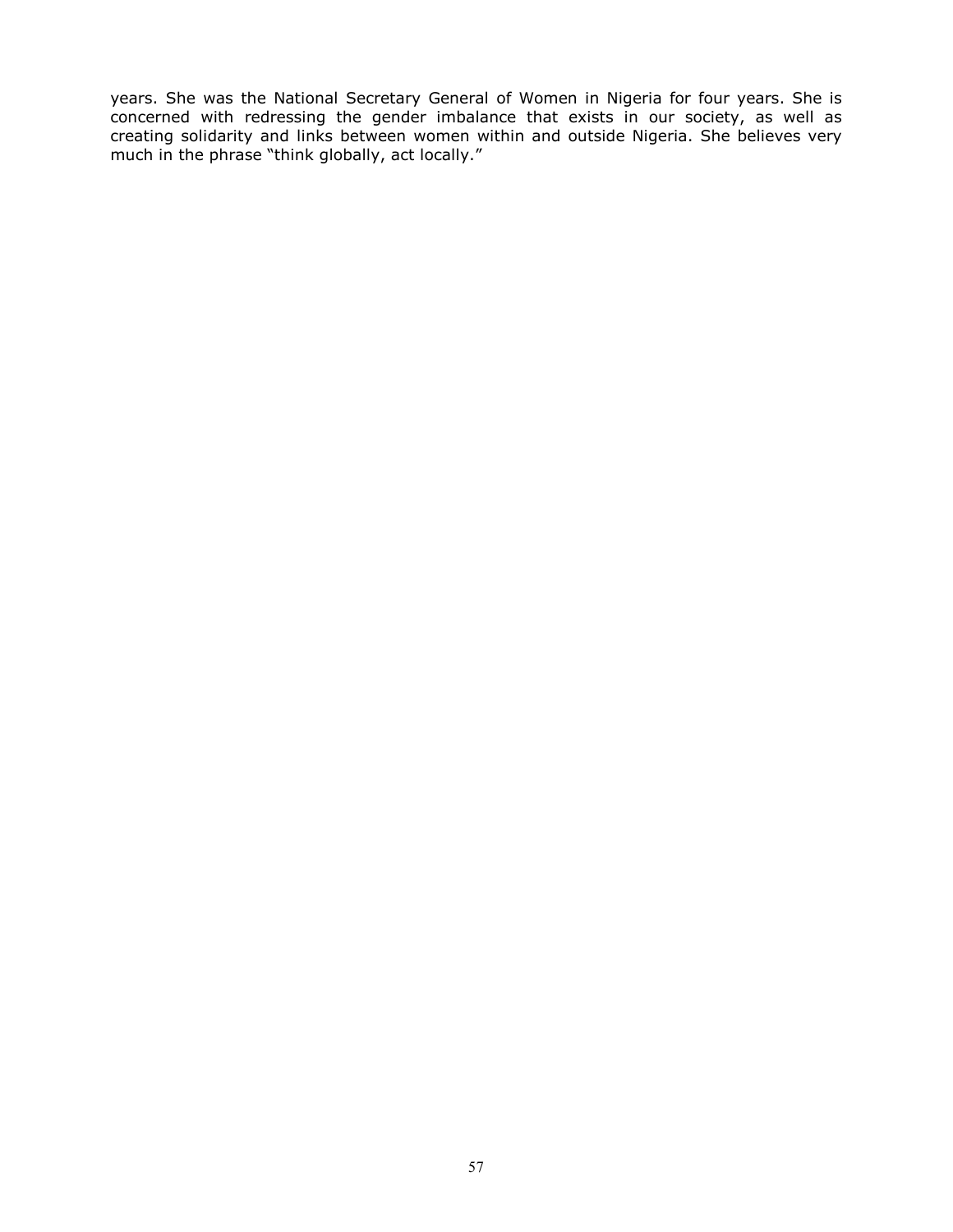years. She was the National Secretary General of Women in Nigeria for four years. She is concerned with redressing the gender imbalance that exists in our society, as well as creating solidarity and links between women within and outside Nigeria. She believes very much in the phrase "think globally, act locally."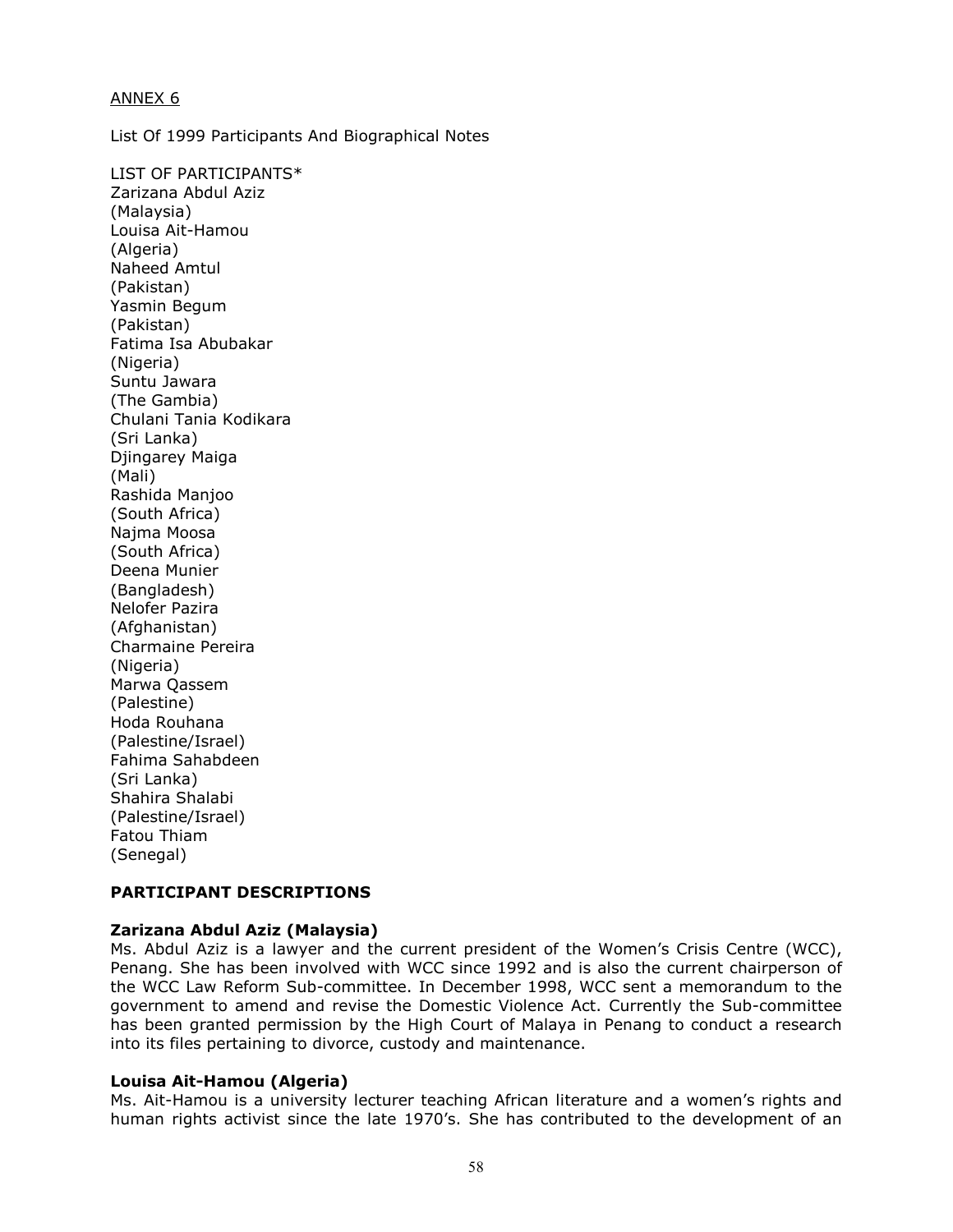## ANNEX 6

List Of 1999 Participants And Biographical Notes

LIST OF PARTICIPANTS\* Zarizana Abdul Aziz (Malaysia) Louisa Ait-Hamou (Algeria) Naheed Amtul (Pakistan) Yasmin Begum (Pakistan) Fatima Isa Abubakar (Nigeria) Suntu Jawara (The Gambia) Chulani Tania Kodikara (Sri Lanka) Djingarey Maiga (Mali) Rashida Manjoo (South Africa) Najma Moosa (South Africa) Deena Munier (Bangladesh) Nelofer Pazira (Afghanistan) Charmaine Pereira (Nigeria) Marwa Qassem (Palestine) Hoda Rouhana (Palestine/Israel) Fahima Sahabdeen (Sri Lanka) Shahira Shalabi (Palestine/Israel) Fatou Thiam (Senegal)

## PARTICIPANT DESCRIPTIONS

## Zarizana Abdul Aziz (Malaysia)

Ms. Abdul Aziz is a lawyer and the current president of the Women's Crisis Centre (WCC), Penang. She has been involved with WCC since 1992 and is also the current chairperson of the WCC Law Reform Sub-committee. In December 1998, WCC sent a memorandum to the government to amend and revise the Domestic Violence Act. Currently the Sub-committee has been granted permission by the High Court of Malaya in Penang to conduct a research into its files pertaining to divorce, custody and maintenance.

#### Louisa Ait-Hamou (Algeria)

Ms. Ait-Hamou is a university lecturer teaching African literature and a women's rights and human rights activist since the late 1970's. She has contributed to the development of an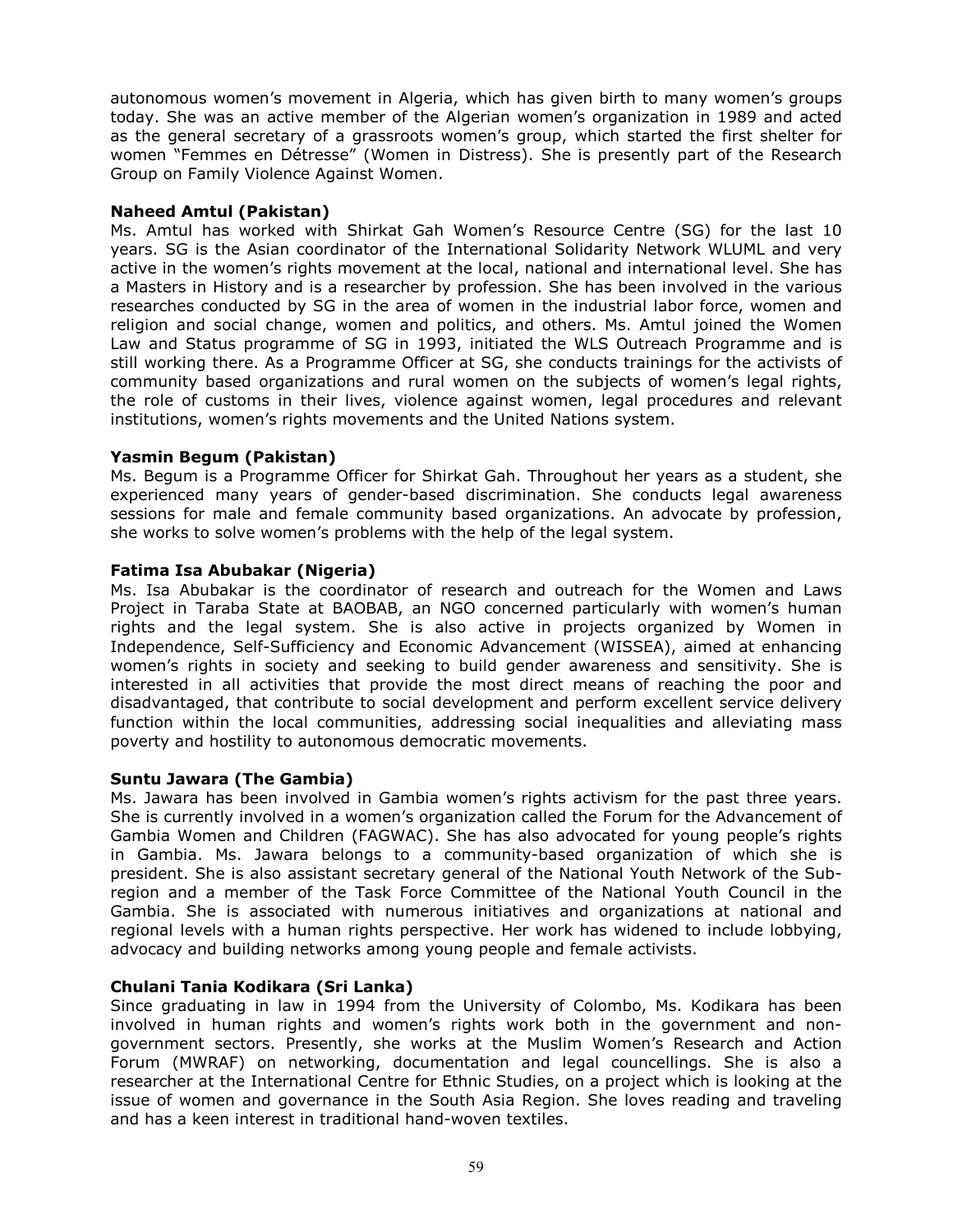autonomous women's movement in Algeria, which has given birth to many women's groups today. She was an active member of the Algerian women's organization in 1989 and acted as the general secretary of a grassroots women's group, which started the first shelter for women "Femmes en Détresse" (Women in Distress). She is presently part of the Research Group on Family Violence Against Women.

## Naheed Amtul (Pakistan)

Ms. Amtul has worked with Shirkat Gah Women's Resource Centre (SG) for the last 10 years. SG is the Asian coordinator of the International Solidarity Network WLUML and very active in the women's rights movement at the local, national and international level. She has a Masters in History and is a researcher by profession. She has been involved in the various researches conducted by SG in the area of women in the industrial labor force, women and religion and social change, women and politics, and others. Ms. Amtul joined the Women Law and Status programme of SG in 1993, initiated the WLS Outreach Programme and is still working there. As a Programme Officer at SG, she conducts trainings for the activists of community based organizations and rural women on the subjects of women's legal rights, the role of customs in their lives, violence against women, legal procedures and relevant institutions, women's rights movements and the United Nations system.

## Yasmin Begum (Pakistan)

Ms. Begum is a Programme Officer for Shirkat Gah. Throughout her years as a student, she experienced many years of gender-based discrimination. She conducts legal awareness sessions for male and female community based organizations. An advocate by profession, she works to solve women's problems with the help of the legal system.

## Fatima Isa Abubakar (Nigeria)

Ms. Isa Abubakar is the coordinator of research and outreach for the Women and Laws Project in Taraba State at BAOBAB, an NGO concerned particularly with women's human rights and the legal system. She is also active in projects organized by Women in Independence, Self-Sufficiency and Economic Advancement (WISSEA), aimed at enhancing women's rights in society and seeking to build gender awareness and sensitivity. She is interested in all activities that provide the most direct means of reaching the poor and disadvantaged, that contribute to social development and perform excellent service delivery function within the local communities, addressing social inequalities and alleviating mass poverty and hostility to autonomous democratic movements.

## Suntu Jawara (The Gambia)

Ms. Jawara has been involved in Gambia women's rights activism for the past three years. She is currently involved in a women's organization called the Forum for the Advancement of Gambia Women and Children (FAGWAC). She has also advocated for young people's rights in Gambia. Ms. Jawara belongs to a community-based organization of which she is president. She is also assistant secretary general of the National Youth Network of the Subregion and a member of the Task Force Committee of the National Youth Council in the Gambia. She is associated with numerous initiatives and organizations at national and regional levels with a human rights perspective. Her work has widened to include lobbying, advocacy and building networks among young people and female activists.

## Chulani Tania Kodikara (Sri Lanka)

Since graduating in law in 1994 from the University of Colombo, Ms. Kodikara has been involved in human rights and women's rights work both in the government and nongovernment sectors. Presently, she works at the Muslim Women's Research and Action Forum (MWRAF) on networking, documentation and legal councellings. She is also a researcher at the International Centre for Ethnic Studies, on a project which is looking at the issue of women and governance in the South Asia Region. She loves reading and traveling and has a keen interest in traditional hand-woven textiles.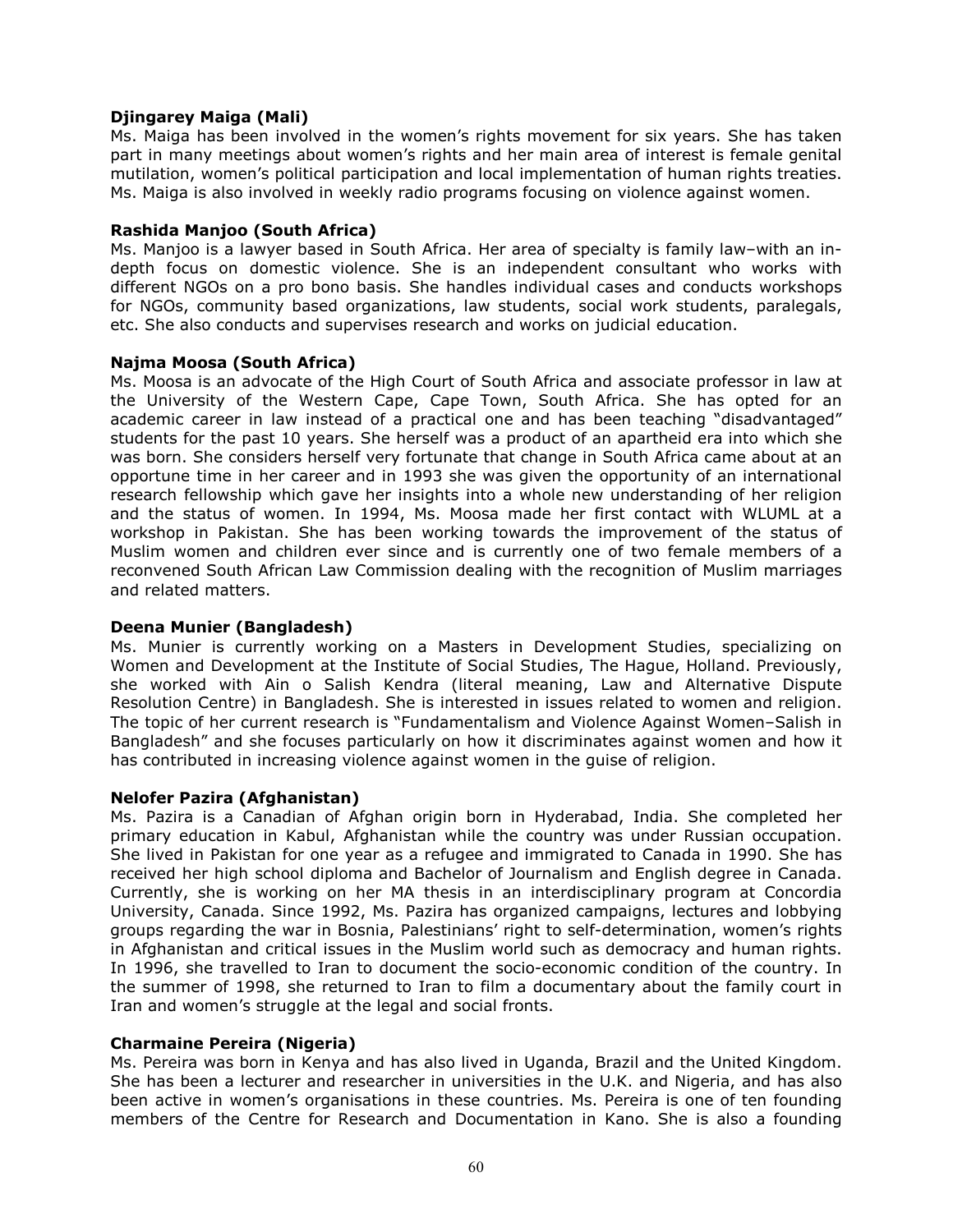## Djingarey Maiga (Mali)

Ms. Maiga has been involved in the women's rights movement for six years. She has taken part in many meetings about women's rights and her main area of interest is female genital mutilation, women's political participation and local implementation of human rights treaties. Ms. Maiga is also involved in weekly radio programs focusing on violence against women.

#### Rashida Manjoo (South Africa)

Ms. Manjoo is a lawyer based in South Africa. Her area of specialty is family law–with an indepth focus on domestic violence. She is an independent consultant who works with different NGOs on a pro bono basis. She handles individual cases and conducts workshops for NGOs, community based organizations, law students, social work students, paralegals, etc. She also conducts and supervises research and works on judicial education.

#### Najma Moosa (South Africa)

Ms. Moosa is an advocate of the High Court of South Africa and associate professor in law at the University of the Western Cape, Cape Town, South Africa. She has opted for an academic career in law instead of a practical one and has been teaching "disadvantaged" students for the past 10 years. She herself was a product of an apartheid era into which she was born. She considers herself very fortunate that change in South Africa came about at an opportune time in her career and in 1993 she was given the opportunity of an international research fellowship which gave her insights into a whole new understanding of her religion and the status of women. In 1994, Ms. Moosa made her first contact with WLUML at a workshop in Pakistan. She has been working towards the improvement of the status of Muslim women and children ever since and is currently one of two female members of a reconvened South African Law Commission dealing with the recognition of Muslim marriages and related matters.

## Deena Munier (Bangladesh)

Ms. Munier is currently working on a Masters in Development Studies, specializing on Women and Development at the Institute of Social Studies, The Hague, Holland. Previously, she worked with Ain o Salish Kendra (literal meaning, Law and Alternative Dispute Resolution Centre) in Bangladesh. She is interested in issues related to women and religion. The topic of her current research is "Fundamentalism and Violence Against Women–Salish in Bangladesh" and she focuses particularly on how it discriminates against women and how it has contributed in increasing violence against women in the guise of religion.

## Nelofer Pazira (Afghanistan)

Ms. Pazira is a Canadian of Afghan origin born in Hyderabad, India. She completed her primary education in Kabul, Afghanistan while the country was under Russian occupation. She lived in Pakistan for one year as a refugee and immigrated to Canada in 1990. She has received her high school diploma and Bachelor of Journalism and English degree in Canada. Currently, she is working on her MA thesis in an interdisciplinary program at Concordia University, Canada. Since 1992, Ms. Pazira has organized campaigns, lectures and lobbying groups regarding the war in Bosnia, Palestinians' right to self-determination, women's rights in Afghanistan and critical issues in the Muslim world such as democracy and human rights. In 1996, she travelled to Iran to document the socio-economic condition of the country. In the summer of 1998, she returned to Iran to film a documentary about the family court in Iran and women's struggle at the legal and social fronts.

## Charmaine Pereira (Nigeria)

Ms. Pereira was born in Kenya and has also lived in Uganda, Brazil and the United Kingdom. She has been a lecturer and researcher in universities in the U.K. and Nigeria, and has also been active in women's organisations in these countries. Ms. Pereira is one of ten founding members of the Centre for Research and Documentation in Kano. She is also a founding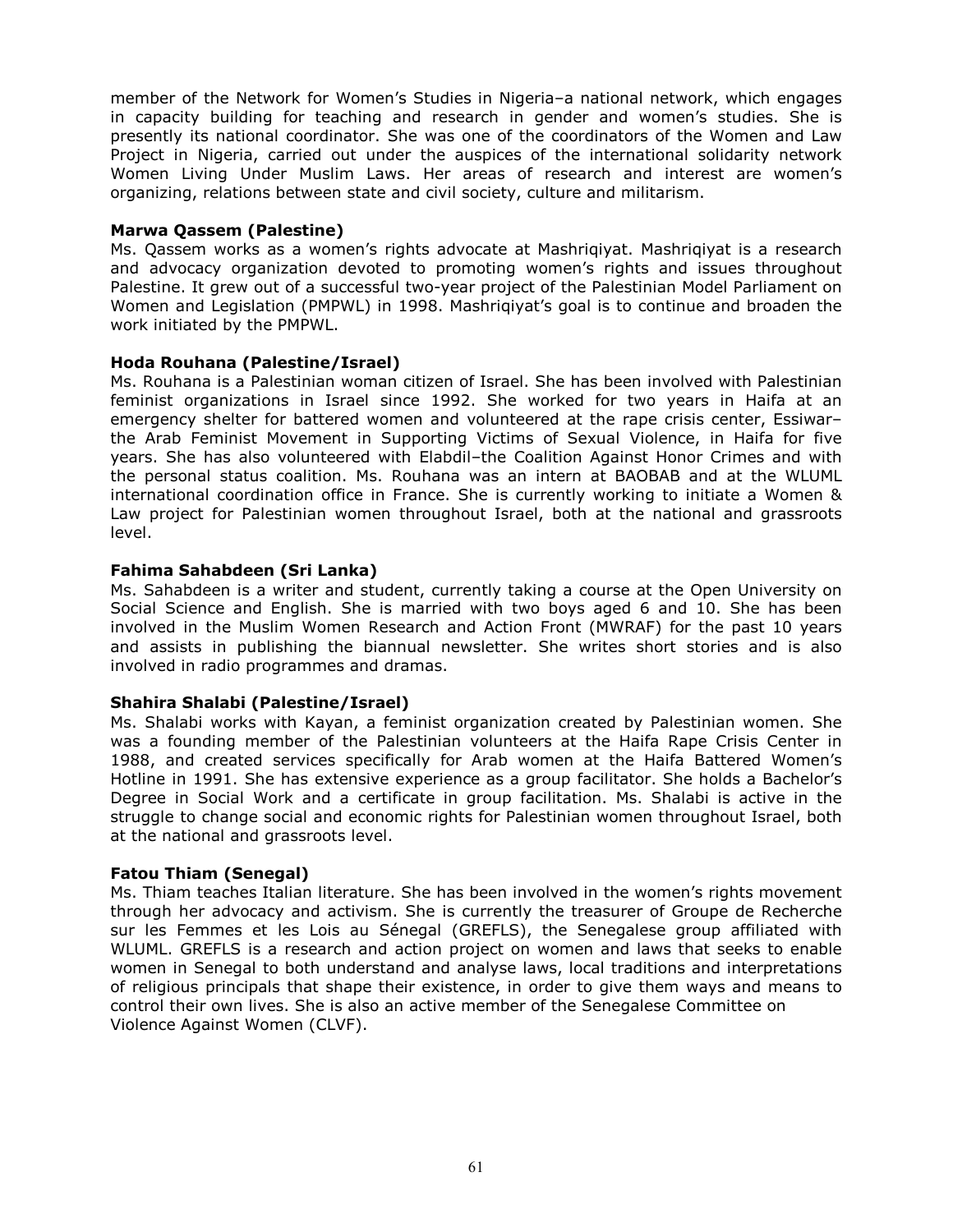member of the Network for Women's Studies in Nigeria–a national network, which engages in capacity building for teaching and research in gender and women's studies. She is presently its national coordinator. She was one of the coordinators of the Women and Law Project in Nigeria, carried out under the auspices of the international solidarity network Women Living Under Muslim Laws. Her areas of research and interest are women's organizing, relations between state and civil society, culture and militarism.

## Marwa Qassem (Palestine)

Ms. Qassem works as a women's rights advocate at Mashriqiyat. Mashriqiyat is a research and advocacy organization devoted to promoting women's rights and issues throughout Palestine. It grew out of a successful two-year project of the Palestinian Model Parliament on Women and Legislation (PMPWL) in 1998. Mashriqiyat's goal is to continue and broaden the work initiated by the PMPWL.

## Hoda Rouhana (Palestine/Israel)

Ms. Rouhana is a Palestinian woman citizen of Israel. She has been involved with Palestinian feminist organizations in Israel since 1992. She worked for two years in Haifa at an emergency shelter for battered women and volunteered at the rape crisis center, Essiwar– the Arab Feminist Movement in Supporting Victims of Sexual Violence, in Haifa for five years. She has also volunteered with Elabdil–the Coalition Against Honor Crimes and with the personal status coalition. Ms. Rouhana was an intern at BAOBAB and at the WLUML international coordination office in France. She is currently working to initiate a Women & Law project for Palestinian women throughout Israel, both at the national and grassroots level.

## Fahima Sahabdeen (Sri Lanka)

Ms. Sahabdeen is a writer and student, currently taking a course at the Open University on Social Science and English. She is married with two boys aged 6 and 10. She has been involved in the Muslim Women Research and Action Front (MWRAF) for the past 10 years and assists in publishing the biannual newsletter. She writes short stories and is also involved in radio programmes and dramas.

## Shahira Shalabi (Palestine/Israel)

Ms. Shalabi works with Kayan, a feminist organization created by Palestinian women. She was a founding member of the Palestinian volunteers at the Haifa Rape Crisis Center in 1988, and created services specifically for Arab women at the Haifa Battered Women's Hotline in 1991. She has extensive experience as a group facilitator. She holds a Bachelor's Degree in Social Work and a certificate in group facilitation. Ms. Shalabi is active in the struggle to change social and economic rights for Palestinian women throughout Israel, both at the national and grassroots level.

## Fatou Thiam (Senegal)

Ms. Thiam teaches Italian literature. She has been involved in the women's rights movement through her advocacy and activism. She is currently the treasurer of Groupe de Recherche sur les Femmes et les Lois au Sénegal (GREFLS), the Senegalese group affiliated with WLUML. GREFLS is a research and action project on women and laws that seeks to enable women in Senegal to both understand and analyse laws, local traditions and interpretations of religious principals that shape their existence, in order to give them ways and means to control their own lives. She is also an active member of the Senegalese Committee on Violence Against Women (CLVF).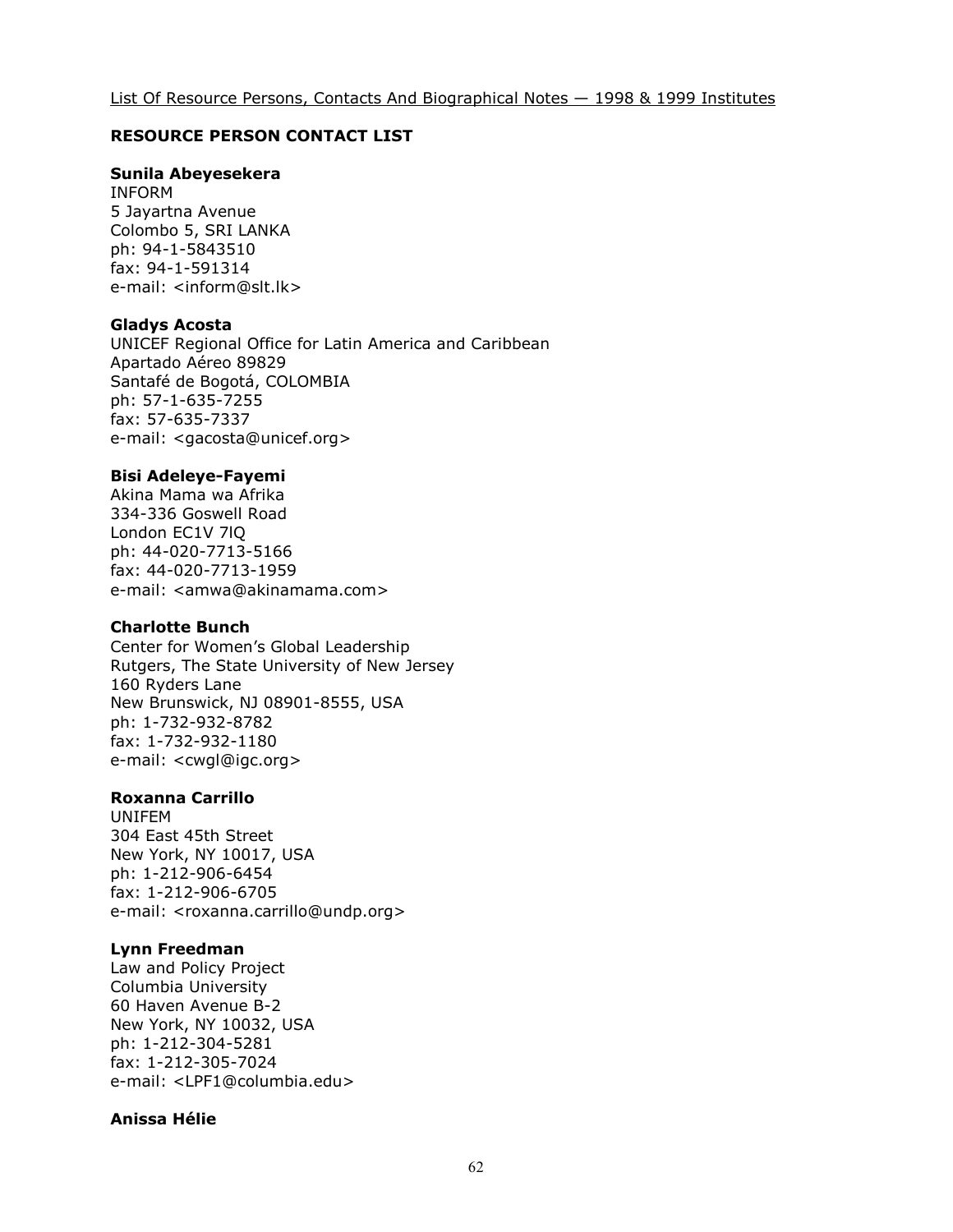#### RESOURCE PERSON CONTACT LIST

## Sunila Abeyesekera

INFORM 5 Jayartna Avenue Colombo 5, SRI LANKA ph: 94-1-5843510 fax: 94-1-591314 e-mail: <inform@slt.lk>

#### Gladys Acosta

UNICEF Regional Office for Latin America and Caribbean Apartado Aéreo 89829 Santafé de Bogotá, COLOMBIA ph: 57-1-635-7255 fax: 57-635-7337 e-mail: <gacosta@unicef.org>

#### Bisi Adeleye-Fayemi

Akina Mama wa Afrika 334-336 Goswell Road London EC1V 7lQ ph: 44-020-7713-5166 fax: 44-020-7713-1959 e-mail: <amwa@akinamama.com>

#### Charlotte Bunch

Center for Women's Global Leadership Rutgers, The State University of New Jersey 160 Ryders Lane New Brunswick, NJ 08901-8555, USA ph: 1-732-932-8782 fax: 1-732-932-1180 e-mail: <cwgl@igc.org>

#### Roxanna Carrillo

UNIFEM 304 East 45th Street New York, NY 10017, USA ph: 1-212-906-6454 fax: 1-212-906-6705 e-mail: <roxanna.carrillo@undp.org>

#### Lynn Freedman

Law and Policy Project Columbia University 60 Haven Avenue B-2 New York, NY 10032, USA ph: 1-212-304-5281 fax: 1-212-305-7024 e-mail: <LPF1@columbia.edu>

#### Anissa Hélie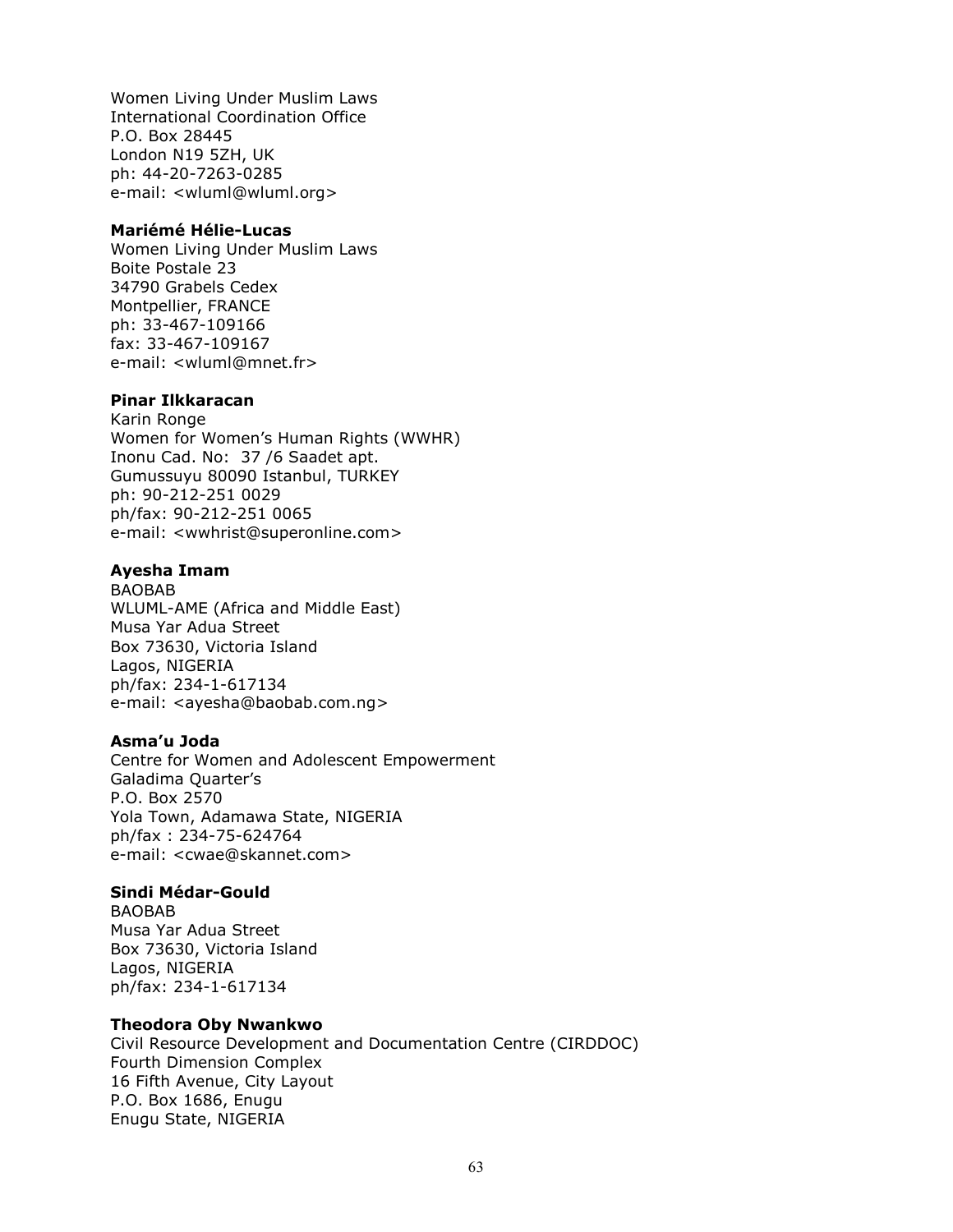Women Living Under Muslim Laws International Coordination Office P.O. Box 28445 London N19 5ZH, UK ph: 44-20-7263-0285 e-mail: <wluml@wluml.org>

#### Mariémé Hélie-Lucas

Women Living Under Muslim Laws Boite Postale 23 34790 Grabels Cedex Montpellier, FRANCE ph: 33-467-109166 fax: 33-467-109167 e-mail: <wluml@mnet.fr>

#### Pinar Ilkkaracan

Karin Ronge Women for Women's Human Rights (WWHR) Inonu Cad. No: 37 /6 Saadet apt. Gumussuyu 80090 Istanbul, TURKEY ph: 90-212-251 0029 ph/fax: 90-212-251 0065 e-mail: <wwhrist@superonline.com>

## Ayesha Imam

BAOBAB WLUML-AME (Africa and Middle East) Musa Yar Adua Street Box 73630, Victoria Island Lagos, NIGERIA ph/fax: 234-1-617134 e-mail: <ayesha@baobab.com.ng>

## Asma'u Joda

Centre for Women and Adolescent Empowerment Galadima Quarter's P.O. Box 2570 Yola Town, Adamawa State, NIGERIA ph/fax : 234-75-624764 e-mail: <cwae@skannet.com>

## Sindi Médar-Gould

BAOBAB Musa Yar Adua Street Box 73630, Victoria Island Lagos, NIGERIA ph/fax: 234-1-617134

## Theodora Oby Nwankwo

Civil Resource Development and Documentation Centre (CIRDDOC) Fourth Dimension Complex 16 Fifth Avenue, City Layout P.O. Box 1686, Enugu Enugu State, NIGERIA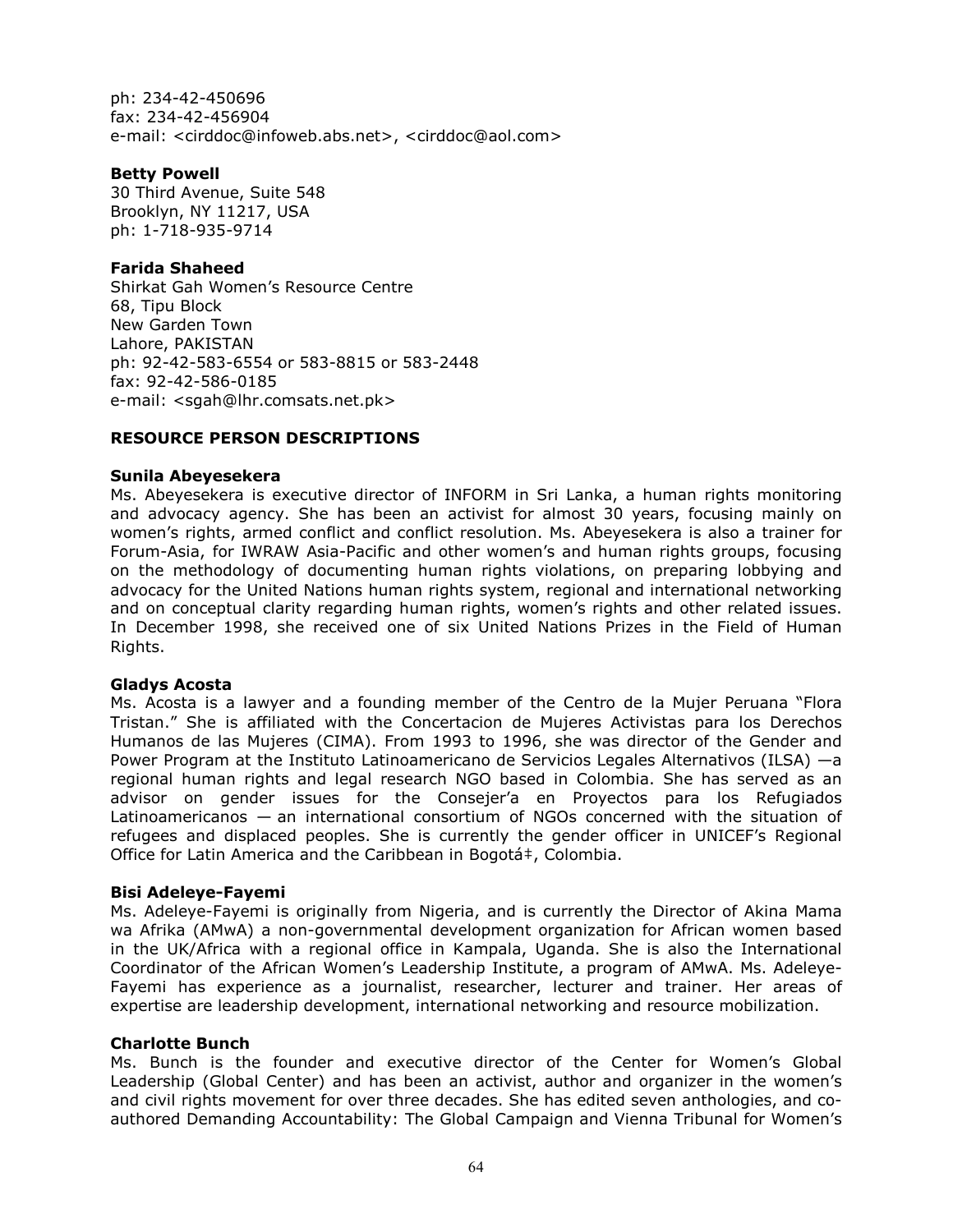ph: 234-42-450696 fax: 234-42-456904 e-mail: <cirddoc@infoweb.abs.net>, <cirddoc@aol.com>

## Betty Powell

30 Third Avenue, Suite 548 Brooklyn, NY 11217, USA ph: 1-718-935-9714

## Farida Shaheed

Shirkat Gah Women's Resource Centre 68, Tipu Block New Garden Town Lahore, PAKISTAN ph: 92-42-583-6554 or 583-8815 or 583-2448 fax: 92-42-586-0185 e-mail: <sgah@lhr.comsats.net.pk>

## RESOURCE PERSON DESCRIPTIONS

## Sunila Abeyesekera

Ms. Abeyesekera is executive director of INFORM in Sri Lanka, a human rights monitoring and advocacy agency. She has been an activist for almost 30 years, focusing mainly on women's rights, armed conflict and conflict resolution. Ms. Abeyesekera is also a trainer for Forum-Asia, for IWRAW Asia-Pacific and other women's and human rights groups, focusing on the methodology of documenting human rights violations, on preparing lobbying and advocacy for the United Nations human rights system, regional and international networking and on conceptual clarity regarding human rights, women's rights and other related issues. In December 1998, she received one of six United Nations Prizes in the Field of Human Rights.

## Gladys Acosta

Ms. Acosta is a lawyer and a founding member of the Centro de la Mujer Peruana "Flora Tristan." She is affiliated with the Concertacion de Mujeres Activistas para los Derechos Humanos de las Mujeres (CIMA). From 1993 to 1996, she was director of the Gender and Power Program at the Instituto Latinoamericano de Servicios Legales Alternativos (ILSA) —a regional human rights and legal research NGO based in Colombia. She has served as an advisor on gender issues for the Consejer'a en Proyectos para los Refugiados Latinoamericanos — an international consortium of NGOs concerned with the situation of refugees and displaced peoples. She is currently the gender officer in UNICEF's Regional Office for Latin America and the Caribbean in Bogotá‡, Colombia.

## Bisi Adeleye-Fayemi

Ms. Adeleye-Fayemi is originally from Nigeria, and is currently the Director of Akina Mama wa Afrika (AMwA) a non-governmental development organization for African women based in the UK/Africa with a regional office in Kampala, Uganda. She is also the International Coordinator of the African Women's Leadership Institute, a program of AMwA. Ms. Adeleye-Fayemi has experience as a journalist, researcher, lecturer and trainer. Her areas of expertise are leadership development, international networking and resource mobilization.

## Charlotte Bunch

Ms. Bunch is the founder and executive director of the Center for Women's Global Leadership (Global Center) and has been an activist, author and organizer in the women's and civil rights movement for over three decades. She has edited seven anthologies, and coauthored Demanding Accountability: The Global Campaign and Vienna Tribunal for Women's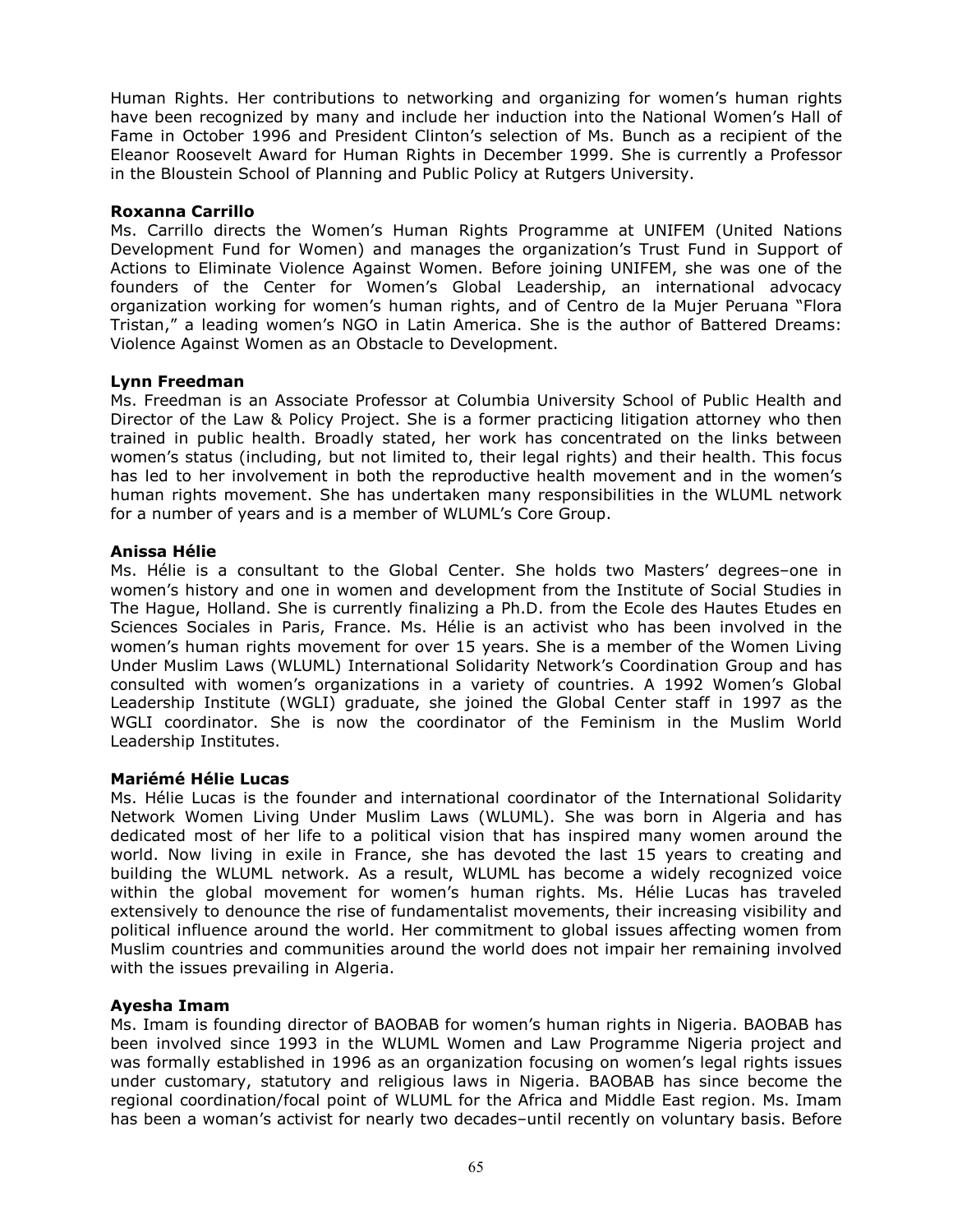Human Rights. Her contributions to networking and organizing for women's human rights have been recognized by many and include her induction into the National Women's Hall of Fame in October 1996 and President Clinton's selection of Ms. Bunch as a recipient of the Eleanor Roosevelt Award for Human Rights in December 1999. She is currently a Professor in the Bloustein School of Planning and Public Policy at Rutgers University.

#### Roxanna Carrillo

Ms. Carrillo directs the Women's Human Rights Programme at UNIFEM (United Nations Development Fund for Women) and manages the organization's Trust Fund in Support of Actions to Eliminate Violence Against Women. Before joining UNIFEM, she was one of the founders of the Center for Women's Global Leadership, an international advocacy organization working for women's human rights, and of Centro de la Mujer Peruana "Flora Tristan," a leading women's NGO in Latin America. She is the author of Battered Dreams: Violence Against Women as an Obstacle to Development.

#### Lynn Freedman

Ms. Freedman is an Associate Professor at Columbia University School of Public Health and Director of the Law & Policy Project. She is a former practicing litigation attorney who then trained in public health. Broadly stated, her work has concentrated on the links between women's status (including, but not limited to, their legal rights) and their health. This focus has led to her involvement in both the reproductive health movement and in the women's human rights movement. She has undertaken many responsibilities in the WLUML network for a number of years and is a member of WLUML's Core Group.

#### Anissa Hélie

Ms. Hélie is a consultant to the Global Center. She holds two Masters' degrees–one in women's history and one in women and development from the Institute of Social Studies in The Hague, Holland. She is currently finalizing a Ph.D. from the Ecole des Hautes Etudes en Sciences Sociales in Paris, France. Ms. Hélie is an activist who has been involved in the women's human rights movement for over 15 years. She is a member of the Women Living Under Muslim Laws (WLUML) International Solidarity Network's Coordination Group and has consulted with women's organizations in a variety of countries. A 1992 Women's Global Leadership Institute (WGLI) graduate, she joined the Global Center staff in 1997 as the WGLI coordinator. She is now the coordinator of the Feminism in the Muslim World Leadership Institutes.

## Mariémé Hélie Lucas

Ms. Hélie Lucas is the founder and international coordinator of the International Solidarity Network Women Living Under Muslim Laws (WLUML). She was born in Algeria and has dedicated most of her life to a political vision that has inspired many women around the world. Now living in exile in France, she has devoted the last 15 years to creating and building the WLUML network. As a result, WLUML has become a widely recognized voice within the global movement for women's human rights. Ms. Hélie Lucas has traveled extensively to denounce the rise of fundamentalist movements, their increasing visibility and political influence around the world. Her commitment to global issues affecting women from Muslim countries and communities around the world does not impair her remaining involved with the issues prevailing in Algeria.

## Ayesha Imam

Ms. Imam is founding director of BAOBAB for women's human rights in Nigeria. BAOBAB has been involved since 1993 in the WLUML Women and Law Programme Nigeria project and was formally established in 1996 as an organization focusing on women's legal rights issues under customary, statutory and religious laws in Nigeria. BAOBAB has since become the regional coordination/focal point of WLUML for the Africa and Middle East region. Ms. Imam has been a woman's activist for nearly two decades–until recently on voluntary basis. Before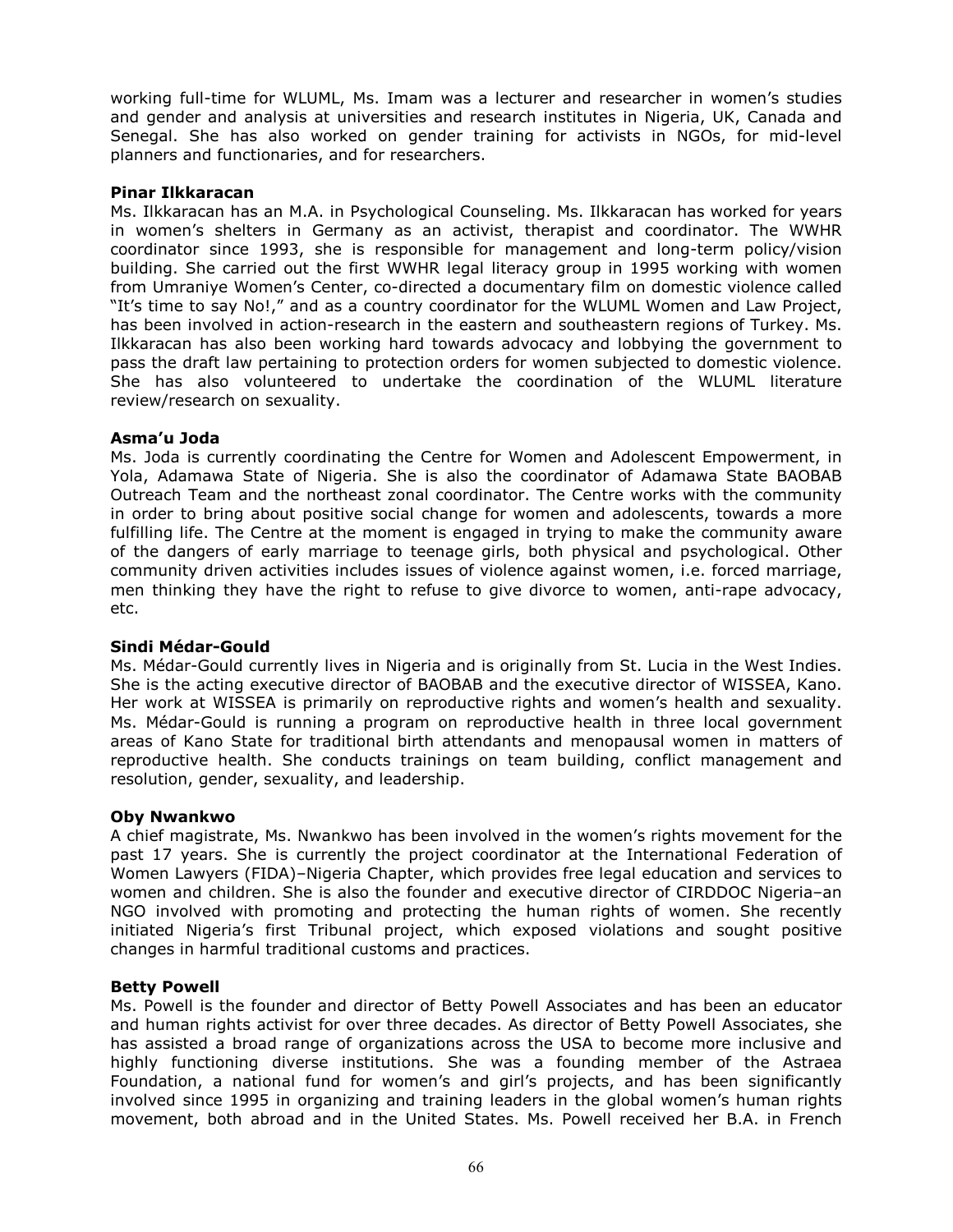working full-time for WLUML, Ms. Imam was a lecturer and researcher in women's studies and gender and analysis at universities and research institutes in Nigeria, UK, Canada and Senegal. She has also worked on gender training for activists in NGOs, for mid-level planners and functionaries, and for researchers.

#### Pinar Ilkkaracan

Ms. Ilkkaracan has an M.A. in Psychological Counseling. Ms. Ilkkaracan has worked for years in women's shelters in Germany as an activist, therapist and coordinator. The WWHR coordinator since 1993, she is responsible for management and long-term policy/vision building. She carried out the first WWHR legal literacy group in 1995 working with women from Umraniye Women's Center, co-directed a documentary film on domestic violence called "It's time to say No!," and as a country coordinator for the WLUML Women and Law Project, has been involved in action-research in the eastern and southeastern regions of Turkey. Ms. Ilkkaracan has also been working hard towards advocacy and lobbying the government to pass the draft law pertaining to protection orders for women subjected to domestic violence. She has also volunteered to undertake the coordination of the WLUML literature review/research on sexuality.

#### Asma'u Joda

Ms. Joda is currently coordinating the Centre for Women and Adolescent Empowerment, in Yola, Adamawa State of Nigeria. She is also the coordinator of Adamawa State BAOBAB Outreach Team and the northeast zonal coordinator. The Centre works with the community in order to bring about positive social change for women and adolescents, towards a more fulfilling life. The Centre at the moment is engaged in trying to make the community aware of the dangers of early marriage to teenage girls, both physical and psychological. Other community driven activities includes issues of violence against women, i.e. forced marriage, men thinking they have the right to refuse to give divorce to women, anti-rape advocacy, etc.

## Sindi Médar-Gould

Ms. Médar-Gould currently lives in Nigeria and is originally from St. Lucia in the West Indies. She is the acting executive director of BAOBAB and the executive director of WISSEA, Kano. Her work at WISSEA is primarily on reproductive rights and women's health and sexuality. Ms. Médar-Gould is running a program on reproductive health in three local government areas of Kano State for traditional birth attendants and menopausal women in matters of reproductive health. She conducts trainings on team building, conflict management and resolution, gender, sexuality, and leadership.

## Oby Nwankwo

A chief magistrate, Ms. Nwankwo has been involved in the women's rights movement for the past 17 years. She is currently the project coordinator at the International Federation of Women Lawyers (FIDA)–Nigeria Chapter, which provides free legal education and services to women and children. She is also the founder and executive director of CIRDDOC Nigeria–an NGO involved with promoting and protecting the human rights of women. She recently initiated Nigeria's first Tribunal project, which exposed violations and sought positive changes in harmful traditional customs and practices.

## Betty Powell

Ms. Powell is the founder and director of Betty Powell Associates and has been an educator and human rights activist for over three decades. As director of Betty Powell Associates, she has assisted a broad range of organizations across the USA to become more inclusive and highly functioning diverse institutions. She was a founding member of the Astraea Foundation, a national fund for women's and girl's projects, and has been significantly involved since 1995 in organizing and training leaders in the global women's human rights movement, both abroad and in the United States. Ms. Powell received her B.A. in French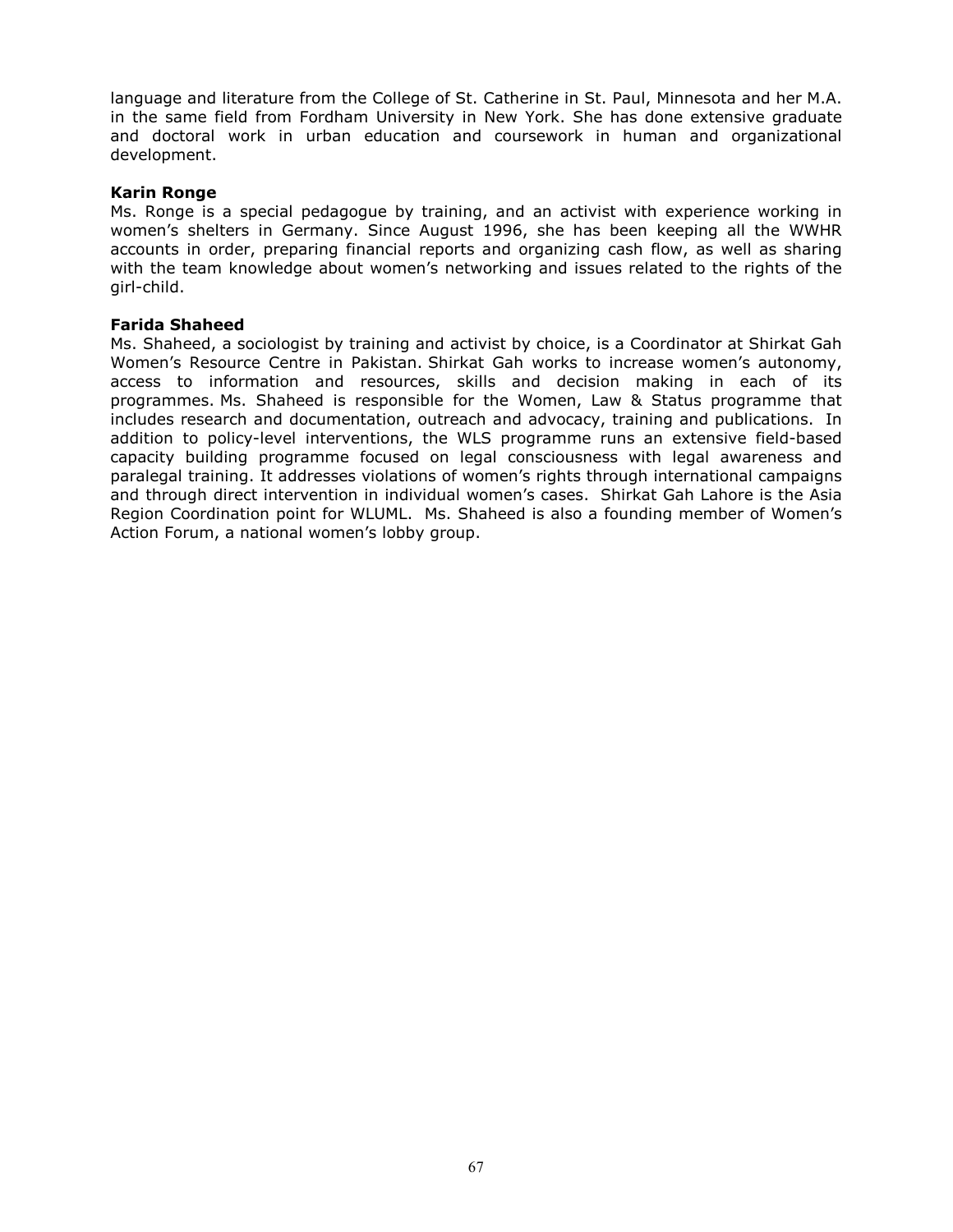language and literature from the College of St. Catherine in St. Paul, Minnesota and her M.A. in the same field from Fordham University in New York. She has done extensive graduate and doctoral work in urban education and coursework in human and organizational development.

#### Karin Ronge

Ms. Ronge is a special pedagogue by training, and an activist with experience working in women's shelters in Germany. Since August 1996, she has been keeping all the WWHR accounts in order, preparing financial reports and organizing cash flow, as well as sharing with the team knowledge about women's networking and issues related to the rights of the girl-child.

#### Farida Shaheed

Ms. Shaheed, a sociologist by training and activist by choice, is a Coordinator at Shirkat Gah Women's Resource Centre in Pakistan. Shirkat Gah works to increase women's autonomy, access to information and resources, skills and decision making in each of its programmes. Ms. Shaheed is responsible for the Women, Law & Status programme that includes research and documentation, outreach and advocacy, training and publications. In addition to policy-level interventions, the WLS programme runs an extensive field-based capacity building programme focused on legal consciousness with legal awareness and paralegal training. It addresses violations of women's rights through international campaigns and through direct intervention in individual women's cases. Shirkat Gah Lahore is the Asia Region Coordination point for WLUML. Ms. Shaheed is also a founding member of Women's Action Forum, a national women's lobby group.